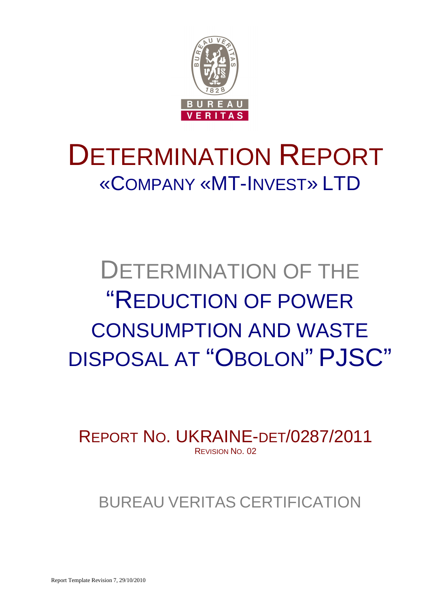

# DETERMINATION REPORT «COMPANY «MT-INVEST» LTD

# DETERMINATION OF THE "REDUCTION OF POWER CONSUMPTION AND WASTE DISPOSAL AT "OBOLON" PJSC"

REPORT NO. UKRAINE-DET/0287/2011 REVISION NO. 02

## BUREAU VERITAS CERTIFICATION

Report Template Revision 7, 29/10/2010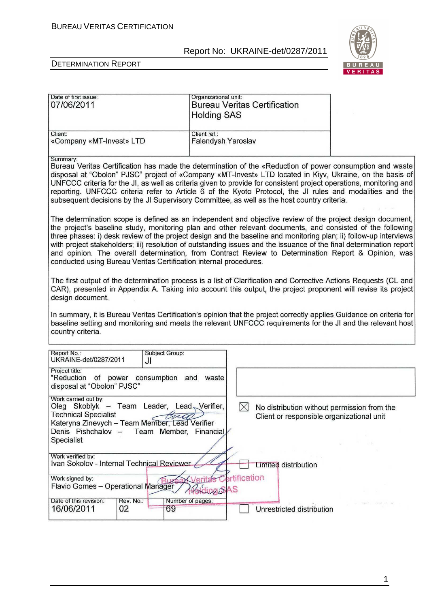

÷.

#### DETERMINATION REPORT

| Date of first issue:<br>07/06/2011                                                                                                                                                                                                                                                                                                                                                                                                                                                                                                                                                                                                              | Organizational unit:<br><b>Bureau Veritas Certification</b><br><b>Holding SAS</b> |                                                                                          |  |
|-------------------------------------------------------------------------------------------------------------------------------------------------------------------------------------------------------------------------------------------------------------------------------------------------------------------------------------------------------------------------------------------------------------------------------------------------------------------------------------------------------------------------------------------------------------------------------------------------------------------------------------------------|-----------------------------------------------------------------------------------|------------------------------------------------------------------------------------------|--|
| Client:<br>«Company «MT-Invest» LTD                                                                                                                                                                                                                                                                                                                                                                                                                                                                                                                                                                                                             | Client ref.:<br>Falendysh Yaroslav                                                |                                                                                          |  |
| Summary:<br>Bureau Veritas Certification has made the determination of the «Reduction of power consumption and waste<br>disposal at "Obolon" PJSC" project of «Company «MT-Invest» LTD located in Kiyv, Ukraine, on the basis of<br>UNFCCC criteria for the JI, as well as criteria given to provide for consistent project operations, monitoring and<br>reporting. UNFCCC criteria refer to Article 6 of the Kyoto Protocol, the JI rules and modalities and the<br>subsequent decisions by the JI Supervisory Committee, as well as the host country criteria.                                                                               |                                                                                   |                                                                                          |  |
| The determination scope is defined as an independent and objective review of the project design document,<br>the project's baseline study, monitoring plan and other relevant documents, and consisted of the following<br>three phases: i) desk review of the project design and the baseline and monitoring plan; ii) follow-up interviews<br>with project stakeholders; iii) resolution of outstanding issues and the issuance of the final determination report<br>and opinion. The overall determination, from Contract Review to Determination Report & Opinion, was<br>conducted using Bureau Veritas Certification internal procedures. |                                                                                   |                                                                                          |  |
| The first output of the determination process is a list of Clarification and Corrective Actions Requests (CL and<br>CAR), presented in Appendix A. Taking into account this output, the project proponent will revise its project<br>design document.                                                                                                                                                                                                                                                                                                                                                                                           |                                                                                   |                                                                                          |  |
| In summary, it is Bureau Veritas Certification's opinion that the project correctly applies Guidance on criteria for<br>baseline setting and monitoring and meets the relevant UNFCCC requirements for the JI and the relevant host<br>country criteria.                                                                                                                                                                                                                                                                                                                                                                                        |                                                                                   |                                                                                          |  |
| Report No.:<br><b>Subject Group:</b><br>UKRAINE-det/0287/2011<br>JI                                                                                                                                                                                                                                                                                                                                                                                                                                                                                                                                                                             |                                                                                   |                                                                                          |  |
| Project title:<br>"Reduction of power consumption and waste<br>disposal at "Obolon" PJSC"                                                                                                                                                                                                                                                                                                                                                                                                                                                                                                                                                       |                                                                                   |                                                                                          |  |
| Work carried out by:<br>Oleg Skoblyk – Team Leader, Lead Verifier,<br><b>Technical Specialist</b><br>tud<br>Kateryna Zinevych - Team Member, Lead Verifier<br>Denis Pishchalov -<br>Specialist                                                                                                                                                                                                                                                                                                                                                                                                                                                  | $\times$<br>Team Member, Financial                                                | No distribution without permission from the<br>Client or responsible organizational unit |  |
| Work verified by:<br>Ivan Sokolov - Internal Technical Reviewer                                                                                                                                                                                                                                                                                                                                                                                                                                                                                                                                                                                 |                                                                                   | Limited distribution                                                                     |  |
| Work signed by:<br>Flavio Gomes - Operational Manager                                                                                                                                                                                                                                                                                                                                                                                                                                                                                                                                                                                           | ertification<br>erita's<br>Polding SAS                                            |                                                                                          |  |
| Date of this revision:<br>Rev. No.:<br>16/06/2011<br>02<br>69                                                                                                                                                                                                                                                                                                                                                                                                                                                                                                                                                                                   | Number of pages:                                                                  | Unrestricted distribution                                                                |  |

1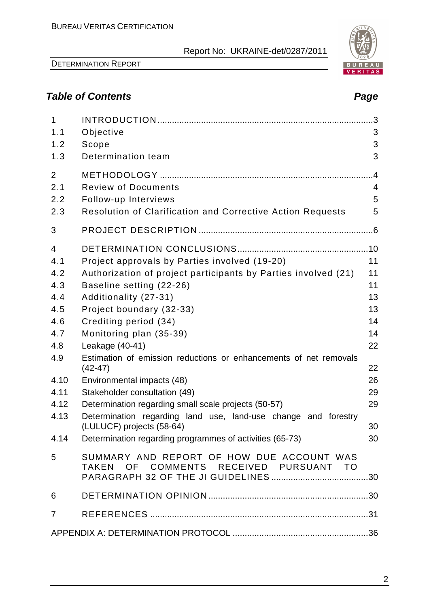DETERMINATION REPORT

## **Table of Contents Page**

| $\mathbf{1}$<br>1.1 | Objective                                                                                   | 3               |
|---------------------|---------------------------------------------------------------------------------------------|-----------------|
| 1.2                 | Scope                                                                                       | 3               |
| 1.3                 | Determination team                                                                          | 3               |
| 2                   |                                                                                             | $\overline{.4}$ |
| 2.1                 | <b>Review of Documents</b>                                                                  | $\overline{4}$  |
| 2.2                 | Follow-up Interviews                                                                        | 5               |
| 2.3                 | Resolution of Clarification and Corrective Action Requests                                  | 5               |
| 3                   |                                                                                             |                 |
| $\overline{4}$      |                                                                                             |                 |
| 4.1                 | Project approvals by Parties involved (19-20)                                               | 11              |
| 4.2                 | Authorization of project participants by Parties involved (21)                              | 11              |
| 4.3                 | Baseline setting (22-26)                                                                    | 11              |
| 4.4                 | Additionality (27-31)                                                                       | 13              |
| 4.5                 | Project boundary (32-33)                                                                    | 13              |
| 4.6                 | Crediting period (34)                                                                       | 14              |
| 4.7                 | Monitoring plan (35-39)                                                                     | 14              |
| 4.8                 | Leakage (40-41)                                                                             | 22              |
| 4.9                 | Estimation of emission reductions or enhancements of net removals<br>$(42 - 47)$            | 22              |
| 4.10                | Environmental impacts (48)                                                                  | 26              |
| 4.11                | Stakeholder consultation (49)                                                               | 29              |
| 4.12                | Determination regarding small scale projects (50-57)                                        | 29              |
| 4.13                | Determination regarding land use, land-use change and forestry<br>(LULUCF) projects (58-64) | 30              |
|                     | 4.14 Determination regarding programmes of activities (65-73)                               | 30              |
| 5                   | SUMMARY AND REPORT OF HOW DUE ACCOUNT WAS<br>TAKEN OF COMMENTS RECEIVED PURSUANT TO         |                 |
| 6                   |                                                                                             |                 |
| $\overline{7}$      |                                                                                             |                 |
|                     |                                                                                             |                 |



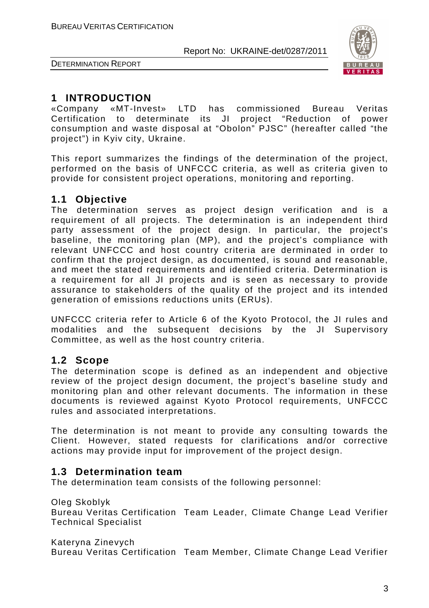

DETERMINATION REPORT

## **1 INTRODUCTION**

«Company «MT-Invest» LTD has commissioned Bureau Veritas Certification to determinate its JI project "Reduction of power consumption and waste disposal at "Obolon" PJSC" (hereafter called "the project") in Kyiv city, Ukraine.

This report summarizes the findings of the determination of the project, performed on the basis of UNFCCC criteria, as well as criteria given to provide for consistent project operations, monitoring and reporting.

## **1.1 Objective**

The determination serves as project design verification and is a requirement of all projects. The determination is an independent third party assessment of the project design. In particular, the project's baseline, the monitoring plan (MP), and the project's compliance with relevant UNFCCC and host country criteria are derminated in order to confirm that the project design, as documented, is sound and reasonable, and meet the stated requirements and identified criteria. Determination is a requirement for all JI projects and is seen as necessary to provide assurance to stakeholders of the quality of the project and its intended generation of emissions reductions units (ERUs).

UNFCCC criteria refer to Article 6 of the Kyoto Protocol, the JI rules and modalities and the subsequent decisions by the JI Supervisory Committee, as well as the host country criteria.

## **1.2 Scope**

The determination scope is defined as an independent and objective review of the project design document, the project's baseline study and monitoring plan and other relevant documents. The information in these documents is reviewed against Kyoto Protocol requirements, UNFCCC rules and associated interpretations.

The determination is not meant to provide any consulting towards the Client. However, stated requests for clarifications and/or corrective actions may provide input for improvement of the project design.

## **1.3 Determination team**

The determination team consists of the following personnel:

Oleg Skoblyk

Bureau Veritas Certification Team Leader, Climate Change Lead Verifier Technical Specialist

Kateryna Zinevych

Bureau Veritas Certification Team Member, Climate Change Lead Verifier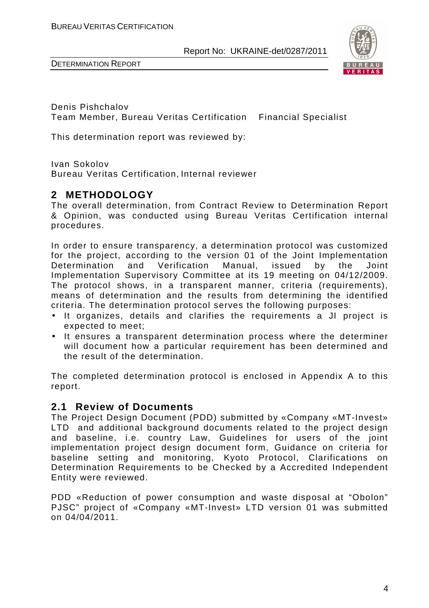



Denis Pishchalov Team Member, Bureau Veritas Certification Financial Specialist

This determination report was reviewed by:

Ivan Sokolov

Bureau Veritas Certification, Internal reviewer

## **2 METHODOLOGY**

The overall determination, from Contract Review to Determination Report & Opinion, was conducted using Bureau Veritas Certification internal procedures.

In order to ensure transparency, a determination protocol was customized for the project, according to the version 01 of the Joint Implementation Determination and Verification Manual, issued by the Joint Implementation Supervisory Committee at its 19 meeting on 04/12/2009. The protocol shows, in a transparent manner, criteria (requirements), means of determination and the results from determining the identified criteria. The determination protocol serves the following purposes:

- It organizes, details and clarifies the requirements a JI project is expected to meet;
- It ensures a transparent determination process where the determiner will document how a particular requirement has been determined and the result of the determination.

The completed determination protocol is enclosed in Appendix A to this report.

#### **2.1 Review of Documents**

The Project Design Document (PDD) submitted by «Company «MT-Invest» LTD and additional background documents related to the project design and baseline, i.e. country Law, Guidelines for users of the joint implementation project design document form, Guidance on criteria for baseline setting and monitoring, Kyoto Protocol, Clarifications on Determination Requirements to be Checked by a Accredited Independent Entity were reviewed.

PDD «Reduction of power consumption and waste disposal at "Obolon" PJSC" project of «Company «MT-Invest» LTD version 01 was submitted on 04/04/2011.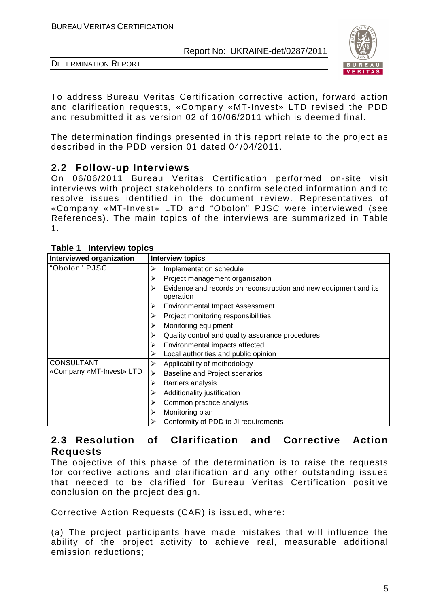



To address Bureau Veritas Certification corrective action, forward action and clarification requests, «Company «MT-Invest» LTD revised the PDD and resubmitted it as version 02 of 10/06/2011 which is deemed final.

The determination findings presented in this report relate to the project as described in the PDD version 01 dated 04/04/2011.

## **2.2 Follow-up Interviews**

On 06/06/2011 Bureau Veritas Certification performed on-site visit interviews with project stakeholders to confirm selected information and to resolve issues identified in the document review. Representatives of «Company «MT-Invest» LTD and "Obolon" PJSC were interviewed (see References). The main topics of the interviews are summarized in Table 1.

| $10000 + 11001$ view topics<br>Interviewed organization | <b>Interview topics</b>                                                            |
|---------------------------------------------------------|------------------------------------------------------------------------------------|
| "Obolon" PJSC                                           | Implementation schedule<br>➤                                                       |
|                                                         | Project management organisation<br>⋗                                               |
|                                                         | Evidence and records on reconstruction and new equipment and its<br>⋗<br>operation |
|                                                         | <b>Environmental Impact Assessment</b><br>⋗                                        |
|                                                         | Project monitoring responsibilities<br>⋗                                           |
|                                                         | Monitoring equipment<br>⋗                                                          |
|                                                         | Quality control and quality assurance procedures<br>➤                              |
|                                                         | Environmental impacts affected<br>➤                                                |
|                                                         | Local authorities and public opinion<br>⋗                                          |
| <b>CONSULTANT</b>                                       | Applicability of methodology<br>⋗                                                  |
| «Company «MT-Invest» LTD                                | <b>Baseline and Project scenarios</b><br>⋗                                         |
|                                                         | Barriers analysis<br>⋗                                                             |
|                                                         | Additionality justification<br>⋗                                                   |
|                                                         | Common practice analysis<br>➤                                                      |
|                                                         | Monitoring plan<br>⋗                                                               |
|                                                         | Conformity of PDD to JI requirements                                               |

## **2.3 Resolution of Clarification and Corrective Action Requests**

The objective of this phase of the determination is to raise the requests for corrective actions and clarification and any other outstanding issues that needed to be clarified for Bureau Veritas Certification positive conclusion on the project design.

Corrective Action Requests (CAR) is issued, where:

(a) The project participants have made mistakes that will influence the ability of the project activity to achieve real, measurable additional emission reductions;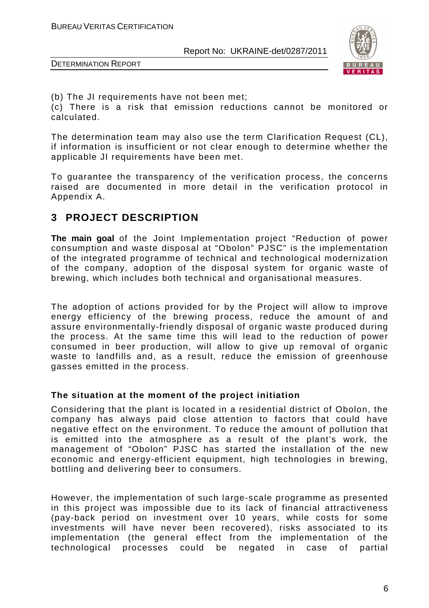

DETERMINATION REPORT

(b) The JI requirements have not been met;

(c) There is a risk that emission reductions cannot be monitored or calculated.

The determination team may also use the term Clarification Request (CL), if information is insufficient or not clear enough to determine whether the applicable JI requirements have been met.

To guarantee the transparency of the verification process, the concerns raised are documented in more detail in the verification protocol in Appendix A.

## **3 PROJECT DESCRIPTION**

**The main goal** of the Joint Implementation project "Reduction of power consumption and waste disposal at "Obolon" PJSC" is the implementation of the integrated programme of technical and technological modernization of the company, adoption of the disposal system for organic waste of brewing, which includes both technical and organisational measures.

The adoption of actions provided for by the Project will allow to improve energy efficiency of the brewing process, reduce the amount of and assure environmentally-friendly disposal of organic waste produced during the process. At the same time this will lead to the reduction of power consumed in beer production, will allow to give up removal of organic waste to landfills and, as a result, reduce the emission of greenhouse gasses emitted in the process.

#### **The situation at the moment of the project initiation**

Considering that the plant is located in a residential district of Obolon, the company has always paid close attention to factors that could have negative effect on the environment. To reduce the amount of pollution that is emitted into the atmosphere as a result of the plant's work, the management of "Obolon" PJSC has started the installation of the new economic and energy-efficient equipment, high technologies in brewing, bottling and delivering beer to consumers.

However, the implementation of such large-scale programme as presented in this project was impossible due to its lack of financial attractiveness (pay-back period on investment over 10 years, while costs for some investments will have never been recovered), risks associated to its implementation (the general effect from the implementation of the technological processes could be negated in case of partial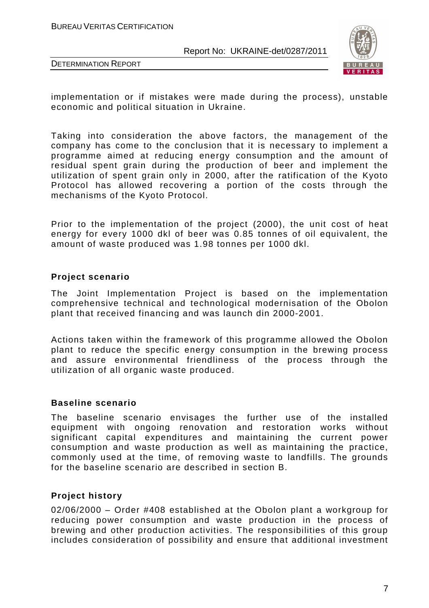BUREAU VERITAS CERTIFICATION

Report No: UKRAINE-det/0287/2011



DETERMINATION REPORT

implementation or if mistakes were made during the process), unstable economic and political situation in Ukraine.

Taking into consideration the above factors, the management of the company has come to the conclusion that it is necessary to implement a programme aimed at reducing energy consumption and the amount of residual spent grain during the production of beer and implement the utilization of spent grain only in 2000, after the ratification of the Kyoto Protocol has allowed recovering a portion of the costs through the mechanisms of the Kyoto Protocol.

Prior to the implementation of the project (2000), the unit cost of heat energy for every 1000 dkl of beer was 0.85 tonnes of oil equivalent, the amount of waste produced was 1.98 tonnes per 1000 dkl.

#### **Project scenario**

The Joint Implementation Project is based on the implementation comprehensive technical and technological modernisation of the Obolon plant that received financing and was launch din 2000-2001.

Actions taken within the framework of this programme allowed the Obolon plant to reduce the specific energy consumption in the brewing process and assure environmental friendliness of the process through the utilization of all organic waste produced.

#### **Baseline scenario**

The baseline scenario envisages the further use of the installed equipment with ongoing renovation and restoration works without significant capital expenditures and maintaining the current power consumption and waste production as well as maintaining the practice, commonly used at the time, of removing waste to landfills. The grounds for the baseline scenario are described in section B.

#### **Project history**

02/06/2000 – Order #408 established at the Obolon plant a workgroup for reducing power consumption and waste production in the process of brewing and other production activities. The responsibilities of this group includes consideration of possibility and ensure that additional investment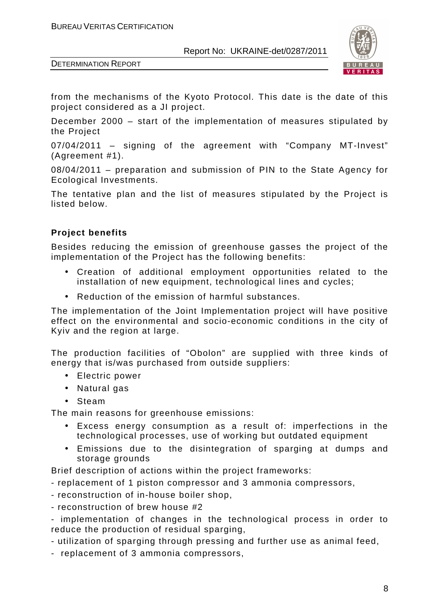

DETERMINATION REPORT

from the mechanisms of the Kyoto Protocol. This date is the date of this project considered as a JI project.

December 2000 – start of the implementation of measures stipulated by the Project

07/04/2011 – signing of the agreement with "Company MT-Invest" (Agreement #1).

08/04/2011 – preparation and submission of PIN to the State Agency for Ecological Investments.

The tentative plan and the list of measures stipulated by the Project is listed below.

## **Project benefits**

Besides reducing the emission of greenhouse gasses the project of the implementation of the Project has the following benefits:

- Creation of additional employment opportunities related to the installation of new equipment, technological lines and cycles;
- Reduction of the emission of harmful substances.

The implementation of the Joint Implementation project will have positive effect on the environmental and socio-economic conditions in the city of Kyiv and the region at large.

The production facilities of "Obolon" are supplied with three kinds of energy that is/was purchased from outside suppliers:

- Electric power
- Natural gas
- Steam

The main reasons for greenhouse emissions:

- Excess energy consumption as a result of: imperfections in the technological processes, use of working but outdated equipment
- Emissions due to the disintegration of sparging at dumps and storage grounds

Brief description of actions within the project frameworks:

- replacement of 1 piston compressor and 3 ammonia compressors,
- reconstruction of in-house boiler shop,
- reconstruction of brew house #2

- implementation of changes in the technological process in order to reduce the production of residual sparging,

- utilization of sparging through pressing and further use as animal feed,

- replacement of 3 ammonia compressors,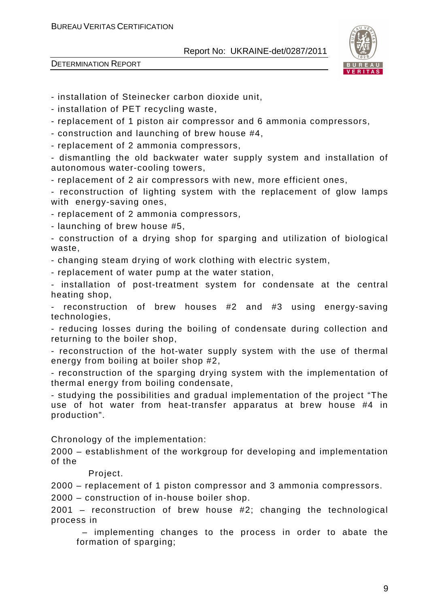

DETERMINATION REPORT

- installation of Steinecker carbon dioxide unit,

- installation of PET recycling waste,

- replacement of 1 piston air compressor and 6 ammonia compressors,

- construction and launching of brew house #4,

- replacement of 2 ammonia compressors,

- dismantling the old backwater water supply system and installation of autonomous water-cooling towers,

- replacement of 2 air compressors with new, more efficient ones,

- reconstruction of lighting system with the replacement of glow lamps with energy-saving ones,

- replacement of 2 ammonia compressors,

- launching of brew house #5,

- construction of a drying shop for sparging and utilization of biological waste,

- changing steam drying of work clothing with electric system,

- replacement of water pump at the water station,

- installation of post-treatment system for condensate at the central heating shop,

reconstruction of brew houses  $#2$  and  $#3$  using energy-saving technologies,

- reducing losses during the boiling of condensate during collection and returning to the boiler shop,

- reconstruction of the hot-water supply system with the use of thermal energy from boiling at boiler shop #2,

- reconstruction of the sparging drying system with the implementation of thermal energy from boiling condensate,

- studying the possibilities and gradual implementation of the project "The use of hot water from heat-transfer apparatus at brew house #4 in production".

Chronology of the implementation:

2000 – establishment of the workgroup for developing and implementation of the

Project.

2000 – replacement of 1 piston compressor and 3 ammonia compressors.

2000 – construction of in-house boiler shop.

2001 – reconstruction of brew house #2; changing the technological process in

 – implementing changes to the process in order to abate the formation of sparging;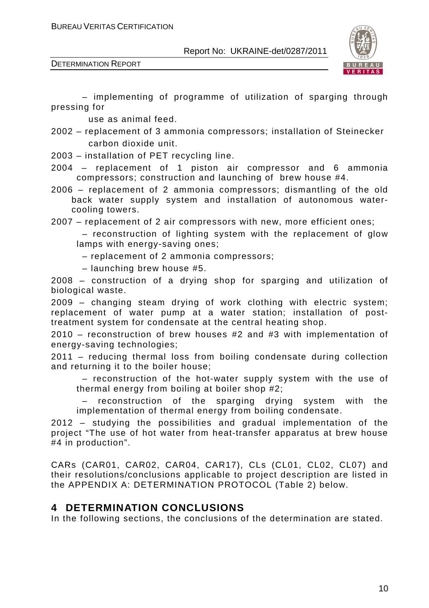



 – implementing of programme of utilization of sparging through pressing for

use as animal feed.

2002 – replacement of 3 ammonia compressors; installation of Steinecker carbon dioxide unit.

2003 – installation of PET recycling line.

- 2004 replacement of 1 piston air compressor and 6 ammonia compressors; construction and launching of brew house #4.
- 2006 replacement of 2 ammonia compressors; dismantling of the old back water supply system and installation of autonomous watercooling towers.

2007 – replacement of 2 air compressors with new, more efficient ones;

 – reconstruction of lighting system with the replacement of glow lamps with energy-saving ones;

– replacement of 2 ammonia compressors;

– launching brew house #5.

2008 – construction of a drying shop for sparging and utilization of biological waste.

2009 – changing steam drying of work clothing with electric system; replacement of water pump at a water station; installation of posttreatment system for condensate at the central heating shop.

2010 – reconstruction of brew houses #2 and #3 with implementation of energy-saving technologies;

2011 – reducing thermal loss from boiling condensate during collection and returning it to the boiler house;

 – reconstruction of the hot-water supply system with the use of thermal energy from boiling at boiler shop #2;

reconstruction of the sparging drying system with the implementation of thermal energy from boiling condensate.

2012 – studying the possibilities and gradual implementation of the project "The use of hot water from heat-transfer apparatus at brew house #4 in production".

CARs (CAR01, CAR02, CAR04, CAR17), CLs (CL01, CL02, CL07) and their resolutions/conclusions applicable to project description are listed in the APPENDIX A: DETERMINATION PROTOCOL (Table 2) below.

## **4 DETERMINATION CONCLUSIONS**

In the following sections, the conclusions of the determination are stated.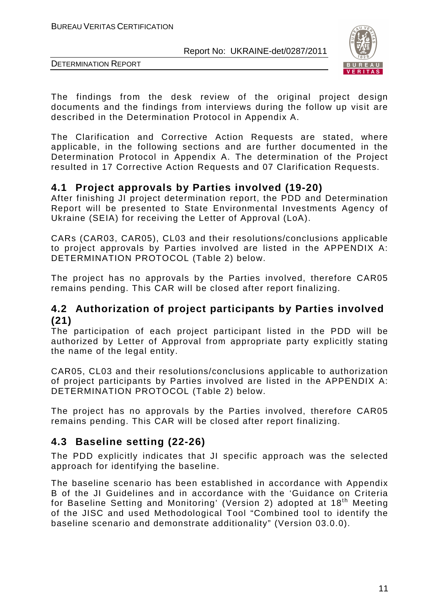

DETERMINATION REPORT

The findings from the desk review of the original project design documents and the findings from interviews during the follow up visit are described in the Determination Protocol in Appendix A.

The Clarification and Corrective Action Requests are stated, where applicable, in the following sections and are further documented in the Determination Protocol in Appendix A. The determination of the Project resulted in 17 Corrective Action Requests and 07 Clarification Requests.

## **4.1 Project approvals by Parties involved (19-20)**

After finishing JI project determination report, the PDD and Determination Report will be presented to State Environmental Investments Agency of Ukraine (SEIA) for receiving the Letter of Approval (LoA).

CARs (CAR03, CAR05), CL03 and their resolutions/conclusions applicable to project approvals by Parties involved are listed in the APPENDIX A: DETERMINATION PROTOCOL (Table 2) below.

The project has no approvals by the Parties involved, therefore CAR05 remains pending. This CAR will be closed after report finalizing.

## **4.2 Authorization of project participants by Parties involved (21)**

The participation of each project participant listed in the PDD will be authorized by Letter of Approval from appropriate party explicitly stating the name of the legal entity.

CAR05, CL03 and their resolutions/conclusions applicable to authorization of project participants by Parties involved are listed in the APPENDIX A: DETERMINATION PROTOCOL (Table 2) below.

The project has no approvals by the Parties involved, therefore CAR05 remains pending. This CAR will be closed after report finalizing.

## **4.3 Baseline setting (22-26)**

The PDD explicitly indicates that JI specific approach was the selected approach for identifying the baseline.

The baseline scenario has been established in accordance with Appendix B of the JI Guidelines and in accordance with the 'Guidance on Criteria for Baseline Setting and Monitoring' (Version 2) adopted at 18<sup>th</sup> Meeting of the JISC and used Methodological Tool "Combined tool to identify the baseline scenario and demonstrate additionality" (Version 03.0.0).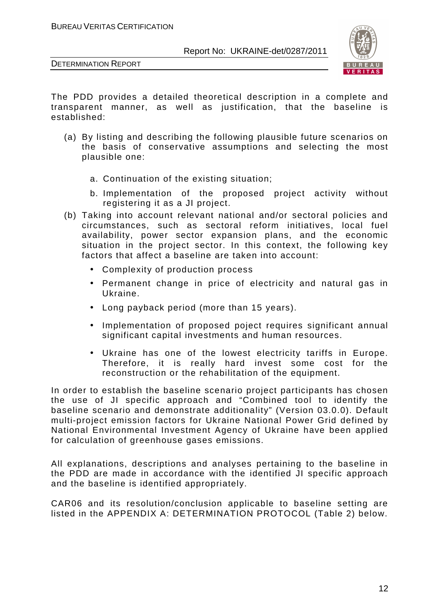



The PDD provides a detailed theoretical description in a complete and transparent manner, as well as justification, that the baseline is established:

- (a) By listing and describing the following plausible future scenarios on the basis of conservative assumptions and selecting the most plausible one:
	- a. Continuation of the existing situation;
	- b. Implementation of the proposed project activity without registering it as a JI project.
- (b) Taking into account relevant national and/or sectoral policies and circumstances, such as sectoral reform initiatives, local fuel availability, power sector expansion plans, and the economic situation in the project sector. In this context, the following key factors that affect a baseline are taken into account:
	- Complexity of production process
	- Permanent change in price of electricity and natural gas in Ukraine.
	- Long payback period (more than 15 years).
	- Implementation of proposed poject requires significant annual significant capital investments and human resources.
	- Ukraine has one of the lowest electricity tariffs in Europe. Therefore, it is really hard invest some cost for the reconstruction or the rehabilitation of the equipment.

In order to establish the baseline scenario project participants has chosen the use of JI specific approach and "Combined tool to identify the baseline scenario and demonstrate additionality" (Version 03.0.0). Default multi-project emission factors for Ukraine National Power Grid defined by National Environmental Investment Agency of Ukraine have been applied for calculation of greenhouse gases emissions.

All explanations, descriptions and analyses pertaining to the baseline in the PDD are made in accordance with the identified JI specific approach and the baseline is identified appropriately.

CAR06 and its resolution/conclusion applicable to baseline setting are listed in the APPENDIX A: DETERMINATION PROTOCOL (Table 2) below.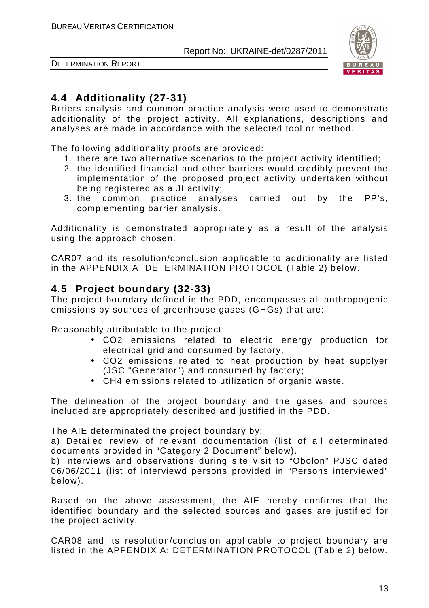

DETERMINATION REPORT

## **4.4 Additionality (27-31)**

Brriers analysis and common practice analysis were used to demonstrate additionality of the project activity. All explanations, descriptions and analyses are made in accordance with the selected tool or method.

The following additionality proofs are provided:

- 1. there are two alternative scenarios to the project activity identified;
- 2. the identified financial and other barriers would credibly prevent the implementation of the proposed project activity undertaken without being registered as a JI activity;
- 3. the common practice analyses carried out by the PP's, complementing barrier analysis.

Additionality is demonstrated appropriately as a result of the analysis using the approach chosen.

CAR07 and its resolution/conclusion applicable to additionality are listed in the APPENDIX A: DETERMINATION PROTOCOL (Table 2) below.

## **4.5 Project boundary (32-33)**

The project boundary defined in the PDD, encompasses all anthropogenic emissions by sources of greenhouse gases (GHGs) that are:

Reasonably attributable to the project:

- СО2 emissions related to electric energy production for electrical grid and consumed by factory;
- CO2 emissions related to heat production by heat supplyer (JSC "Generator") and consumed by factory;
- CH4 emissions related to utilization of organic waste.

The delineation of the project boundary and the gases and sources included are appropriately described and justified in the PDD.

The AIE determinated the project boundary by:

a) Detailed review of relevant documentation (list of all determinated documents provided in "Category 2 Document" below).

b) Interviews and observations during site visit to "Obolon" PJSC dated 06/06/2011 (list of interviewd persons provided in "Persons interviewed" below).

Based on the above assessment, the AIE hereby confirms that the identified boundary and the selected sources and gases are justified for the project activity.

CAR08 and its resolution/conclusion applicable to project boundary are listed in the APPENDIX A: DETERMINATION PROTOCOL (Table 2) below.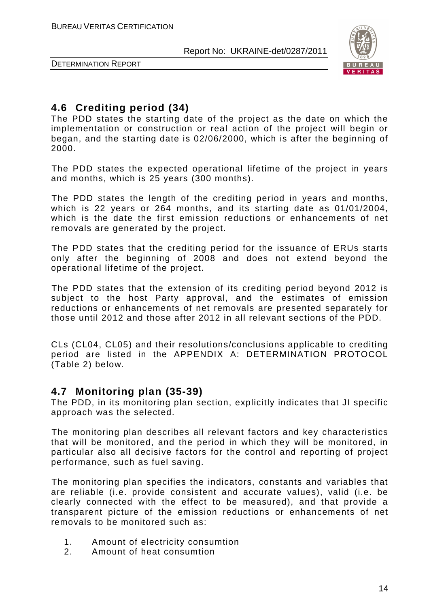

DETERMINATION REPORT

## **4.6 Crediting period (34)**

The PDD states the starting date of the project as the date on which the implementation or construction or real action of the project will begin or began, and the starting date is 02/06/2000, which is after the beginning of 2000.

The PDD states the expected operational lifetime of the project in years and months, which is 25 years (300 months).

The PDD states the length of the crediting period in years and months, which is 22 years or 264 months, and its starting date as 01/01/2004, which is the date the first emission reductions or enhancements of net removals are generated by the project.

The PDD states that the crediting period for the issuance of ERUs starts only after the beginning of 2008 and does not extend beyond the operational lifetime of the project.

The PDD states that the extension of its crediting period beyond 2012 is subject to the host Party approval, and the estimates of emission reductions or enhancements of net removals are presented separately for those until 2012 and those after 2012 in all relevant sections of the PDD.

CLs (CL04, CL05) and their resolutions/conclusions applicable to crediting period are listed in the APPENDIX A: DETERMINATION PROTOCOL (Table 2) below.

## **4.7 Monitoring plan (35-39)**

The PDD, in its monitoring plan section, explicitly indicates that JI specific approach was the selected.

The monitoring plan describes all relevant factors and key characteristics that will be monitored, and the period in which they will be monitored, in particular also all decisive factors for the control and reporting of project performance, such as fuel saving.

The monitoring plan specifies the indicators, constants and variables that are reliable (i.e. provide consistent and accurate values), valid (i.e. be clearly connected with the effect to be measured), and that provide a transparent picture of the emission reductions or enhancements of net removals to be monitored such as:

- 1. Amount of electricity consumtion
- 2. Amount of heat consumtion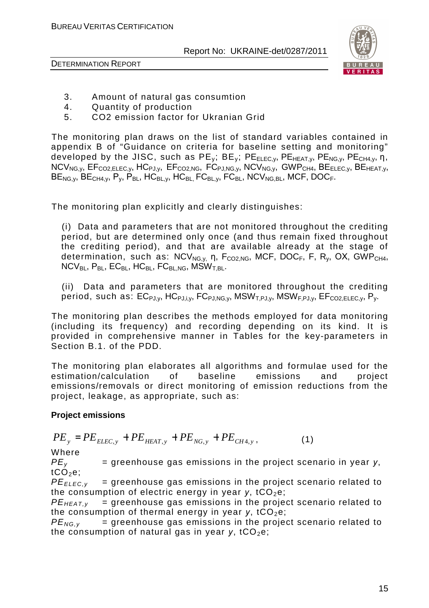DETERMINATION REPORT



- 3. Amount of natural gas consumtion
- 4. Quantity of production
- 5. CO2 emission factor for Ukranian Grid

The monitoring plan draws on the list of standard variables contained in appendix B of "Guidance on criteria for baseline setting and monitoring" developed by the JISC, such as  $PE_v$ ;  $BE_v$ ;  $PE_{ELEC,v}$ ,  $PE_{HEAT,v}$ ,  $PE_{NG,v}$ ,  $PE_{CH4,v}$ ,  $n$ ,  $NCV_{NG,V}$ ,  $EF_{CO2,ELEC,V}$ ,  $HC_{PJ,V}$ ,  $EF_{CO2,NG}$ ,  $FC_{PJ,NG,V}$ ,  $NCV_{NG,V}$ ,  $GWP_{CH4}$ ,  $BE_{ELEC,V}$ ,  $BE_{HEAT,V}$  $BE_{NG,y}$ ,  $BE_{CH4,y}$ ,  $P_y$ ,  $P_{BL}$ ,  $HC_{BL,y}$ ,  $HC_{BL}$ ,  $FC_{BL,y}$ ,  $FC_{BL}$ ,  $NCV_{NG,BL}$ ,  $MCF$ ,  $DOC_F$ .

The monitoring plan explicitly and clearly distinguishes:

(i) Data and parameters that are not monitored throughout the crediting period, but are determined only once (and thus remain fixed throughout the crediting period), and that are available already at the stage of determination, such as:  $NCV_{NGV}$ , n,  $F_{CO2,NG}$ , MCF, DOC<sub>F</sub>, F, R<sub>v</sub>, OX, GWP<sub>CH4</sub>,  $NCV_{BL}$ ,  $P_{BL}$ ,  $EC_{BL}$ ,  $HC_{BL}$ ,  $FC_{BL,NG}$ ,  $MSW_{T,BL}$ .

(ii) Data and parameters that are monitored throughout the crediting period, such as:  $EC_{PJ,V}$ , HC $_{PJ,i,v}$ , FC $_{PJ,NG,V}$ , MSW<sub>T.PJ.v</sub>, MSW<sub>F.PJ.v</sub>, EF<sub>CO2.ELEC.v</sub>, P<sub>v</sub>.

The monitoring plan describes the methods employed for data monitoring (including its frequency) and recording depending on its kind. It is provided in comprehensive manner in Tables for the key-parameters in Section B.1. of the PDD.

The monitoring plan elaborates all algorithms and formulae used for the estimation/calculation of baseline emissions and project emissions/removals or direct monitoring of emission reductions from the project, leakage, as appropriate, such as:

#### **Project emissions**

$$
PE_{y} = PE_{ELEC,y} + PE_{HEAT,y} + PE_{NG,y} + PE_{CH4,y}, \qquad (1)
$$

Where

 $PE<sub>v</sub>$  = greenhouse gas emissions in the project scenario in year  $y$ ,  $tCO<sub>2</sub>e$ ;

 $PE_{ELEC,v}$  = greenhouse gas emissions in the project scenario related to the consumption of electric energy in year  $y$ , tCO<sub>2</sub>e;

 $PE_{HEATV}$  = greenhouse gas emissions in the project scenario related to the consumption of thermal energy in year  $y$ , tCO<sub>2</sub>e;

 $PE_{NG,v}$  = greenhouse gas emissions in the project scenario related to the consumption of natural gas in year  $y$ , tCO<sub>2</sub>e;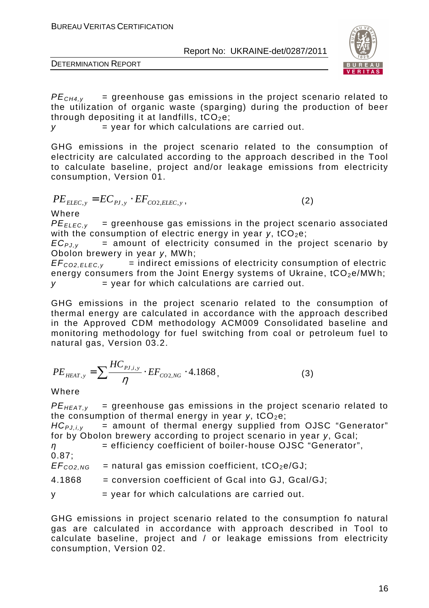

DETERMINATION REPORT

 $PE<sub>CH4,V</sub>$  = greenhouse gas emissions in the project scenario related to the utilization of organic waste (sparging) during the production of beer through depositing it at landfills,  $tCO<sub>2</sub>e$ ;

 $y = year$  for which calculations are carried out.

GHG emissions in the project scenario related to the consumption of electricity are calculated according to the approach described in the Tool to calculate baseline, project and/or leakage emissions from electricity consumption, Version 01.

$$
PE_{ELLC,y} = EC_{PJ,y} \cdot EF_{CO2,ELEC,y},\tag{2}
$$

Where

 $PE_{FIEC,V}$  = greenhouse gas emissions in the project scenario associated with the consumption of electric energy in year *y*, tCO<sub>2</sub>e;

 $EC_{PJ,V}$  = amount of electricity consumed in the project scenario by Obolon brewery in year *у*, MWh;

 $EF_{CO2.ELEC.v}$  = indirect emissions of electricity consumption of electric energy consumers from the Joint Energy systems of Ukraine,  $tCO<sub>2</sub>e/MWh$ ;  $y = year$  for which calculations are carried out.

GHG emissions in the project scenario related to the consumption of thermal energy are calculated in accordance with the approach described in the Approved CDM methodology ACM009 Consolidated baseline and monitoring methodology for fuel switching from coal or petroleum fuel to natural gas, Version 03.2.

$$
PE_{HEAT,y} = \sum \frac{HC_{p_{J,i,y}}}{\eta} \cdot EF_{CO2,NG} \cdot 4.1868, \tag{3}
$$

Where

 $PE_{HEAT,v}$  = greenhouse gas emissions in the project scenario related to the consumption of thermal energy in year  $y$ , tCO<sub>2</sub>e;

HC<sub>PJ,*i*,y</sub> = amount of thermal energy supplied from OJSC "Generator" for by Obolon brewery according to project scenario in year y, Gcal;

*η* = efficiency coefficient of boiler-house OJSC "Generator", 0.87;

 $EF_{CO2,NG}$  = natural gas emission coefficient, tCO<sub>2</sub>e/GJ;

4.1868 = conversion coefficient of Gcal into GJ, Gcal/GJ;

 $y = year$  for which calculations are carried out.

GHG emissions in project scenario related to the consumption fo natural gas are calculated in accordance with approach described in Tool to calculate baseline, project and / or leakage emissions from electricity consumption, Version 02.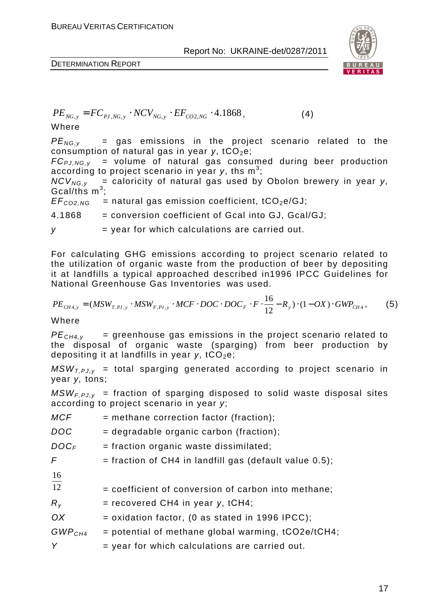$$
PE_{NG,y} = FC_{PI,NG,y} \cdot NCV_{NG,y} \cdot EF_{CO2,NG} \cdot 4.1868,
$$
 (4)

Where

 $PE_{NG,V}$  = gas emissions in the project scenario related to the consumption of natural gas in year *y*, tCO<sub>2</sub>e;

 $FC_{PLNG,V}$  = volume of natural gas consumed during beer production according to project scenario in year y, ths  $\textsf{m}^{3}$ ;

 $NCV_{NG,v}$  = caloricity of natural gas used by Obolon brewery in year y, Gcal/ths  $m^3$ ;

 $EF_{CO2,NG}$  = natural gas emission coefficient, tCO<sub>2</sub>e/GJ;

4.1868 = conversion coefficient of Gcal into GJ, Gcal/GJ;

 $y = year$  for which calculations are carried out.

For calculating GHG emissions according to project scenario related to the utilization of organic waste from the production of beer by depositing it at landfills a typical approached described in1996 IPCC Guidelines for National Greenhouse Gas Inventories was used.

$$
PE_{CH4,y} = (MSW_{T,PI,y} \cdot MSW_{F,PI,y} \cdot MCF \cdot DOC \cdot DOC_F \cdot F \cdot \frac{16}{12} - R_y) \cdot (1 - OX) \cdot GWP_{CH4},
$$
 (5)

Where

 $PE<sub>CH4,v</sub>$  = greenhouse gas emissions in the project scenario related to the disposal of organic waste (sparging) from beer production by depositing it at landfills in year *y*, tCO<sub>2</sub>e;

 $MSW_{T.PJ,y}$  = total sparging generated according to project scenario in year y, tons;

 $MSW_{F.PJ,V}$  = fraction of sparging disposed to solid waste disposal sites according to project scenario in year y;

| MCF                | = methane correction factor (fraction);                  |
|--------------------|----------------------------------------------------------|
| <b>DOC</b>         | $=$ degradable organic carbon (fraction);                |
| $DOC_F$            | $=$ fraction organic waste dissimilated;                 |
| F                  | $=$ fraction of CH4 in landfill gas (default value 0.5); |
| $\frac{16}{12}$    |                                                          |
|                    | = coefficient of conversion of carbon into methane;      |
| $R_{V}$            | $=$ recovered CH4 in year y, tCH4;                       |
| OX                 | $=$ oxidation factor, (0 as stated in 1996 IPCC);        |
| GWP <sub>CH4</sub> | $=$ potential of methane global warming, $tCO2e/tCH4$ ;  |
| Y                  | $=$ year for which calculations are carried out.         |
|                    |                                                          |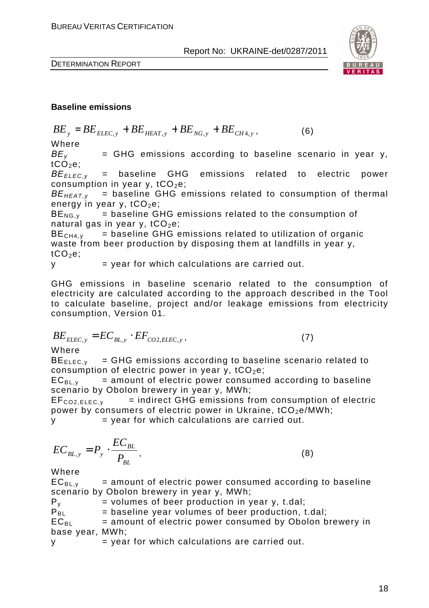

$$
BE_{y} = BE_{ELEC,y} + BE_{HEAT,y} + BE_{NG,y} + BE_{CH4,y},
$$
\n(6)

Where

 $BE<sub>v</sub>$  = GHG emissions according to baseline scenario in year y,  $tCO<sub>2</sub>e;$ 

*BE<sub>ELEC.v</sub>* = baseline GHG emissions related to electric power consumption in year  $y$ ,  $tCO<sub>2</sub>e$ ;

 $BE_{HEAT,v}$  = baseline GHG emissions related to consumption of thermal energy in year  $y$ ,  $tCO<sub>2</sub>e$ ;

 $BE_{NG.v}$  = baseline GHG emissions related to the consumption of natural gas in year y,  $tCO<sub>2</sub>e$ ;

 $BE<sub>CH4,V</sub>$  = baseline GHG emissions related to utilization of organic waste from beer production by disposing them at landfills in year y,  $tCO<sub>2</sub>e;$ 

 $y = year$  for which calculations are carried out.

GHG emissions in baseline scenario related to the consumption of electricity are calculated according to the approach described in the Tool to calculate baseline, project and/or leakage emissions from electricity consumption, Version 01.

$$
BE_{ELLC,y} = EC_{BL,y} \cdot EF_{CO2,ELEC,y},\tag{7}
$$

Where

 $BE_{\text{FIEC,V}}$  = GHG emissions according to baseline scenario related to consumption of electric power in year  $y$ , tCO<sub>2</sub>e;

 $EC_{BL,v}$  = amount of electric power consumed according to baseline scenario by Obolon brewery in year у, MWh;

 $EF_{CO2.ELEC.v}$  = indirect GHG emissions from consumption of electric power by consumers of electric power in Ukraine,  $tCO_2e/MWh$ ;

 $y = year$  for which calculations are carried out.

$$
EC_{BL,y} = P_y \cdot \frac{EC_{BL}}{P_{BL}},\tag{8}
$$

Where

 $EC_{BL, v}$  = amount of electric power consumed according to baseline

scenario by Obolon brewery in year y, MWh;<br> $P_y$  = volumes of beer production in y  $=$  volumes of beer production in year y, t.dal;  $P_{\text{BI}}$  = baseline year volumes of beer production, t.dal;  $EC_{BI}$  = amount of electric power consumed by Obolon brewery in base year, MWh;

$$
y = year for which calculations are carried out.
$$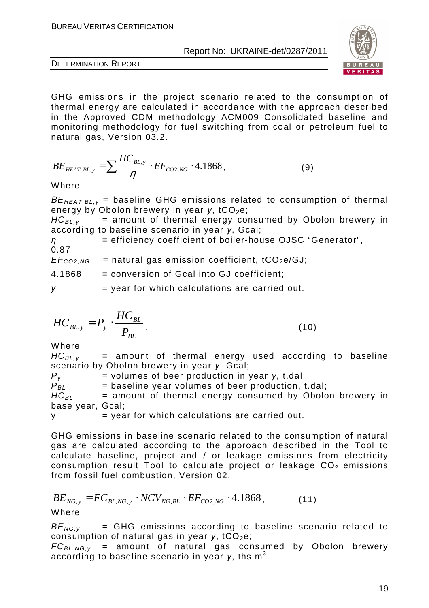

DETERMINATION REPORT

GHG emissions in the project scenario related to the consumption of thermal energy are calculated in accordance with the approach described in the Approved CDM methodology ACM009 Consolidated baseline and monitoring methodology for fuel switching from coal or petroleum fuel to natural gas, Version 03.2.

$$
BE_{HEAT,BL,y} = \sum \frac{HC_{BL,y}}{\eta} \cdot EF_{CO2,NG} \cdot 4.1868, \tag{9}
$$

Where

*BE<sub>HEAT.BL,v</sub>* = baseline GHG emissions related to consumption of thermal energy by Obolon brewery in year *y*, tCO<sub>2</sub>e;

 $HC_{BL,v}$  = amount of thermal energy consumed by Obolon brewery in according to baseline scenario in year *у*, Gcal;

*η* = efficiency coefficient of boiler-house OJSC "Generator",

0.87;  $EF_{CO2,NG}$  = natural gas emission coefficient, tCO<sub>2</sub>e/GJ;

4.1868 = conversion of Gcal into GJ coefficient;

 $y = \text{year}$  for which calculations are carried out.

$$
HC_{BL,y} = P_y \cdot \frac{HC_{BL}}{P_{BL}},
$$
\n(10)

Where

 $HC_{BL,v}$  = amount of thermal energy used according to baseline scenario by Obolon brewery in year *у*, Gcal;

 $P_y$  = volumes of beer production in year *y*, t.dal;<br> $P_{BI}$  = baseline year volumes of beer production, t  $=$  baseline year volumes of beer production, t.dal;

 $HC_{BL}$  = amount of thermal energy consumed by Obolon brewery in base year, Gcal;

 $v =$  vear for which calculations are carried out.

GHG emissions in baseline scenario related to the consumption of natural gas are calculated according to the approach described in the Tool to calculate baseline, project and / or leakage emissions from electricity consumption result Tool to calculate project or leakage  $CO<sub>2</sub>$  emissions from fossil fuel combustion, Version 02.

$$
BE_{NG,y} = FC_{BL,NG,y} \cdot NCV_{NG, BL} \cdot EF_{CO2, NG} \cdot 4.1868, \tag{11}
$$

 $BE_{NG,v}$  = GHG emissions according to baseline scenario related to consumption of natural gas in year *y*, tCO<sub>2</sub>e;

 $FC_{BL, NG, y}$  = amount of natural gas consumed by Obolon brewery according to baseline scenario in year y, ths m<sup>3</sup>;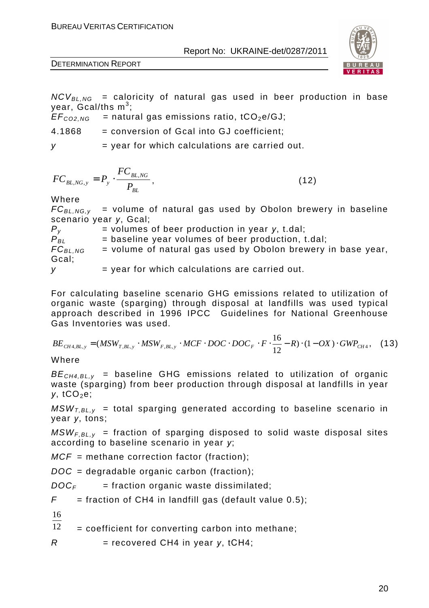

DETERMINATION REPORT

 $NCV_{BL, NG}$  = caloricity of natural gas used in beer production in base year, Gcal/ths  $\mathsf{m}^3;$ 

 $EF<sub>CO2,NG</sub>$  = natural gas emissions ratio, tCO<sub>2</sub>e/GJ;

4.1868 = conversion of Gcal into GJ coefficient;

 $y = year$  for which calculations are carried out.

$$
FC_{BL,NG,y} = P_y \cdot \frac{FC_{BL,NG}}{P_{BL}},
$$
\n(12)

Where

 $FC_{BI, NGV}$  = volume of natural gas used by Obolon brewery in baseline scenario year *у*, Gcal;

| $P_{V}$      | $=$ volumes of beer production in year y, t.dal;             |
|--------------|--------------------------------------------------------------|
| $P_{BL}$     | $=$ baseline year volumes of beer production, t.dal;         |
| $FC_{BL,NG}$ | = volume of natural gas used by Obolon brewery in base year, |
| Gcal;        |                                                              |
|              | $=$ year for which calculations are carried out.             |

For calculating baseline scenario GHG emissions related to utilization of organic waste (sparging) through disposal at landfills was used typical approach described in 1996 IPCC Guidelines for National Greenhouse Gas Inventories was used.

$$
BE_{CH4,BL,y} = (MSW_{T,BL,y} \cdot MSW_{F,BL,y} \cdot MCF \cdot DOC \cdot DOC \cdot DOC_F \cdot F \cdot \frac{16}{12} - R) \cdot (1 - OX) \cdot GWP_{CH4}, \quad (13)
$$

Where

 $BE<sub>CH4,BLV</sub>$  = baseline GHG emissions related to utilization of organic waste (sparging) from beer production through disposal at landfills in year *у*, tCO<sub>2</sub>e;

 $MSW_{LBL,v}$  = total sparging generated according to baseline scenario in year *у*, tons;

 $MSW_{F,BL,v}$  = fraction of sparging disposed to solid waste disposal sites according to baseline scenario in year *у*;

 $MCF$  = methane correction factor (fraction);

 $DOC = degradable organic carbon (fraction);$ 

 $DOC<sub>F</sub>$  = fraction organic waste dissimilated;

 $F =$  fraction of CH4 in landfill gas (default value 0.5);

16

12 = coefficient for converting carbon into methane;

 $R =$  recovered CH4 in year  $v$ , tCH4;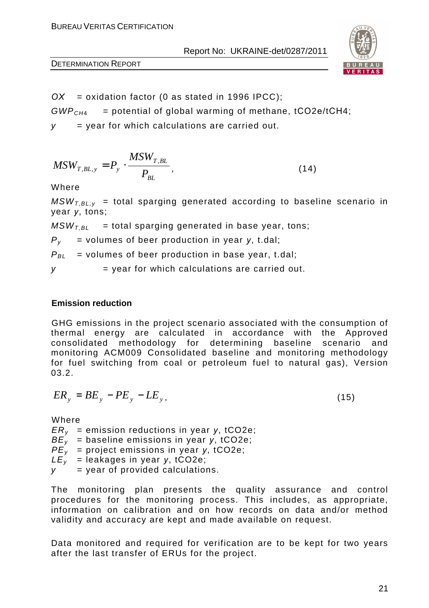

*ОХ* = oxidation factor (0 as stated in 1996 IPCC);

 $GWP<sub>CH4</sub>$  = potential of global warming of methane, tCO2e/tCH4;

 $y =$  year for which calculations are carried out.

$$
MSW_{T,BL,y} = P_y \cdot \frac{MSW_{T,BL}}{P_{BL}},
$$
\n(14)

Where

 $MSW<sub>TRLV</sub>$  = total sparging generated according to baseline scenario in year *у*, tons;

 $MSW<sub>TH</sub>$  = total sparging generated in base year, tons;

 $P_v$  = volumes of beer production in year *y*, t.dal;

 $P_{BL}$  = volumes of beer production in base year, t.dal;

 $y = year$  for which calculations are carried out.

#### **Emission reduction**

GHG emissions in the project scenario associated with the consumption of thermal energy are calculated in accordance with the Approved consolidated methodology for determining baseline scenario and monitoring ACM009 Consolidated baseline and monitoring methodology for fuel switching from coal or petroleum fuel to natural gas), Version 03.2.

$$
ER_{y} = BE_{y} - PE_{y} - LE_{y},\tag{15}
$$

Where

ERy = emission reductions in year *у*, tCO2e; BEy = baseline emissions in year *у*, tCO2e; PEy = project emissions in year *у*, tCO2e; LEy = leakages in year *у*, tCO2e; y = year of provided calculations.

The monitoring plan presents the quality assurance and control procedures for the monitoring process. This includes, as appropriate, information on calibration and on how records on data and/or method validity and accuracy are kept and made available on request.

Data monitored and required for verification are to be kept for two years after the last transfer of ERUs for the project.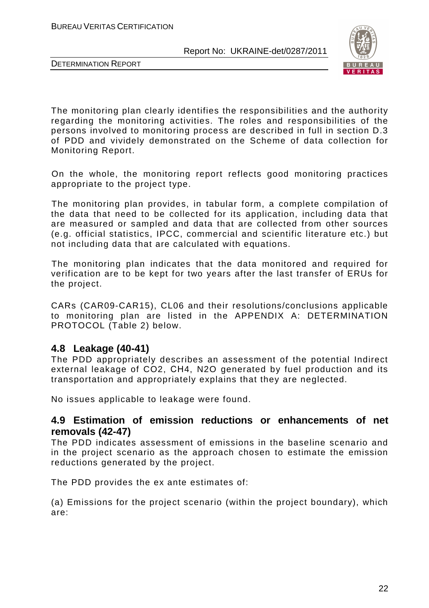



The monitoring plan clearly identifies the responsibilities and the authority regarding the monitoring activities. The roles and responsibilities of the persons involved to monitoring process are described in full in section D.3 of PDD and vividely demonstrated on the Scheme of data collection for Monitoring Report.

On the whole, the monitoring report reflects good monitoring practices appropriate to the project type.

The monitoring plan provides, in tabular form, a complete compilation of the data that need to be collected for its application, including data that are measured or sampled and data that are collected from other sources (e.g. official statistics, IPCC, commercial and scientific literature etc.) but not including data that are calculated with equations.

The monitoring plan indicates that the data monitored and required for verification are to be kept for two years after the last transfer of ERUs for the project.

CARs (CAR09-CAR15), CL06 and their resolutions/conclusions applicable to monitoring plan are listed in the APPENDIX A: DETERMINATION PROTOCOL (Table 2) below.

## **4.8 Leakage (40-41)**

The PDD appropriately describes an assessment of the potential Indirect external leakage of CO2, СН4, N2O generated by fuel production and its transportation and appropriately explains that they are neglected.

No issues applicable to leakage were found.

## **4.9 Estimation of emission reductions or enhancements of net removals (42-47)**

The PDD indicates assessment of emissions in the baseline scenario and in the project scenario as the approach chosen to estimate the emission reductions generated by the project.

The PDD provides the ex ante estimates of:

(a) Emissions for the project scenario (within the project boundary), which are: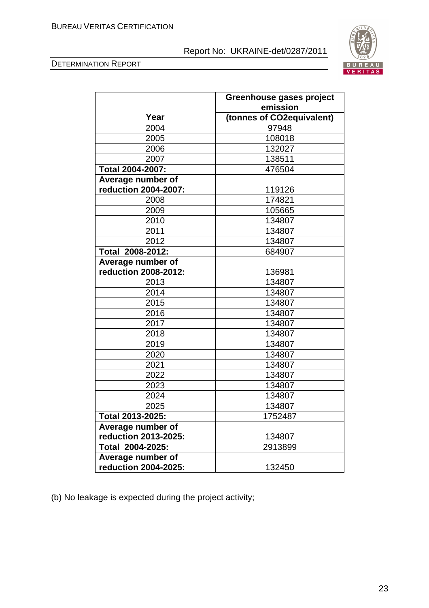



| Greenhouse gases project<br>emission |                           |
|--------------------------------------|---------------------------|
| Year                                 | (tonnes of CO2equivalent) |
| 2004                                 | 97948                     |
| 2005                                 | 108018                    |
| 2006                                 | 132027                    |
| 2007                                 | 138511                    |
| Total 2004-2007:                     | 476504                    |
| Average number of                    |                           |
| reduction 2004-2007:                 | 119126                    |
| 2008                                 | 174821                    |
| 2009                                 | 105665                    |
| 2010                                 | 134807                    |
| 2011                                 | 134807                    |
| 2012                                 | 134807                    |
| Total 2008-2012:                     | 684907                    |
| Average number of                    |                           |
| reduction 2008-2012:                 | 136981                    |
| 2013                                 | 134807                    |
| 2014                                 | 134807                    |
| 2015                                 | 134807                    |
| 2016                                 | 134807                    |
| 2017                                 | 134807                    |
| 2018                                 | 134807                    |
| 2019                                 | 134807                    |
| 2020                                 | 134807                    |
| 2021                                 | 134807                    |
| 2022                                 | 134807                    |
| 2023                                 | 134807                    |
| 2024                                 | 134807                    |
| 2025                                 | 134807                    |
| Total 2013-2025:                     | 1752487                   |
| Average number of                    |                           |
| reduction 2013-2025:                 | 134807                    |
| Total 2004-2025:                     | 2913899                   |
| Average number of                    |                           |
| reduction 2004-2025:                 | 132450                    |

(b) No leakage is expected during the project activity;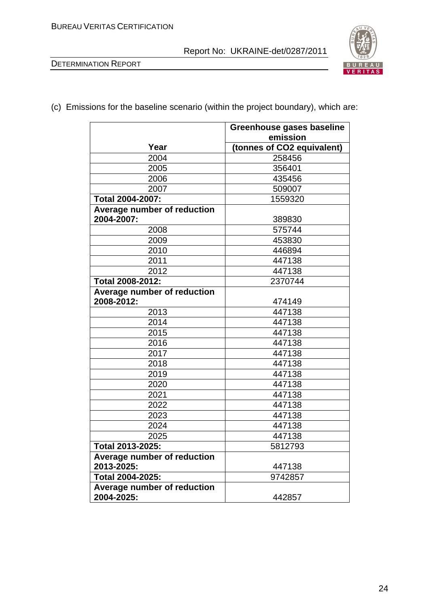



(c) Emissions for the baseline scenario (within the project boundary), which are:

|                             | Greenhouse gases baseline  |
|-----------------------------|----------------------------|
|                             | emission                   |
| Year                        | (tonnes of CO2 equivalent) |
| 2004                        | 258456                     |
| 2005                        | 356401                     |
| 2006                        | 435456                     |
| 2007                        | 509007                     |
| Total 2004-2007:            | 1559320                    |
| Average number of reduction |                            |
| 2004-2007:                  | 389830                     |
| 2008                        | 575744                     |
| 2009                        | 453830                     |
| 2010                        | 446894                     |
| 2011                        | 447138                     |
| 2012                        | 447138                     |
| Total 2008-2012:            | 2370744                    |
| Average number of reduction |                            |
| 2008-2012:                  | 474149                     |
| 2013                        | 447138                     |
| 2014                        | 447138                     |
| 2015                        | 447138                     |
| 2016                        | 447138                     |
| 2017                        | 447138                     |
| 2018                        | 447138                     |
| 2019                        | 447138                     |
| 2020                        | 447138                     |
| 2021                        | 447138                     |
| 2022                        | 447138                     |
| 2023                        | 447138                     |
| 2024                        | 447138                     |
| 2025                        | 447138                     |
| Total 2013-2025:            | 5812793                    |
| Average number of reduction |                            |
| 2013-2025:                  | 447138                     |
| Total 2004-2025:<br>9742857 |                            |
| Average number of reduction |                            |
| 2004-2025:                  | 442857                     |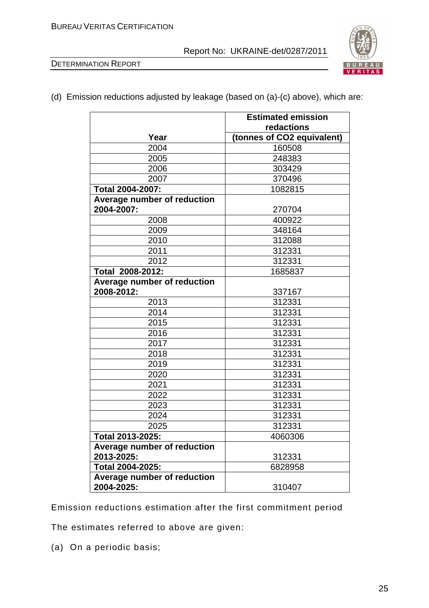



(d) Emission reductions adjusted by leakage (based on (a)-(c) above), which are:

|                             | <b>Estimated emission</b>  |
|-----------------------------|----------------------------|
|                             | redactions                 |
| Year                        | (tonnes of CO2 equivalent) |
| 2004                        | 160508                     |
| 2005                        | 248383                     |
| 2006                        | 303429                     |
| 2007                        | 370496                     |
| <b>Total 2004-2007:</b>     | 1082815                    |
| Average number of reduction |                            |
| 2004-2007:                  | 270704                     |
| 2008                        | 400922                     |
| 2009                        | 348164                     |
| 2010                        | 312088                     |
| 2011                        | 312331                     |
| 2012                        | 312331                     |
| Total 2008-2012:            | 1685837                    |
| Average number of reduction |                            |
| 2008-2012:                  | 337167                     |
| 2013                        | 312331                     |
| 2014                        | 312331                     |
| 2015                        | 312331                     |
| 2016                        | 312331                     |
| 2017                        | 312331                     |
| 2018                        | 312331                     |
| 2019                        | 312331                     |
| 2020                        | 312331                     |
| 2021                        | 312331                     |
| 2022                        | 312331                     |
| 2023                        | 312331                     |
| 2024                        | 312331                     |
| 2025                        | 312331                     |
| Total 2013-2025:            | 4060306                    |
| Average number of reduction |                            |
| 2013-2025:                  | 312331                     |
| Total 2004-2025:            | 6828958                    |
| Average number of reduction |                            |
| 2004-2025:                  | 310407                     |

Emission reductions estimation after the first commitment period

The estimates referred to above are given:

(a) On a periodic basis;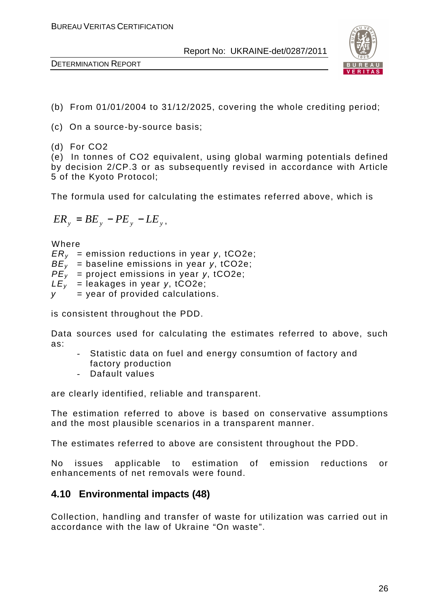

- (b) From 01/01/2004 to 31/12/2025, covering the whole crediting period;
- (c) On a source-by-source basis;
- (d) For CO2

(e) In tonnes of CO2 equivalent, using global warming potentials defined by decision 2/CP.3 or as subsequently revised in accordance with Article 5 of the Kyoto Protocol;

The formula used for calculating the estimates referred above, which is

$$
ER_{y} = BE_{y} - PE_{y} - LE_{y},
$$

Where

ERy = emission reductions in year *у*, tCO2e; BEy = baseline emissions in year *у*, tCO2e; PEy = project emissions in year *у*, tCO2e;  $LE<sub>v</sub>$  = leakages in year *y*, tCO2e;  $y = year$  of provided calculations.

is consistent throughout the PDD.

Data sources used for calculating the estimates referred to above, such as:

- Statistic data on fuel and energy consumtion of factory and factory production
- Dafault values

are clearly identified, reliable and transparent.

The estimation referred to above is based on conservative assumptions and the most plausible scenarios in a transparent manner.

The estimates referred to above are consistent throughout the PDD.

No issues applicable to estimation of emission reductions or enhancements of net removals were found.

## **4.10 Environmental impacts (48)**

Collection, handling and transfer of waste for utilization was carried out in accordance with the law of Ukraine "On waste".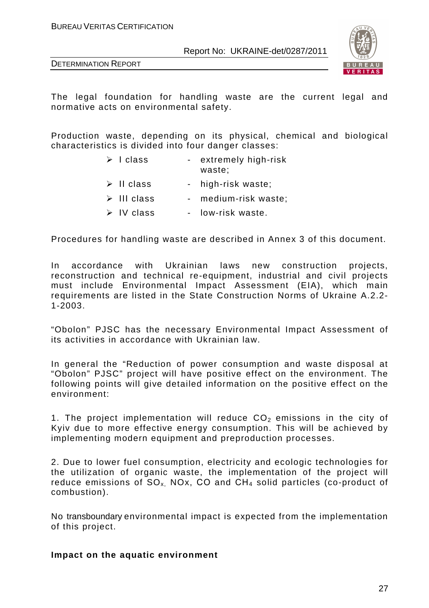DETERMINATION REPORT



The legal foundation for handling waste are the current legal and normative acts on environmental safety.

Production waste, depending on its physical, chemical and biological characteristics is divided into four danger classes:

- $\triangleright$  I class extremely high-risk waste;
- $\triangleright$  II class high-risk waste;
- $\triangleright$  III class medium-risk waste;
- $\triangleright$  IV class low-risk waste.

Procedures for handling waste are described in Annex 3 of this document.

In accordance with Ukrainian laws new construction projects, reconstruction and technical re-equipment, industrial and civil projects must include Environmental Impact Assessment (EIA), which main requirements are listed in the State Construction Norms of Ukraine A.2.2- 1-2003.

"Obolon" PJSC has the necessary Environmental Impact Assessment of its activities in accordance with Ukrainian law.

In general the "Reduction of power consumption and waste disposal at "Obolon" PJSC" project will have positive effect on the environment. The following points will give detailed information on the positive effect on the environment:

1. The project implementation will reduce  $CO<sub>2</sub>$  emissions in the city of Kyiv due to more effective energy consumption. This will be achieved by implementing modern equipment and preproduction processes.

2. Due to lower fuel consumption, electricity and ecologic technologies for the utilization of organic waste, the implementation of the project will reduce emissions of  $SO_x$  NOx, CO and  $CH_4$  solid particles (co-product of combustion).

No transboundary environmental impact is expected from the implementation of this project.

#### **Impact on the aquatic environment**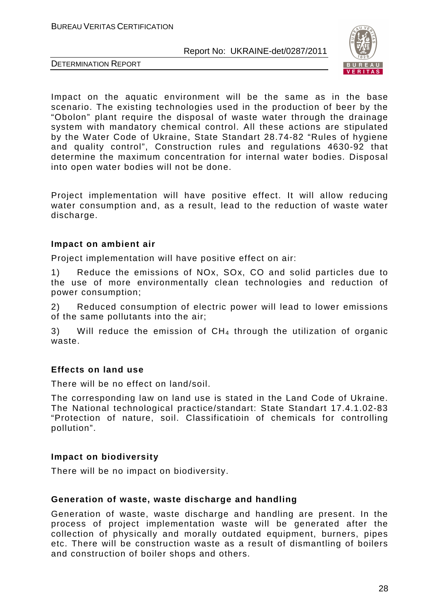

DETERMINATION REPORT

Impact on the aquatic environment will be the same as in the base scenario. The existing technologies used in the production of beer by the "Obolon" plant require the disposal of waste water through the drainage system with mandatory chemical control. All these actions are stipulated by the Water Code of Ukraine, State Standart 28.74-82 "Rules of hygiene and quality control", Construction rules and regulations 4630-92 that determine the maximum concentration for internal water bodies. Disposal into open water bodies will not be done.

Project implementation will have positive effect. It will allow reducing water consumption and, as a result, lead to the reduction of waste water discharge.

#### **Impact on ambient air**

Project implementation will have positive effect on air:

1) Reduce the emissions of NOx, SOx, CO and solid particles due to the use of more environmentally clean technologies and reduction of power consumption;

2) Reduced consumption of electric power will lead to lower emissions of the same pollutants into the air;

3) Will reduce the emission of  $CH_4$  through the utilization of organic waste.

#### **Effects on land use**

There will be no effect on land/soil.

The corresponding law on land use is stated in the Land Code of Ukraine. The National technological practice/standart: State Standart 17.4.1.02-83 "Protection of nature, soil. Classificatioin of chemicals for controlling pollution".

#### **Impact on biodiversity**

There will be no impact on biodiversity.

#### **Generation of waste, waste discharge and handling**

Generation of waste, waste discharge and handling are present. In the process of project implementation waste will be generated after the collection of physically and morally outdated equipment, burners, pipes etc. There will be construction waste as a result of dismantling of boilers and construction of boiler shops and others.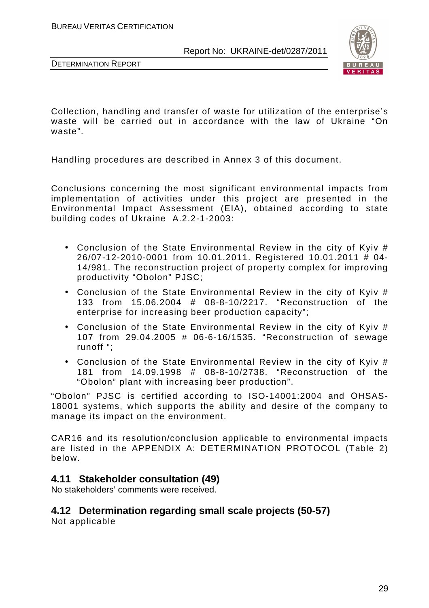

DETERMINATION REPORT

Collection, handling and transfer of waste for utilization of the enterprise's waste will be carried out in accordance with the law of Ukraine "On waste".

Handling procedures are described in Annex 3 of this document.

Conclusions concerning the most significant environmental impacts from implementation of activities under this project are presented in the Environmental Impact Assessment (EIA), obtained according to state building codes of Ukraine A.2.2-1-2003:

- Conclusion of the State Environmental Review in the city of Kyiv # 26/07-12-2010-0001 from 10.01.2011. Registered 10.01.2011 # 04- 14/981. The reconstruction project of property complex for improving productivity "Obolon" PJSC;
- Conclusion of the State Environmental Review in the city of Kyiv # 133 from 15.06.2004 # 08-8-10/2217. "Reconstruction of the enterprise for increasing beer production capacity";
- Conclusion of the State Environmental Review in the city of Kyiv # 107 from 29.04.2005 # 06-6-16/1535. "Reconstruction of sewage runoff ";
- Conclusion of the State Environmental Review in the city of Kyiv # 181 from 14.09.1998 # 08-8-10/2738. "Reconstruction of the "Obolon" plant with increasing beer production".

"Obolon" PJSC is certified according to ISO-14001:2004 and ОHSAS-18001 systems, which supports the ability and desire of the company to manage its impact on the environment.

CAR16 and its resolution/conclusion applicable to environmental impacts are listed in the APPENDIX A: DETERMINATION PROTOCOL (Table 2) below.

## **4.11 Stakeholder consultation (49)**

No stakeholders' comments were received.

## **4.12 Determination regarding small scale projects (50-57)**

Not applicable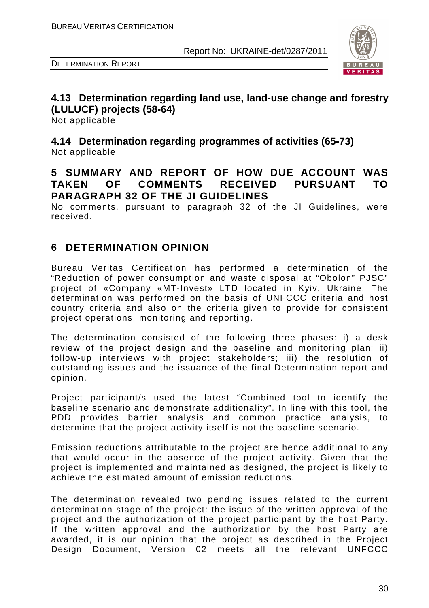



## **4.13 Determination regarding land use, land-use change and forestry (LULUCF) projects (58-64)**

Not applicable

**4.14 Determination regarding programmes of activities (65-73)**  Not applicable

## **5 SUMMARY AND REPORT OF HOW DUE ACCOUNT WAS TAKEN OF COMMENTS RECEIVED PURSUANT TO PARAGRAPH 32 OF THE JI GUIDELINES**

No comments, pursuant to paragraph 32 of the JI Guidelines, were received.

## **6 DETERMINATION OPINION**

Bureau Veritas Certification has performed a determination of the "Reduction of power consumption and waste disposal at "Obolon" PJSC" project of «Company «MT-Invest» LTD located in Kyiv, Ukraine. The determination was performed on the basis of UNFCCC criteria and host country criteria and also on the criteria given to provide for consistent project operations, monitoring and reporting.

The determination consisted of the following three phases: i) a desk review of the project design and the baseline and monitoring plan; ii) follow-up interviews with project stakeholders; iii) the resolution of outstanding issues and the issuance of the final Determination report and opinion.

Project participant/s used the latest "Combined tool to identify the baseline scenario and demonstrate additionality". In line with this tool, the PDD provides barrier analysis and common practice analysis, to determine that the project activity itself is not the baseline scenario.

Emission reductions attributable to the project are hence additional to any that would occur in the absence of the project activity. Given that the project is implemented and maintained as designed, the project is likely to achieve the estimated amount of emission reductions.

The determination revealed two pending issues related to the current determination stage of the project: the issue of the written approval of the project and the authorization of the project participant by the host Party. If the written approval and the authorization by the host Party are awarded, it is our opinion that the project as described in the Project Design Document, Version 02 meets all the relevant UNFCCC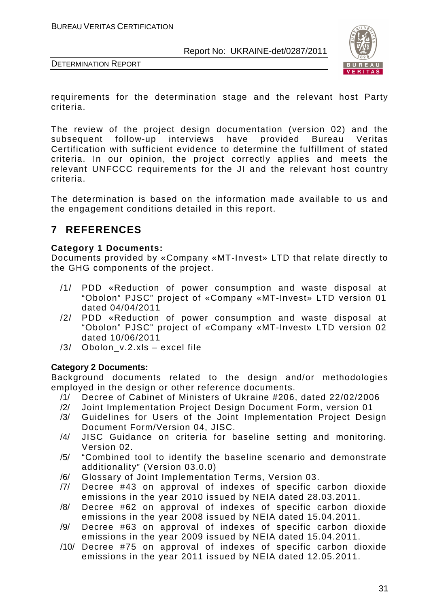

DETERMINATION REPORT

requirements for the determination stage and the relevant host Party criteria.

The review of the project design documentation (version 02) and the subsequent follow-up interviews have provided Bureau Veritas Certification with sufficient evidence to determine the fulfillment of stated criteria. In our opinion, the project correctly applies and meets the relevant UNFCCC requirements for the JI and the relevant host country criteria.

The determination is based on the information made available to us and the engagement conditions detailed in this report.

## **7 REFERENCES**

#### **Category 1 Documents:**

Documents provided by «Company «MT-Invest» LTD that relate directly to the GHG components of the project.

- /1/ PDD «Reduction of power consumption and waste disposal at "Obolon" PJSC" project of «Company «MT-Invest» LTD version 01 dated 04/04/2011
- /2/ PDD «Reduction of power consumption and waste disposal at "Obolon" PJSC" project of «Company «MT-Invest» LTD version 02 dated 10/06/2011
- /3/ Obolon\_v.2.xls excel file

#### **Category 2 Documents:**

Background documents related to the design and/or methodologies employed in the design or other reference documents.

- /1/ Decree of Cabinet of Ministers of Ukraine #206, dated 22/02/2006
- /2/ Joint Implementation Project Design Document Form, version 01
- /3/ Guidelines for Users of the Joint Implementation Project Design Document Form/Version 04, JISC.
- /4/ JISC Guidance on criteria for baseline setting and monitoring. Version 02.
- /5/ "Combined tool to identify the baseline scenario and demonstrate additionality" (Version 03.0.0)
- /6/ Glossary of Joint Implementation Terms, Version 03.
- /7/ Decree #43 on approval of indexes of specific carbon dioxide emissions in the year 2010 issued by NEIA dated 28.03.2011.
- /8/ Decree #62 on approval of indexes of specific carbon dioxide emissions in the year 2008 issued by NEIA dated 15.04.2011.
- /9/ Decree #63 on approval of indexes of specific carbon dioxide emissions in the year 2009 issued by NEIA dated 15.04.2011.
- /10/ Decree #75 on approval of indexes of specific carbon dioxide emissions in the year 2011 issued by NEIA dated 12.05.2011.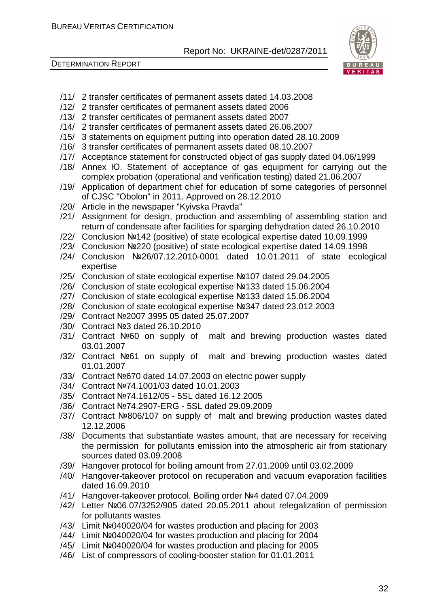

- /11/ 2 transfer certificates of permanent assets dated 14.03.2008
- /12/ 2 transfer certificates of permanent assets dated 2006
- /13/ 2 transfer certificates of permanent assets dated 2007
- /14/ 2 transfer certificates of permanent assets dated 26.06.2007
- /15/ 3 statements on equipment putting into operation dated 28.10.2009
- /16/ 3 transfer certificates of permanent assets dated 08.10.2007
- /17/ Acceptance statement for constructed object of gas supply dated 04.06/1999
- /18/ Annex Ю. Statement of acceptance of gas equipment for carrying out the complex probation (operational and verification testing) dated 21.06.2007
- /19/ Application of department chief for education of some categories of personnel of CJSC "Obolon" in 2011. Approved on 28.12.2010
- /20/ Article in the newspaper "Kyivska Pravda"
- /21/ Assignment for design, production and assembling of assembling station and return of condensate after facilities for sparging dehydration dated 26.10.2010
- /22/ Conclusion №142 (positive) of state ecological expertise dated 10.09.1999
- /23/ Conclusion №220 (positive) of state ecological expertise dated 14.09.1998
- /24/ Conclusion №26/07.12.2010-0001 dated 10.01.2011 of state ecological expertise
- /25/ Conclusion of state ecological expertise №107 dated 29.04.2005
- /26/ Conclusion of state ecological expertise №133 dated 15.06.2004
- /27/ Conclusion of state ecological expertise №133 dated 15.06.2004
- /28/ Conclusion of state ecological expertise №347 dated 23.012.2003
- /29/ Contract №2007 3995 05 dated 25.07.2007
- /30/ Contract №3 dated 26.10.2010
- /31/ Contract №60 on supply of malt and brewing production wastes dated 03.01.2007
- /32/ Contract №61 on supply of malt and brewing production wastes dated 01.01.2007
- /33/ Contract №670 dated 14.07.2003 on electric power supply
- /34/ Contract №74.1001/03 dated 10.01.2003
- /35/ Contract №74.1612/05 5SL dated 16.12.2005
- /36/ Contract №74.2907-ERG 5SL dated 29.09.2009
- /37/ Contract №806/107 on supply of malt and brewing production wastes dated 12.12.2006
- /38/ Documents that substantiate wastes amount, that are necessary for receiving the permission for pollutants emission into the atmospheric air from stationary sources dated 03.09.2008
- /39/ Hangover protocol for boiling amount from 27.01.2009 until 03.02.2009
- /40/ Hangover-takeover protocol on recuperation and vacuum evaporation facilities dated 16.09.2010
- /41/ Hangover-takeover protocol. Boiling order №4 dated 07.04.2009
- /42/ Letter №06.07/3252/905 dated 20.05.2011 about relegalization of permission for pollutants wastes
- /43/ Limit №040020/04 for wastes production and placing for 2003
- /44/ Limit №040020/04 for wastes production and placing for 2004
- /45/ Limit №040020/04 for wastes production and placing for 2005
- /46/ List of compressors of cooling-booster station for 01.01.2011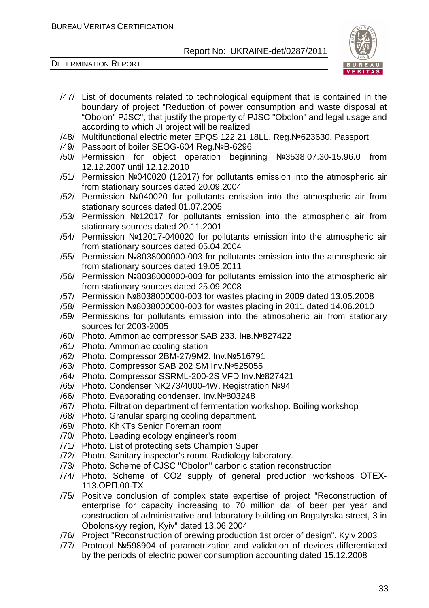



- /47/ List of documents related to technological equipment that is contained in the boundary of project "Reduction of power consumption and waste disposal at "Obolon" PJSC", that justify the property of PJSC "Obolon" and legal usage and according to which JI project will be realized
- /48/ Multifunctional electric meter EPQS 122.21.18LL. Reg.№623630. Passport
- /49/ Passport of boiler SEOG-604 Reg.№В-6296
- /50/ Permission for object operation beginning №3538.07.30-15.96.0 from 12.12.2007 until 12.12.2010
- /51/ Permission №040020 (12017) for pollutants emission into the atmospheric air from stationary sources dated 20.09.2004
- /52/ Permission №040020 for pollutants emission into the atmospheric air from stationary sources dated 01.07.2005
- /53/ Permission №12017 for pollutants emission into the atmospheric air from stationary sources dated 20.11.2001
- /54/ Permission №12017-040020 for pollutants emission into the atmospheric air from stationary sources dated 05.04.2004
- /55/ Permission №8038000000-003 for pollutants emission into the atmospheric air from stationary sources dated 19.05.2011
- /56/ Permission №8038000000-003 for pollutants emission into the atmospheric air from stationary sources dated 25.09.2008
- /57/ Permission №8038000000-003 for wastes placing in 2009 dated 13.05.2008
- /58/ Permission №8038000000-003 for wastes placing in 2011 dated 14.06.2010
- /59/ Permissions for pollutants emission into the atmospheric air from stationary sources for 2003-2005
- /60/ Photo. Ammoniac compressor SAB 233. Інв.№827422
- /61/ Photo. Ammoniac cooling station
- /62/ Photo. Compressor 2BM-27/9M2. Inv.№516791
- /63/ Photo. Compressor SAB 202 SM Inv.№525055
- /64/ Photo. Compressor SSRML-200-2S VFD Inv.№827421
- /65/ Photo. Condenser NK273/4000-4W. Registration №94
- /66/ Photo. Evaporating condenser. Inv.№803248
- /67/ Photo. Filtration department of fermentation workshop. Boiling workshop
- /68/ Photo. Granular sparging cooling department.
- /69/ Photo. KhKTs Senior Foreman room
- /70/ Photo. Leading ecology engineer's room
- /71/ Photo. List of protecting sets Champion Super
- /72/ Photo. Sanitary inspector's room. Radiology laboratory.
- /73/ Photo. Scheme of CJSC "Obolon" carbonic station reconstruction
- /74/ Photo. Scheme of СО2 supply of general production workshops ОТЕХ-113.ОРП.00-ТХ
- /75/ Positive conclusion of complex state expertise of project "Reconstruction of enterprise for capacity increasing to 70 million dal of beer per year and construction of administrative and laboratory building on Bogatyrska street, 3 in Obolonskyy region, Kyiv" dated 13.06.2004
- /76/ Project "Reconstruction of brewing production 1st order of design". Kyiv 2003
- /77/ Protocol №598904 of parametrization and validation of devices differentiated by the periods of electric power consumption accounting dated 15.12.2008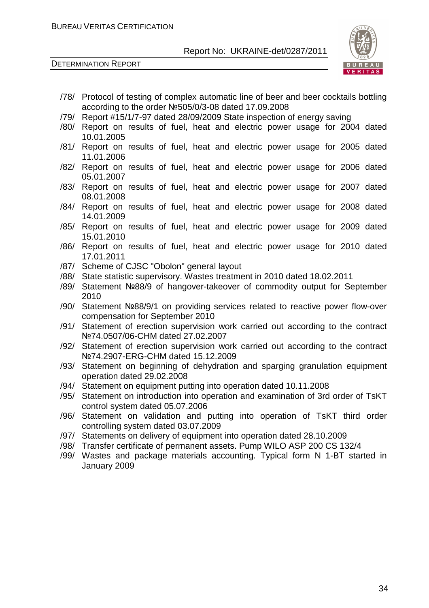

- /78/ Protocol of testing of complex automatic line of beer and beer cocktails bottling according to the order №505/0/3-08 dated 17.09.2008
- /79/ Report #15/1/7-97 dated 28/09/2009 State inspection of energy saving
- /80/ Report on results of fuel, heat and electric power usage for 2004 dated 10.01.2005
- /81/ Report on results of fuel, heat and electric power usage for 2005 dated 11.01.2006
- /82/ Report on results of fuel, heat and electric power usage for 2006 dated 05.01.2007
- /83/ Report on results of fuel, heat and electric power usage for 2007 dated 08.01.2008
- /84/ Report on results of fuel, heat and electric power usage for 2008 dated 14.01.2009
- /85/ Report on results of fuel, heat and electric power usage for 2009 dated 15.01.2010
- /86/ Report on results of fuel, heat and electric power usage for 2010 dated 17.01.2011
- /87/ Scheme of CJSC "Obolon" general layout
- /88/ State statistic supervisory. Wastes treatment in 2010 dated 18.02.2011
- /89/ Statement №88/9 of hangover-takeover of commodity output for September 2010
- /90/ Statement №88/9/1 on providing services related to reactive power flow-over compensation for September 2010
- /91/ Statement of erection supervision work carried out according to the contract №74.0507/06-CHM dated 27.02.2007
- /92/ Statement of erection supervision work carried out according to the contract №74.2907-ERG-CHM dated 15.12.2009
- /93/ Statement on beginning of dehydration and sparging granulation equipment operation dated 29.02.2008
- /94/ Statement on equipment putting into operation dated 10.11.2008
- /95/ Statement on introduction into operation and examination of 3rd order of TsKT control system dated 05.07.2006
- /96/ Statement on validation and putting into operation of TsKT third order controlling system dated 03.07.2009
- /97/ Statements on delivery of equipment into operation dated 28.10.2009
- /98/ Transfer certificate of permanent assets. Pump WILO ASP 200 CS 132/4
- /99/ Wastes and package materials accounting. Typical form N 1-BT started in January 2009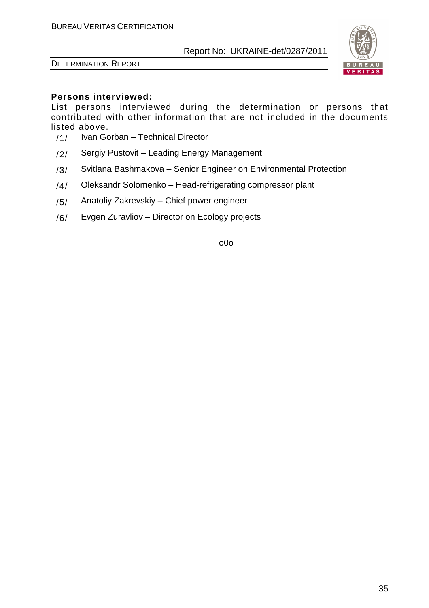



## **Persons interviewed:**

List persons interviewed during the determination or persons that contributed with other information that are not included in the documents listed above.

- /1/ Ivan Gorban Technical Director
- /2/ Sergiy Pustovit Leading Energy Management
- /3/ Svitlana Bashmakova Senior Engineer on Environmental Protection
- /4/ Oleksandr Solomenko Head-refrigerating compressor plant
- /5/ Anatoliy Zakrevskiy Chief power engineer
- /6/ Evgen Zuravliov Director on Ecology projects

o0o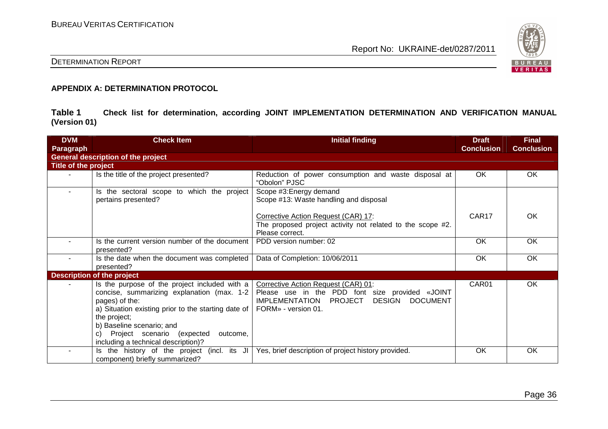

#### DETERMINATION REPORT

#### **APPENDIX A: DETERMINATION PROTOCOL**

**Table 1 Check list for determination, according JOINT IMPLEMENTATION DETERMINATION AND VERIFICATION MANUAL (Version 01)** 

| <b>DVM</b>           | <b>Check Item</b>                                                                                                                                                                                                                                                                                            | <b>Initial finding</b>                                                                                                                                                                       | <b>Draft</b>      | <b>Final</b>      |
|----------------------|--------------------------------------------------------------------------------------------------------------------------------------------------------------------------------------------------------------------------------------------------------------------------------------------------------------|----------------------------------------------------------------------------------------------------------------------------------------------------------------------------------------------|-------------------|-------------------|
| Paragraph            |                                                                                                                                                                                                                                                                                                              |                                                                                                                                                                                              | <b>Conclusion</b> | <b>Conclusion</b> |
|                      | <b>General description of the project</b>                                                                                                                                                                                                                                                                    |                                                                                                                                                                                              |                   |                   |
| Title of the project |                                                                                                                                                                                                                                                                                                              |                                                                                                                                                                                              |                   |                   |
|                      | Is the title of the project presented?                                                                                                                                                                                                                                                                       | Reduction of power consumption and waste disposal at<br>"Obolon" PJSC                                                                                                                        | OK                | OK                |
| $\sim$               | Is the sectoral scope to which the project<br>pertains presented?                                                                                                                                                                                                                                            | Scope #3: Energy demand<br>Scope #13: Waste handling and disposal                                                                                                                            |                   |                   |
|                      |                                                                                                                                                                                                                                                                                                              | Corrective Action Request (CAR) 17:<br>The proposed project activity not related to the scope #2.<br>Please correct.                                                                         | CAR <sub>17</sub> | OK                |
|                      | Is the current version number of the document<br>presented?                                                                                                                                                                                                                                                  | PDD version number: 02                                                                                                                                                                       | <b>OK</b>         | <b>OK</b>         |
| ٠                    | Is the date when the document was completed<br>presented?                                                                                                                                                                                                                                                    | Data of Completion: 10/06/2011                                                                                                                                                               | OK                | OK                |
|                      | <b>Description of the project</b>                                                                                                                                                                                                                                                                            |                                                                                                                                                                                              |                   |                   |
|                      | Is the purpose of the project included with a<br>concise, summarizing explanation (max. 1-2  <br>pages) of the:<br>a) Situation existing prior to the starting date of  <br>the project;<br>b) Baseline scenario; and<br>Project scenario (expected<br>outcome,<br>C)<br>including a technical description)? | Corrective Action Request (CAR) 01:<br>Please use in the PDD font size provided «JOINT<br><b>IMPLEMENTATION</b><br><b>PROJECT</b><br><b>DESIGN</b><br><b>DOCUMENT</b><br>FORM» - version 01. | CAR01             | OK                |
|                      | the history of the project (incl. its JI<br>component) briefly summarized?                                                                                                                                                                                                                                   | Yes, brief description of project history provided.                                                                                                                                          | OK                | OK                |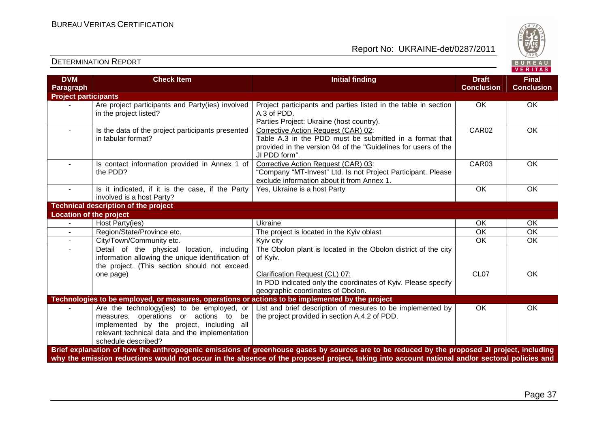

| <b>DVM</b><br>Paragraph     | <b>Check Item</b>                                                                                                                                                                                            | <b>Initial finding</b>                                                                                                                                                                                                                                                                       | <b>Draft</b><br><b>Conclusion</b> | <b>Final</b><br><b>Conclusion</b> |
|-----------------------------|--------------------------------------------------------------------------------------------------------------------------------------------------------------------------------------------------------------|----------------------------------------------------------------------------------------------------------------------------------------------------------------------------------------------------------------------------------------------------------------------------------------------|-----------------------------------|-----------------------------------|
| <b>Project participants</b> |                                                                                                                                                                                                              |                                                                                                                                                                                                                                                                                              |                                   |                                   |
|                             | Are project participants and Party(ies) involved<br>in the project listed?                                                                                                                                   | Project participants and parties listed in the table in section<br>A.3 of PDD.<br>Parties Project: Ukraine (host country).                                                                                                                                                                   | OK                                | OK                                |
| $\sim$                      | Is the data of the project participants presented<br>in tabular format?                                                                                                                                      | Corrective Action Request (CAR) 02:<br>Table A.3 in the PDD must be submitted in a format that<br>provided in the version 04 of the "Guidelines for users of the<br>JI PDD form".                                                                                                            | CAR02                             | OK                                |
|                             | Is contact information provided in Annex 1 of<br>the PDD?                                                                                                                                                    | Corrective Action Request (CAR) 03:<br>"Company "MT-Invest" Ltd. Is not Project Participant. Please<br>exclude information about it from Annex 1.                                                                                                                                            | CAR03                             | OK                                |
|                             | Is it indicated, if it is the case, if the Party<br>involved is a host Party?                                                                                                                                | Yes, Ukraine is a host Party                                                                                                                                                                                                                                                                 | OK                                | <b>OK</b>                         |
|                             | <b>Technical description of the project</b>                                                                                                                                                                  |                                                                                                                                                                                                                                                                                              |                                   |                                   |
| Location of the project     |                                                                                                                                                                                                              |                                                                                                                                                                                                                                                                                              |                                   |                                   |
|                             | Host Party(ies)                                                                                                                                                                                              | Ukraine                                                                                                                                                                                                                                                                                      | OK                                | OK                                |
| $\sim$                      | Region/State/Province etc.                                                                                                                                                                                   | The project is located in the Kyiv oblast                                                                                                                                                                                                                                                    | OK                                | $\overline{OK}$                   |
|                             | City/Town/Community etc.                                                                                                                                                                                     | Kyiv city                                                                                                                                                                                                                                                                                    | $\overline{OK}$                   | $\overline{OK}$                   |
|                             | Detail of the physical<br>location, including<br>information allowing the unique identification of<br>the project. (This section should not exceed<br>one page)                                              | The Obolon plant is located in the Obolon district of the city<br>of Kyiv.<br>Clarification Request (CL) 07:<br>In PDD indicated only the coordinates of Kyiv. Please specify<br>geographic coordinates of Obolon.                                                                           | CL <sub>07</sub>                  | <b>OK</b>                         |
|                             | Technologies to be employed, or measures, operations or actions to be implemented by the project                                                                                                             |                                                                                                                                                                                                                                                                                              |                                   |                                   |
|                             | Are the technology(ies) to be employed, or<br>measures, operations or actions to<br>be<br>implemented by the project, including all<br>relevant technical data and the implementation<br>schedule described? | List and brief description of mesures to be implemented by<br>the project provided in section A.4.2 of PDD.                                                                                                                                                                                  | OK                                | <b>OK</b>                         |
|                             |                                                                                                                                                                                                              | Brief explanation of how the anthropogenic emissions of greenhouse gases by sources are to be reduced by the proposed JI project, including<br>why the emission reductions would not occur in the absence of the proposed project, taking into account national and/or sectoral policies and |                                   |                                   |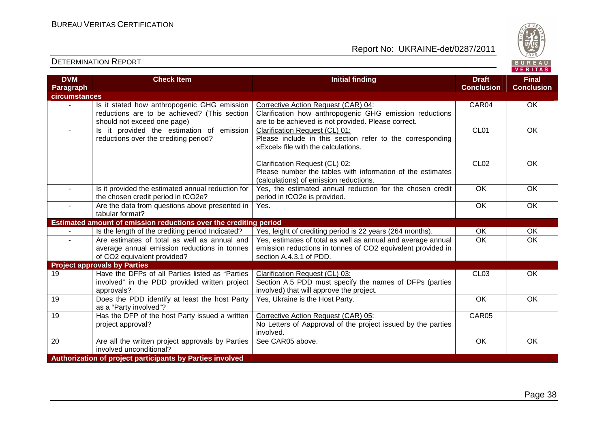

| <b>DVM</b>           | <b>Check Item</b>                                                                                                           | <b>Initial finding</b>                                                                                                                                 | <b>Draft</b>      | <b>Final</b>      |
|----------------------|-----------------------------------------------------------------------------------------------------------------------------|--------------------------------------------------------------------------------------------------------------------------------------------------------|-------------------|-------------------|
| Paragraph            |                                                                                                                             |                                                                                                                                                        | <b>Conclusion</b> | <b>Conclusion</b> |
| <b>circumstances</b> |                                                                                                                             |                                                                                                                                                        |                   |                   |
|                      | Is it stated how anthropogenic GHG emission<br>reductions are to be achieved? (This section<br>should not exceed one page)  | Corrective Action Request (CAR) 04:<br>Clarification how anthropogenic GHG emission reductions<br>are to be achieved is not provided. Please correct.  | CAR04             | <b>OK</b>         |
| $\sim$               | Is it provided the estimation of emission<br>reductions over the crediting period?                                          | Clarification Request (CL) 01:<br>Please include in this section refer to the corresponding<br>«Excel» file with the calculations.                     | CL <sub>01</sub>  | OK                |
|                      |                                                                                                                             | Clarification Request (CL) 02:<br>Please number the tables with information of the estimates<br>(calculations) of emission reductions.                 | CL <sub>02</sub>  | <b>OK</b>         |
| $\sim$               | Is it provided the estimated annual reduction for<br>the chosen credit period in tCO2e?                                     | Yes, the estimated annual reduction for the chosen credit<br>period in tCO2e is provided.                                                              | <b>OK</b>         | OK                |
|                      | Are the data from questions above presented in<br>tabular format?                                                           | Yes.                                                                                                                                                   | $\overline{OK}$   | OK                |
|                      | Estimated amount of emission reductions over the crediting period                                                           |                                                                                                                                                        |                   |                   |
|                      | Is the length of the crediting period Indicated?                                                                            | Yes, leight of crediting period is 22 years (264 months).                                                                                              | <b>OK</b>         | OK                |
|                      | Are estimates of total as well as annual and<br>average annual emission reductions in tonnes<br>of CO2 equivalent provided? | Yes, estimates of total as well as annual and average annual<br>emission reductions in tonnes of CO2 equivalent provided in<br>section A.4.3.1 of PDD. | $\overline{OK}$   | $\overline{OK}$   |
|                      | <b>Project approvals by Parties</b>                                                                                         |                                                                                                                                                        |                   |                   |
| 19                   | Have the DFPs of all Parties listed as "Parties"<br>involved" in the PDD provided written project<br>approvals?             | Clarification Request (CL) 03:<br>Section A.5 PDD must specify the names of DFPs (parties<br>involved) that will approve the project.                  | <b>CL03</b>       | <b>OK</b>         |
| 19                   | Does the PDD identify at least the host Party<br>as a "Party involved"?                                                     | Yes, Ukraine is the Host Party.                                                                                                                        | $\overline{OK}$   | OK                |
| 19                   | Has the DFP of the host Party issued a written<br>project approval?                                                         | Corrective Action Request (CAR) 05:<br>No Letters of Aapproval of the project issued by the parties<br>involved.                                       | CAR05             |                   |
| 20                   | Are all the written project approvals by Parties<br>involved unconditional?                                                 | See CAR05 above.                                                                                                                                       | OK                | OK                |
|                      | Authorization of project participants by Parties involved                                                                   |                                                                                                                                                        |                   |                   |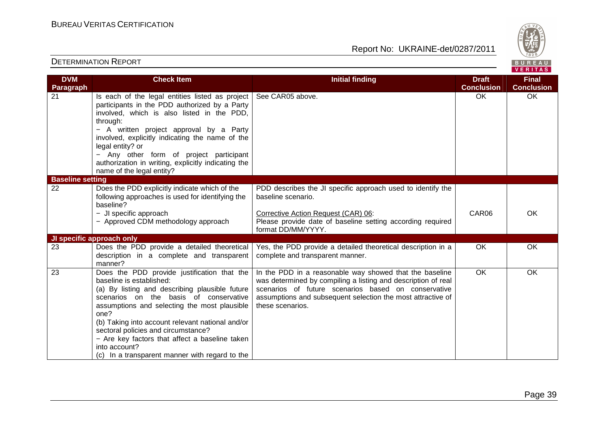Report No: UKRAINE-det/0287/2011



#### VERITAS **Check Item Initial finding Check Item Initial finding Check Item Initial finding Check Item Initial finding Check DVM Final Paragraph Conclusion Conclusion** 21 **Is each of the legal entities listed as project** See CAR05 above. 
OK OK participants in the PDD authorized by a Party involved, which is also listed in the PDD, through: − A written project approval by a Party involved, explicitly indicating the name of the legal entity? or − Any other form of project participant authorization in writing, explicitly indicating thename of the legal entity? **Baseline setting**  22 Does the PDD explicitly indicate which of the PDD describes the JI specific approach used to identify the following approaches is used for identifying the baseline scenario. baseline? Corrective Action Request (CAR) 06: − JI specific approach CAR06 OK − Approved CDM methodology approach Please provide date of baseline setting according required format DD/MM/YYYY. **JI specific approach only**  23 Does the PDD provide a detailed theoretical Yes, the PDD provide a detailed theoretical description in a OK OK description in a complete and transparent complete and transparent manner. manner? In the PDD in a reasonable way showed that the baseline OK OK 23 Does the PDD provide justification that the baseline is established: was determined by compiling a listing and description of real (a) By listing and describing plausible future scenarios of future scenarios based on conservative scenarios on the basis of conservative assumptions and subsequent selection the most attractive of assumptions and selecting the most plausible these scenarios. one? (b) Taking into account relevant national and/or sectoral policies and circumstance? − Are key factors that affect a baseline taken into account? (c) In a transparent manner with regard to the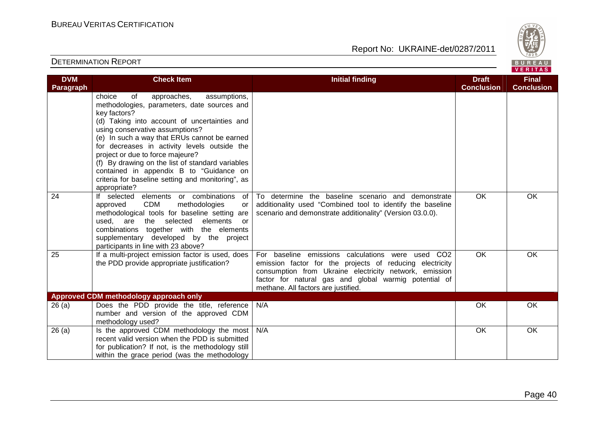

| <b>DVM</b><br>Paragraph | <b>Check Item</b>                                                                                                                                                                                                                                                                                                                                                                                                                                                                                     | <b>Initial finding</b>                                                                                                                                                                                                                                                  | <b>Draft</b><br><b>Conclusion</b> | <b>Final</b><br><b>Conclusion</b> |
|-------------------------|-------------------------------------------------------------------------------------------------------------------------------------------------------------------------------------------------------------------------------------------------------------------------------------------------------------------------------------------------------------------------------------------------------------------------------------------------------------------------------------------------------|-------------------------------------------------------------------------------------------------------------------------------------------------------------------------------------------------------------------------------------------------------------------------|-----------------------------------|-----------------------------------|
|                         | choice<br>of<br>approaches,<br>assumptions,<br>methodologies, parameters, date sources and<br>key factors?<br>(d) Taking into account of uncertainties and<br>using conservative assumptions?<br>(e) In such a way that ERUs cannot be earned<br>for decreases in activity levels outside the<br>project or due to force majeure?<br>(f) By drawing on the list of standard variables<br>contained in appendix B to "Guidance on<br>criteria for baseline setting and monitoring", as<br>appropriate? |                                                                                                                                                                                                                                                                         |                                   |                                   |
| 24                      | If selected elements or combinations<br>of<br><b>CDM</b><br>approved<br>methodologies<br>or<br>methodological tools for baseline setting are<br>elements<br>used,<br>are<br>selected<br>the<br>or<br>combinations together with the elements<br>supplementary developed by the project<br>participants in line with 23 above?                                                                                                                                                                         | To determine the baseline scenario and demonstrate<br>additionality used "Combined tool to identify the baseline<br>scenario and demonstrate additionality" (Version 03.0.0).                                                                                           | <b>OK</b>                         | <b>OK</b>                         |
| 25                      | If a multi-project emission factor is used, does<br>the PDD provide appropriate justification?                                                                                                                                                                                                                                                                                                                                                                                                        | For baseline emissions calculations were used CO2<br>emission factor for the projects of reducing electricity<br>consumption from Ukraine electricity network, emission<br>factor for natural gas and global warmig potential of<br>methane. All factors are justified. | <b>OK</b>                         | <b>OK</b>                         |
|                         | Approved CDM methodology approach only                                                                                                                                                                                                                                                                                                                                                                                                                                                                |                                                                                                                                                                                                                                                                         |                                   |                                   |
| 26(a)                   | Does the PDD provide the title, reference<br>number and version of the approved CDM<br>methodology used?                                                                                                                                                                                                                                                                                                                                                                                              | N/A                                                                                                                                                                                                                                                                     | <b>OK</b>                         | <b>OK</b>                         |
| 26(a)                   | Is the approved CDM methodology the most<br>recent valid version when the PDD is submitted<br>for publication? If not, is the methodology still<br>within the grace period (was the methodology                                                                                                                                                                                                                                                                                                       | N/A                                                                                                                                                                                                                                                                     | OK                                | OK                                |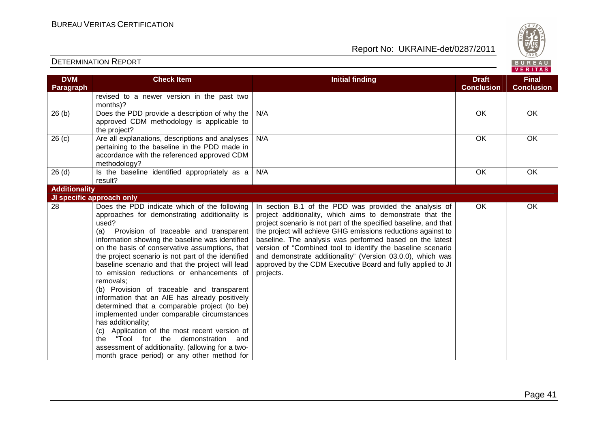Report No: UKRAINE-det/0287/2011



#### **VERITAS Check Item Initial finding Check Item Initial finding Check Item Initial finding Check Item Initial finding Check DVM Final Paragraph Conclusion Conclusion** revised to a newer version in the past two months)? 26 (b) Does the PDD provide a description of why the N/A OK OK OK approved CDM methodology is applicable to the project? 26 (c) Are all explanations, descriptions and analyses N/A OK OK OK pertaining to the baseline in the PDD made in accordance with the referenced approved CDM methodology?  $26$  (d)  $\qquad$  Is the baseline identified appropriately as a N/A OK OK OK result? **Additionality JI specific approach only**  28 Does the PDD indicate which of the following In section B.1 of the PDD was provided the analysis of OK OK approaches for demonstrating additionality is project additionality, which aims to demonstrate that the used? project scenario is not part of the specified baseline, and that (a) Provision of traceable and transparent the project will achieve GHG emissions reductions against to information showing the baseline was identified baseline. The analysis was performed based on the latest on the basis of conservative assumptions, that version of "Combined tool to identify the baseline scenario the project scenario is not part of the identified and demonstrate additionality" (Version 03.0.0), which was baseline scenario and that the project will lead approved by the CDM Executive Board and fully applied to JI to emission reductions or enhancements of projects. removals; (b) Provision of traceable and transparent information that an AIE has already positively determined that a comparable project (to be) implemented under comparable circumstances has additionality; (c) Application of the most recent version of the "Tool for the demonstration and assessment of additionality. (allowing for a twomonth grace period) or any other method for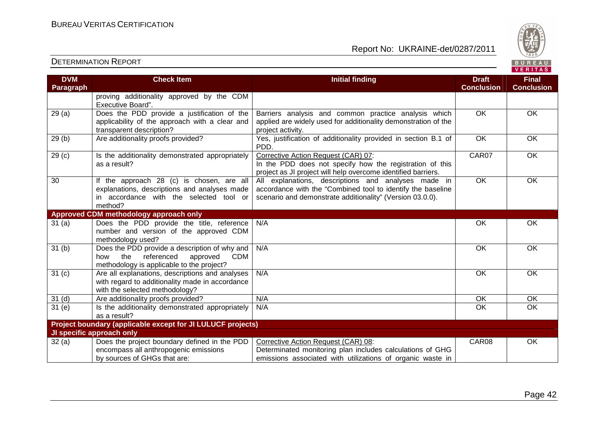

| <b>DVM</b>        | <b>Check Item</b>                                                                                                                                | <b>Initial finding</b>                                                                                                                                                          | <b>Draft</b>      | <b>Final</b>      |  |
|-------------------|--------------------------------------------------------------------------------------------------------------------------------------------------|---------------------------------------------------------------------------------------------------------------------------------------------------------------------------------|-------------------|-------------------|--|
| <b>Paragraph</b>  |                                                                                                                                                  |                                                                                                                                                                                 | <b>Conclusion</b> | <b>Conclusion</b> |  |
|                   | proving additionality approved by the CDM<br>Executive Board".                                                                                   |                                                                                                                                                                                 |                   |                   |  |
| 29(a)             | Does the PDD provide a justification of the<br>applicability of the approach with a clear and<br>transparent description?                        | Barriers analysis and common practice analysis which<br>applied are widely used for additionality demonstration of the<br>project activity.                                     | $\overline{OK}$   | OK                |  |
| 29(b)             | Are additionality proofs provided?                                                                                                               | Yes, justification of additionality provided in section B.1 of<br>PDD.                                                                                                          | $\overline{OK}$   | <b>OK</b>         |  |
| 29 <sub>(c)</sub> | Is the additionality demonstrated appropriately<br>as a result?                                                                                  | Corrective Action Request (CAR) 07:<br>In the PDD does not specify how the registration of this<br>project as JI project will help overcome identified barriers.                | CAR07             | OK                |  |
| 30                | If the approach 28 (c) is chosen, are all<br>explanations, descriptions and analyses made<br>in accordance with the selected tool or<br>method?  | All explanations, descriptions and analyses made in<br>accordance with the "Combined tool to identify the baseline<br>scenario and demonstrate additionality" (Version 03.0.0). | $\overline{OK}$   | OK                |  |
|                   | Approved CDM methodology approach only                                                                                                           |                                                                                                                                                                                 |                   |                   |  |
| 31(a)             | Does the PDD provide the title, reference<br>number and version of the approved CDM<br>methodology used?                                         | N/A                                                                                                                                                                             | OK                | OK                |  |
| 31 <sub>(b)</sub> | Does the PDD provide a description of why and<br>the<br>referenced<br>approved<br><b>CDM</b><br>how<br>methodology is applicable to the project? | N/A                                                                                                                                                                             | <b>OK</b>         | OK                |  |
| 31 <sub>(c)</sub> | Are all explanations, descriptions and analyses<br>with regard to additionality made in accordance<br>with the selected methodology?             | N/A                                                                                                                                                                             | <b>OK</b>         | <b>OK</b>         |  |
| 31 <sub>(d)</sub> | Are additionality proofs provided?                                                                                                               | N/A                                                                                                                                                                             | OK                | OK                |  |
| 31(e)             | Is the additionality demonstrated appropriately<br>as a result?                                                                                  | N/A                                                                                                                                                                             | OK                | OK                |  |
|                   | Project boundary (applicable except for JI LULUCF projects)                                                                                      |                                                                                                                                                                                 |                   |                   |  |
|                   | JI specific approach only                                                                                                                        |                                                                                                                                                                                 |                   |                   |  |
| 32(a)             | Does the project boundary defined in the PDD<br>encompass all anthropogenic emissions                                                            | Corrective Action Request (CAR) 08:<br>Determinated monitoring plan includes calculations of GHG                                                                                | CAR08             | OK                |  |
|                   | by sources of GHGs that are:                                                                                                                     | emissions associated with utilizations of organic waste in                                                                                                                      |                   |                   |  |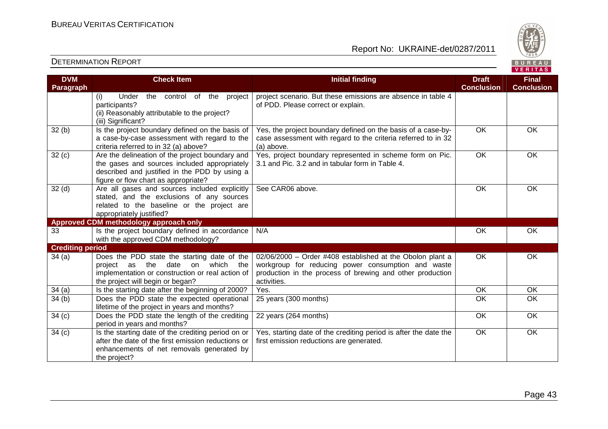

| <b>DVM</b>              | <b>Check Item</b>                                                                               | <b>Initial finding</b>                                                                                       | <b>Draft</b>      | <b>Final</b>      |
|-------------------------|-------------------------------------------------------------------------------------------------|--------------------------------------------------------------------------------------------------------------|-------------------|-------------------|
| Paragraph               |                                                                                                 |                                                                                                              | <b>Conclusion</b> | <b>Conclusion</b> |
|                         | (i)<br>Under<br>the control of the project                                                      | project scenario. But these emissions are absence in table 4                                                 |                   |                   |
|                         | participants?                                                                                   | of PDD. Please correct or explain.                                                                           |                   |                   |
|                         | (ii) Reasonably attributable to the project?                                                    |                                                                                                              |                   |                   |
|                         | (iii) Significant?                                                                              |                                                                                                              |                   |                   |
| 32(b)                   | Is the project boundary defined on the basis of                                                 | Yes, the project boundary defined on the basis of a case-by-                                                 | $\overline{OK}$   | OK                |
|                         | a case-by-case assessment with regard to the                                                    | case assessment with regard to the criteria referred to in 32                                                |                   |                   |
|                         | criteria referred to in 32 (a) above?                                                           | (a) above.                                                                                                   | $\overline{OK}$   | <b>OK</b>         |
| 32(c)                   | Are the delineation of the project boundary and<br>the gases and sources included appropriately | Yes, project boundary represented in scheme form on Pic.<br>3.1 and Pic. 3.2 and in tabular form in Table 4. |                   |                   |
|                         | described and justified in the PDD by using a                                                   |                                                                                                              |                   |                   |
|                         | figure or flow chart as appropriate?                                                            |                                                                                                              |                   |                   |
| 32 <sub>(d)</sub>       | Are all gases and sources included explicitly                                                   | See CAR06 above.                                                                                             | OK                | <b>OK</b>         |
|                         | stated, and the exclusions of any sources                                                       |                                                                                                              |                   |                   |
|                         | related to the baseline or the project are                                                      |                                                                                                              |                   |                   |
|                         | appropriately justified?                                                                        |                                                                                                              |                   |                   |
|                         | Approved CDM methodology approach only                                                          |                                                                                                              |                   |                   |
| 33                      | Is the project boundary defined in accordance                                                   | N/A                                                                                                          | OK                | OK                |
|                         | with the approved CDM methodology?                                                              |                                                                                                              |                   |                   |
| <b>Crediting period</b> |                                                                                                 |                                                                                                              |                   |                   |
| 34(a)                   | Does the PDD state the starting date of the                                                     | 02/06/2000 - Order #408 established at the Obolon plant a                                                    | OK                | OK                |
|                         | date on<br>project as the<br>which the                                                          | workgroup for reducing power consumption and waste                                                           |                   |                   |
|                         | implementation or construction or real action of                                                | production in the process of brewing and other production                                                    |                   |                   |
|                         | the project will begin or began?                                                                | activities.                                                                                                  | OK                | OK                |
| 34(a)                   | Is the starting date after the beginning of 2000?                                               | Yes.                                                                                                         | $\overline{OK}$   | $\overline{OK}$   |
| 34(b)                   | Does the PDD state the expected operational<br>lifetime of the project in years and months?     | 25 years (300 months)                                                                                        |                   |                   |
| 34(c)                   | Does the PDD state the length of the crediting                                                  | 22 years (264 months)                                                                                        | OK                | OK                |
|                         | period in years and months?                                                                     |                                                                                                              |                   |                   |
| 34(c)                   | Is the starting date of the crediting period on or                                              | Yes, starting date of the crediting period is after the date the                                             | <b>OK</b>         | OK                |
|                         | after the date of the first emission reductions or                                              | first emission reductions are generated.                                                                     |                   |                   |
|                         | enhancements of net removals generated by                                                       |                                                                                                              |                   |                   |
|                         | the project?                                                                                    |                                                                                                              |                   |                   |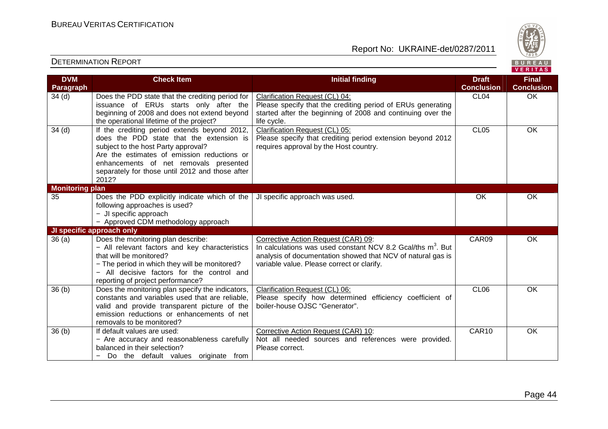

| <b>DVM</b>             | <b>Check Item</b>                                                                                                                                                                                                                                                                    | <b>Initial finding</b>                                                                                                                                                                                                      | <b>Draft</b>      | <b>Final</b>      |
|------------------------|--------------------------------------------------------------------------------------------------------------------------------------------------------------------------------------------------------------------------------------------------------------------------------------|-----------------------------------------------------------------------------------------------------------------------------------------------------------------------------------------------------------------------------|-------------------|-------------------|
| Paragraph              |                                                                                                                                                                                                                                                                                      |                                                                                                                                                                                                                             | <b>Conclusion</b> | <b>Conclusion</b> |
| 34 <sub>(d)</sub>      | Does the PDD state that the crediting period for<br>issuance of ERUs starts only after the<br>beginning of 2008 and does not extend beyond                                                                                                                                           | Clarification Request (CL) 04:<br>Please specify that the crediting period of ERUs generating<br>started after the beginning of 2008 and continuing over the                                                                | CL <sub>04</sub>  | OK                |
|                        | the operational lifetime of the project?                                                                                                                                                                                                                                             | life cycle.                                                                                                                                                                                                                 |                   |                   |
| 34 <sub>(d)</sub>      | If the crediting period extends beyond 2012,<br>does the PDD state that the extension is<br>subject to the host Party approval?<br>Are the estimates of emission reductions or<br>enhancements of net removals presented<br>separately for those until 2012 and those after<br>2012? | Clarification Request (CL) 05:<br>Please specify that crediting period extension beyond 2012<br>requires approval by the Host country.                                                                                      | CL <sub>05</sub>  | OK                |
| <b>Monitoring plan</b> |                                                                                                                                                                                                                                                                                      |                                                                                                                                                                                                                             |                   |                   |
| 35                     | Does the PDD explicitly indicate which of the<br>following approaches is used?<br>- JI specific approach<br>- Approved CDM methodology approach                                                                                                                                      | JI specific approach was used.                                                                                                                                                                                              | <b>OK</b>         | OK                |
|                        | JI specific approach only                                                                                                                                                                                                                                                            |                                                                                                                                                                                                                             |                   |                   |
| 36(a)                  | Does the monitoring plan describe:<br>- All relevant factors and key characteristics<br>that will be monitored?<br>- The period in which they will be monitored?<br>- All decisive factors for the control and<br>reporting of project performance?                                  | Corrective Action Request (CAR) 09:<br>In calculations was used constant NCV 8.2 Gcal/ths m <sup>3</sup> . But<br>analysis of documentation showed that NCV of natural gas is<br>variable value. Please correct or clarify. | CAR09             | OK                |
| 36(b)                  | Does the monitoring plan specify the indicators,<br>constants and variables used that are reliable.<br>valid and provide transparent picture of the<br>emission reductions or enhancements of net<br>removals to be monitored?                                                       | Clarification Request (CL) 06:<br>Please specify how determined efficiency coefficient of<br>boiler-house OJSC "Generator".                                                                                                 | CL <sub>06</sub>  | <b>OK</b>         |
| 36(b)                  | If default values are used:<br>- Are accuracy and reasonableness carefully<br>balanced in their selection?<br>Do the default values originate from<br>$\overline{\phantom{0}}$                                                                                                       | Corrective Action Request (CAR) 10:<br>Not all needed sources and references were provided.<br>Please correct.                                                                                                              | CAR10             | OK                |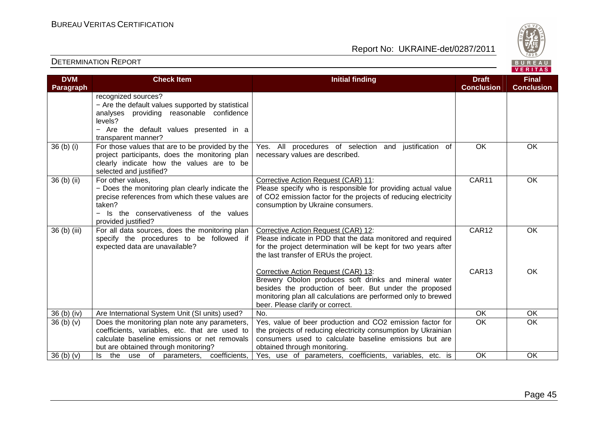

| <b>DVM</b>   | <b>Check Item</b>                                                                                                                                                                                                            | <b>Initial finding</b>                                                                                                                                                                                                                                      | <b>Draft</b><br><b>Conclusion</b> | <b>Final</b><br><b>Conclusion</b> |
|--------------|------------------------------------------------------------------------------------------------------------------------------------------------------------------------------------------------------------------------------|-------------------------------------------------------------------------------------------------------------------------------------------------------------------------------------------------------------------------------------------------------------|-----------------------------------|-----------------------------------|
| Paragraph    | recognized sources?<br>- Are the default values supported by statistical<br>analyses providing reasonable confidence<br>levels?<br>- Are the default values presented in a<br>transparent manner?                            |                                                                                                                                                                                                                                                             |                                   |                                   |
| 36 (b) (i)   | For those values that are to be provided by the<br>project participants, does the monitoring plan<br>clearly indicate how the values are to be<br>selected and justified?                                                    | Yes. All procedures of selection and justification of<br>necessary values are described.                                                                                                                                                                    | OK                                | OK                                |
| 36 (b) (ii)  | For other values,<br>- Does the monitoring plan clearly indicate the<br>precise references from which these values are<br>taken?<br>Is the conservativeness of the values<br>$\overline{\phantom{0}}$<br>provided justified? | Corrective Action Request (CAR) 11:<br>Please specify who is responsible for providing actual value<br>of CO2 emission factor for the projects of reducing electricity<br>consumption by Ukraine consumers.                                                 | CAR11                             | OK.                               |
| 36 (b) (iii) | For all data sources, does the monitoring plan<br>specify the procedures to be followed if<br>expected data are unavailable?                                                                                                 | Corrective Action Request (CAR) 12:<br>Please indicate in PDD that the data monitored and required<br>for the project determination will be kept for two years after<br>the last transfer of ERUs the project.                                              | CAR12                             | <b>OK</b>                         |
|              |                                                                                                                                                                                                                              | Corrective Action Request (CAR) 13:<br>Brewery Obolon produces soft drinks and mineral water<br>besides the production of beer. But under the proposed<br>monitoring plan all calculations are performed only to brewed<br>beer. Please clarify or correct. | CAR <sub>13</sub>                 | <b>OK</b>                         |
| 36 (b) (iv)  | Are International System Unit (SI units) used?                                                                                                                                                                               | No.                                                                                                                                                                                                                                                         | OK                                | OK                                |
| 36(b)(v)     | Does the monitoring plan note any parameters,<br>coefficients, variables, etc. that are used to<br>calculate baseline emissions or net removals<br>but are obtained through monitoring?                                      | Yes, value of beer production and CO2 emission factor for<br>the projects of reducing electricity consumption by Ukrainian<br>consumers used to calculate baseline emissions but are<br>obtained through monitoring.                                        | $\overline{OK}$                   | <b>OK</b>                         |
| 36(b)(v)     | the use of parameters, coefficients,<br>ls.                                                                                                                                                                                  | Yes, use of parameters, coefficients, variables, etc. is                                                                                                                                                                                                    | OK                                | OK                                |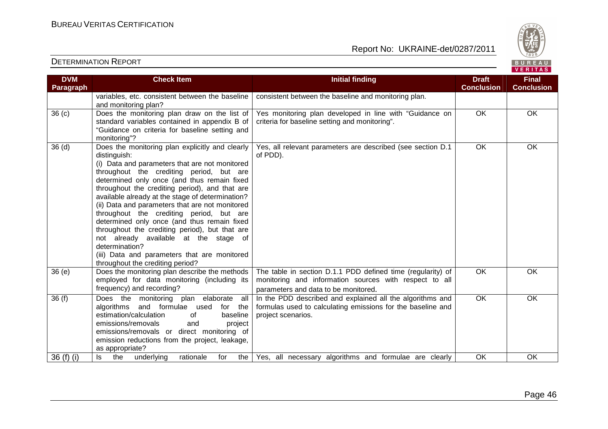

| <b>DVM</b>        | <b>Check Item</b>                                                                | <b>Initial finding</b>                                                   | <b>Draft</b>      | <b>Final</b>      |
|-------------------|----------------------------------------------------------------------------------|--------------------------------------------------------------------------|-------------------|-------------------|
| Paragraph         |                                                                                  |                                                                          | <b>Conclusion</b> | <b>Conclusion</b> |
|                   | variables, etc. consistent between the baseline                                  | consistent between the baseline and monitoring plan.                     |                   |                   |
|                   | and monitoring plan?                                                             |                                                                          |                   |                   |
| 36 <sub>(c)</sub> | Does the monitoring plan draw on the list of                                     | Yes monitoring plan developed in line with "Guidance on                  | $\overline{OK}$   | $\overline{OK}$   |
|                   | standard variables contained in appendix B of                                    | criteria for baseline setting and monitoring".                           |                   |                   |
|                   | "Guidance on criteria for baseline setting and                                   |                                                                          |                   |                   |
|                   | monitoring"?<br>Does the monitoring plan explicitly and clearly                  |                                                                          | <b>OK</b>         | OK                |
| 36 <sub>(d)</sub> | distinguish:                                                                     | Yes, all relevant parameters are described (see section D.1)<br>of PDD). |                   |                   |
|                   | (i) Data and parameters that are not monitored                                   |                                                                          |                   |                   |
|                   | throughout the crediting period, but are                                         |                                                                          |                   |                   |
|                   | determined only once (and thus remain fixed                                      |                                                                          |                   |                   |
|                   | throughout the crediting period), and that are                                   |                                                                          |                   |                   |
|                   | available already at the stage of determination?                                 |                                                                          |                   |                   |
|                   | (ii) Data and parameters that are not monitored                                  |                                                                          |                   |                   |
|                   | throughout the crediting period, but are                                         |                                                                          |                   |                   |
|                   | determined only once (and thus remain fixed                                      |                                                                          |                   |                   |
|                   | throughout the crediting period), but that are                                   |                                                                          |                   |                   |
|                   | not already available at the stage of                                            |                                                                          |                   |                   |
|                   | determination?                                                                   |                                                                          |                   |                   |
|                   | (iii) Data and parameters that are monitored<br>throughout the crediting period? |                                                                          |                   |                   |
| 36(e)             | Does the monitoring plan describe the methods                                    | The table in section D.1.1 PDD defined time (regularity) of              | <b>OK</b>         | OK                |
|                   | employed for data monitoring (including its                                      | monitoring and information sources with respect to all                   |                   |                   |
|                   | frequency) and recording?                                                        | parameters and data to be monitored.                                     |                   |                   |
| 36(f)             | Does the monitoring plan elaborate<br>all                                        | In the PDD described and explained all the algorithms and                | $\overline{OK}$   | OK                |
|                   | and formulae used<br>algorithms<br>for the                                       | formulas used to calculating emissions for the baseline and              |                   |                   |
|                   | estimation/calculation<br>of<br>baseline                                         | project scenarios.                                                       |                   |                   |
|                   | emissions/removals<br>and<br>project                                             |                                                                          |                   |                   |
|                   | emissions/removals or direct monitoring of                                       |                                                                          |                   |                   |
|                   | emission reductions from the project, leakage,                                   |                                                                          |                   |                   |
|                   | as appropriate?                                                                  |                                                                          |                   |                   |
| $36(f)$ (i)       | the<br>rationale<br>ls<br>underlying<br>for<br>the                               | Yes, all necessary algorithms and formulae are clearly                   | OK                | OK                |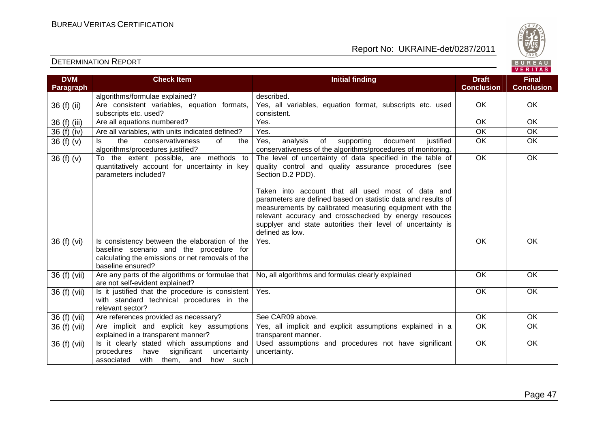

| <b>DVM</b><br>Paragraph | <b>Check Item</b>                                                                                                                                                 | <b>Initial finding</b>                                                                                                                                                                                                                                                                                                                                                                                                                                               | <b>Draft</b><br><b>Conclusion</b> | <b>Final</b><br><b>Conclusion</b> |
|-------------------------|-------------------------------------------------------------------------------------------------------------------------------------------------------------------|----------------------------------------------------------------------------------------------------------------------------------------------------------------------------------------------------------------------------------------------------------------------------------------------------------------------------------------------------------------------------------------------------------------------------------------------------------------------|-----------------------------------|-----------------------------------|
|                         | algorithms/formulae explained?                                                                                                                                    | described.                                                                                                                                                                                                                                                                                                                                                                                                                                                           |                                   |                                   |
| 36 (f) (ii)             | Are consistent variables, equation formats,<br>subscripts etc. used?                                                                                              | Yes, all variables, equation format, subscripts etc. used<br>consistent.                                                                                                                                                                                                                                                                                                                                                                                             | OK                                | OK                                |
| 36 (f) (iii)            | Are all equations numbered?                                                                                                                                       | Yes.                                                                                                                                                                                                                                                                                                                                                                                                                                                                 | OK                                | OK                                |
| 36 (f) (iv)             | Are all variables, with units indicated defined?                                                                                                                  | Yes.                                                                                                                                                                                                                                                                                                                                                                                                                                                                 | OK                                | OK                                |
| 36 $(f)(v)$             | conservativeness<br>the<br>of<br>ls.<br>the<br>algorithms/procedures justified?                                                                                   | Yes,<br>analysis<br>supporting<br>of<br>document<br>justified<br>conservativeness of the algorithms/procedures of monitoring.                                                                                                                                                                                                                                                                                                                                        | <b>OK</b>                         | OK                                |
| 36 $(f)(v)$             | To the extent possible, are methods to<br>quantitatively account for uncertainty in key<br>parameters included?                                                   | The level of uncertainty of data specified in the table of<br>quality control and quality assurance procedures (see<br>Section D.2 PDD).<br>Taken into account that all used most of data and<br>parameters are defined based on statistic data and results of<br>measurements by calibrated measuring equipment with the<br>relevant accuracy and crosschecked by energy resouces<br>supplyer and state autorities their level of uncertainty is<br>defined as low. | $\overline{OK}$                   | OK                                |
| 36 (f) (vi)             | Is consistency between the elaboration of the<br>baseline scenario and the procedure for<br>calculating the emissions or net removals of the<br>baseline ensured? | Yes.                                                                                                                                                                                                                                                                                                                                                                                                                                                                 | OK                                | <b>OK</b>                         |
| 36 (f) (vii)            | Are any parts of the algorithms or formulae that<br>are not self-evident explained?                                                                               | No, all algorithms and formulas clearly explained                                                                                                                                                                                                                                                                                                                                                                                                                    | <b>OK</b>                         | OK                                |
| 36 (f) (vii)            | Is it justified that the procedure is consistent<br>with standard technical procedures in the<br>relevant sector?                                                 | Yes.                                                                                                                                                                                                                                                                                                                                                                                                                                                                 | $\overline{OK}$                   | $\overline{OK}$                   |
| 36 (f) (vii)            | Are references provided as necessary?                                                                                                                             | See CAR09 above.                                                                                                                                                                                                                                                                                                                                                                                                                                                     | OK                                | OK                                |
| 36 (f) (vii)            | Are implicit and explicit key assumptions<br>explained in a transparent manner?                                                                                   | Yes, all implicit and explicit assumptions explained in a<br>transparent manner.                                                                                                                                                                                                                                                                                                                                                                                     | OK                                | OK                                |
| 36 (f) (vii)            | Is it clearly stated which assumptions and<br>significant<br>procedures<br>have<br>uncertainty<br>associated<br>with them, and<br>how such                        | Used assumptions and procedures not have significant<br>uncertainty.                                                                                                                                                                                                                                                                                                                                                                                                 | OK                                | <b>OK</b>                         |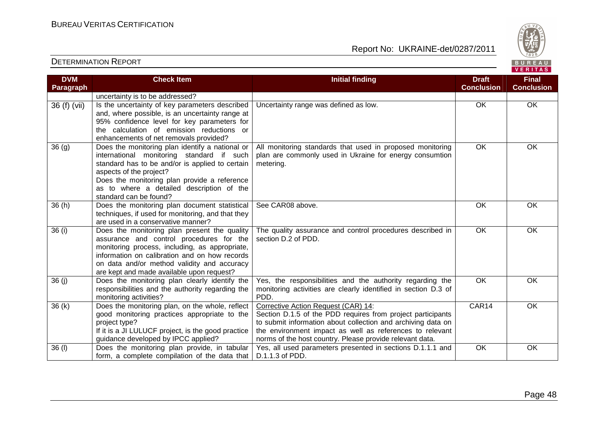

| <b>DVM</b><br><b>Paragraph</b> | <b>Check Item</b>                                                                                                                                                                                                                                                                                 | <b>Initial finding</b>                                                                                                                                                                                                                                                                     | <b>Draft</b><br><b>Conclusion</b> | <b>Final</b><br><b>Conclusion</b> |
|--------------------------------|---------------------------------------------------------------------------------------------------------------------------------------------------------------------------------------------------------------------------------------------------------------------------------------------------|--------------------------------------------------------------------------------------------------------------------------------------------------------------------------------------------------------------------------------------------------------------------------------------------|-----------------------------------|-----------------------------------|
|                                | uncertainty is to be addressed?                                                                                                                                                                                                                                                                   |                                                                                                                                                                                                                                                                                            |                                   |                                   |
| 36 (f) (vii)                   | Is the uncertainty of key parameters described<br>and, where possible, is an uncertainty range at<br>95% confidence level for key parameters for<br>the calculation of emission reductions or<br>enhancements of net removals provided?                                                           | Uncertainty range was defined as low.                                                                                                                                                                                                                                                      | OK                                | OK                                |
| 36(9)                          | Does the monitoring plan identify a national or<br>international monitoring standard if such<br>standard has to be and/or is applied to certain<br>aspects of the project?<br>Does the monitoring plan provide a reference<br>as to where a detailed description of the<br>standard can be found? | All monitoring standards that used in proposed monitoring<br>plan are commonly used in Ukraine for energy consumtion<br>metering.                                                                                                                                                          | OK                                | OK                                |
| 36(h)                          | Does the monitoring plan document statistical<br>techniques, if used for monitoring, and that they<br>are used in a conservative manner?                                                                                                                                                          | See CAR08 above.                                                                                                                                                                                                                                                                           | OK                                | OK                                |
| 36 (i)                         | Does the monitoring plan present the quality<br>assurance and control procedures for the<br>monitoring process, including, as appropriate,<br>information on calibration and on how records<br>on data and/or method validity and accuracy<br>are kept and made available upon request?           | The quality assurance and control procedures described in<br>section D.2 of PDD.                                                                                                                                                                                                           | $\overline{OK}$                   | OK                                |
| 36(j)                          | Does the monitoring plan clearly identify the<br>responsibilities and the authority regarding the<br>monitoring activities?                                                                                                                                                                       | Yes, the responsibilities and the authority regarding the<br>monitoring activities are clearly identified in section D.3 of<br>PDD.                                                                                                                                                        | <b>OK</b>                         | <b>OK</b>                         |
| 36(k)                          | Does the monitoring plan, on the whole, reflect<br>good monitoring practices appropriate to the<br>project type?<br>If it is a JI LULUCF project, is the good practice<br>guidance developed by IPCC applied?                                                                                     | Corrective Action Request (CAR) 14:<br>Section D.1.5 of the PDD requires from project participants<br>to submit information about collection and archiving data on<br>the environment impact as well as references to relevant<br>norms of the host country. Please provide relevant data. | CAR14                             | OK                                |
| 36 (I)                         | Does the monitoring plan provide, in tabular<br>form, a complete compilation of the data that                                                                                                                                                                                                     | Yes, all used parameters presented in sections D.1.1.1 and<br>D.1.1.3 of PDD.                                                                                                                                                                                                              | OK                                | OK                                |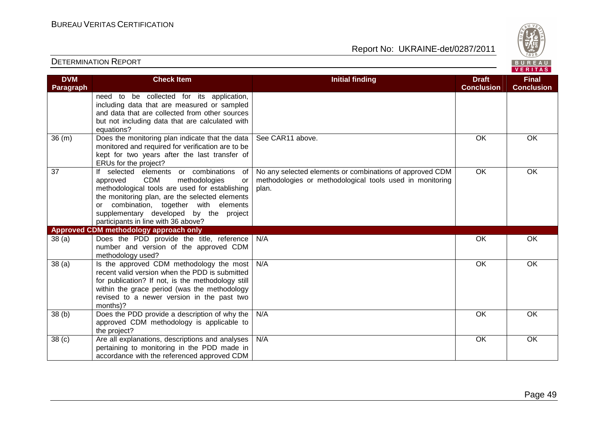

| <b>DVM</b>        | <b>Check Item</b>                                                                                                                                                                                                                                                                                                             | <b>Initial finding</b>                                                                                                        | <b>Draft</b><br><b>Conclusion</b> | <b>Final</b><br><b>Conclusion</b> |
|-------------------|-------------------------------------------------------------------------------------------------------------------------------------------------------------------------------------------------------------------------------------------------------------------------------------------------------------------------------|-------------------------------------------------------------------------------------------------------------------------------|-----------------------------------|-----------------------------------|
| Paragraph         | need to be collected for its application,<br>including data that are measured or sampled<br>and data that are collected from other sources<br>but not including data that are calculated with<br>equations?                                                                                                                   |                                                                                                                               |                                   |                                   |
| 36(m)             | Does the monitoring plan indicate that the data<br>monitored and required for verification are to be<br>kept for two years after the last transfer of<br>ERUs for the project?                                                                                                                                                | See CAR11 above.                                                                                                              | OK                                | OK                                |
| 37                | If selected elements or combinations<br>of<br><b>CDM</b><br>methodologies<br>approved<br>or<br>methodological tools are used for establishing<br>the monitoring plan, are the selected elements<br>combination, together with elements<br>or<br>supplementary developed by the project<br>participants in line with 36 above? | No any selected elements or combinations of approved CDM<br>methodologies or methodological tools used in monitoring<br>plan. | $\overline{OK}$                   | OK                                |
|                   | Approved CDM methodology approach only                                                                                                                                                                                                                                                                                        |                                                                                                                               |                                   |                                   |
| 38(a)             | Does the PDD provide the title, reference<br>number and version of the approved CDM<br>methodology used?                                                                                                                                                                                                                      | N/A                                                                                                                           | OK                                | OK                                |
| 38(a)             | Is the approved CDM methodology the most<br>recent valid version when the PDD is submitted<br>for publication? If not, is the methodology still<br>within the grace period (was the methodology<br>revised to a newer version in the past two<br>months)?                                                                     | N/A                                                                                                                           | OK                                | OK                                |
| 38 <sub>(b)</sub> | Does the PDD provide a description of why the<br>approved CDM methodology is applicable to<br>the project?                                                                                                                                                                                                                    | N/A                                                                                                                           | OK                                | OK                                |
| 38 <sub>(c)</sub> | Are all explanations, descriptions and analyses<br>pertaining to monitoring in the PDD made in<br>accordance with the referenced approved CDM                                                                                                                                                                                 | N/A                                                                                                                           | OK                                | OK                                |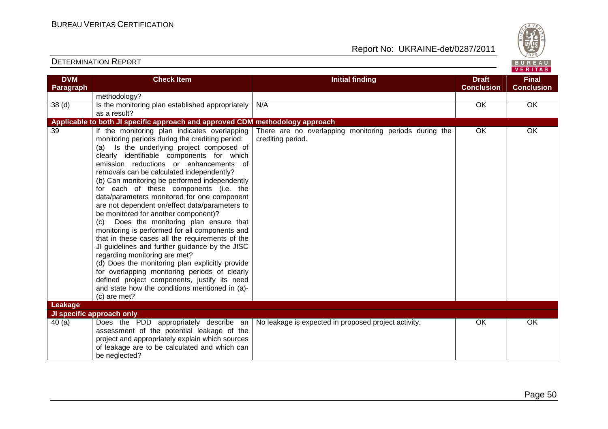

| <b>DVM</b>        | <b>Check Item</b>                                                                                 | <b>Initial finding</b>                                                      | <b>Draft</b>      | <b>Final</b>      |
|-------------------|---------------------------------------------------------------------------------------------------|-----------------------------------------------------------------------------|-------------------|-------------------|
| Paragraph         |                                                                                                   |                                                                             | <b>Conclusion</b> | <b>Conclusion</b> |
|                   | methodology?                                                                                      |                                                                             |                   |                   |
| 38 <sub>(d)</sub> | Is the monitoring plan established appropriately                                                  | N/A                                                                         | OK                | OK                |
|                   | as a result?                                                                                      |                                                                             |                   |                   |
|                   | Applicable to both JI specific approach and approved CDM methodology approach                     |                                                                             |                   |                   |
| 39                | If the monitoring plan indicates overlapping<br>monitoring periods during the crediting period:   | There are no overlapping monitoring periods during the<br>crediting period. | OK                | OK                |
|                   | Is the underlying project composed of<br>(a)<br>clearly identifiable components for which         |                                                                             |                   |                   |
|                   | emission reductions or enhancements of                                                            |                                                                             |                   |                   |
|                   | removals can be calculated independently?                                                         |                                                                             |                   |                   |
|                   | (b) Can monitoring be performed independently                                                     |                                                                             |                   |                   |
|                   | for each of these components (i.e. the                                                            |                                                                             |                   |                   |
|                   | data/parameters monitored for one component                                                       |                                                                             |                   |                   |
|                   | are not dependent on/effect data/parameters to                                                    |                                                                             |                   |                   |
|                   | be monitored for another component)?                                                              |                                                                             |                   |                   |
|                   | (c) Does the monitoring plan ensure that                                                          |                                                                             |                   |                   |
|                   | monitoring is performed for all components and<br>that in these cases all the requirements of the |                                                                             |                   |                   |
|                   | JI guidelines and further guidance by the JISC                                                    |                                                                             |                   |                   |
|                   | regarding monitoring are met?                                                                     |                                                                             |                   |                   |
|                   | (d) Does the monitoring plan explicitly provide                                                   |                                                                             |                   |                   |
|                   | for overlapping monitoring periods of clearly                                                     |                                                                             |                   |                   |
|                   | defined project components, justify its need                                                      |                                                                             |                   |                   |
|                   | and state how the conditions mentioned in (a)-                                                    |                                                                             |                   |                   |
|                   | (c) are met?                                                                                      |                                                                             |                   |                   |
| Leakage           |                                                                                                   |                                                                             |                   |                   |
|                   | JI specific approach only                                                                         |                                                                             |                   |                   |
| 40(a)             | Does the PDD appropriately describe an                                                            | No leakage is expected in proposed project activity.                        | OK                | OK                |
|                   | assessment of the potential leakage of the                                                        |                                                                             |                   |                   |
|                   | project and appropriately explain which sources                                                   |                                                                             |                   |                   |
|                   | of leakage are to be calculated and which can                                                     |                                                                             |                   |                   |
|                   | be neglected?                                                                                     |                                                                             |                   |                   |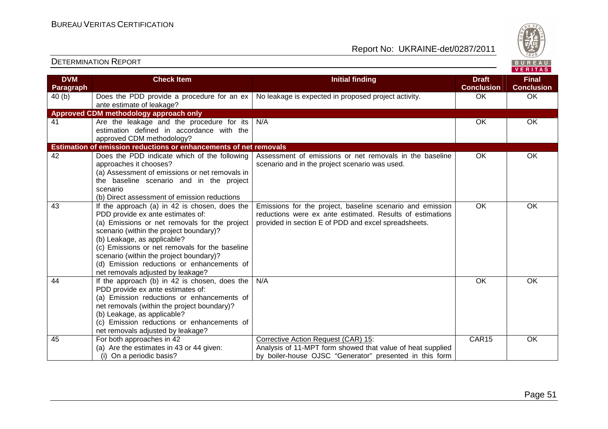

| <b>DVM</b><br>Paragraph | <b>Check Item</b>                                                                                                                                                                                                                                                                                                                                                                             | <b>Initial finding</b>                                                                                                                                                         | <b>Draft</b><br><b>Conclusion</b> | <b>Final</b><br><b>Conclusion</b> |
|-------------------------|-----------------------------------------------------------------------------------------------------------------------------------------------------------------------------------------------------------------------------------------------------------------------------------------------------------------------------------------------------------------------------------------------|--------------------------------------------------------------------------------------------------------------------------------------------------------------------------------|-----------------------------------|-----------------------------------|
| 40(b)                   | Does the PDD provide a procedure for an ex<br>ante estimate of leakage?                                                                                                                                                                                                                                                                                                                       | No leakage is expected in proposed project activity.                                                                                                                           | OK                                | OK                                |
|                         | Approved CDM methodology approach only                                                                                                                                                                                                                                                                                                                                                        |                                                                                                                                                                                |                                   |                                   |
| 41                      | Are the leakage and the procedure for its<br>estimation defined in accordance with the<br>approved CDM methodology?                                                                                                                                                                                                                                                                           | N/A                                                                                                                                                                            | OK                                | OK                                |
|                         | Estimation of emission reductions or enhancements of net removals                                                                                                                                                                                                                                                                                                                             |                                                                                                                                                                                |                                   |                                   |
| 42                      | Does the PDD indicate which of the following<br>approaches it chooses?<br>(a) Assessment of emissions or net removals in<br>the baseline scenario and in the project<br>scenario<br>(b) Direct assessment of emission reductions                                                                                                                                                              | Assessment of emissions or net removals in the baseline<br>scenario and in the project scenario was used.                                                                      | OK                                | OK                                |
| 43                      | If the approach (a) in 42 is chosen, does the<br>PDD provide ex ante estimates of:<br>(a) Emissions or net removals for the project<br>scenario (within the project boundary)?<br>(b) Leakage, as applicable?<br>(c) Emissions or net removals for the baseline<br>scenario (within the project boundary)?<br>(d) Emission reductions or enhancements of<br>net removals adjusted by leakage? | Emissions for the project, baseline scenario and emission<br>reductions were ex ante estimated. Results of estimations<br>provided in section E of PDD and excel spreadsheets. | OK                                | OK                                |
| 44                      | If the approach (b) in 42 is chosen, does the $\vert$<br>PDD provide ex ante estimates of:<br>(a) Emission reductions or enhancements of<br>net removals (within the project boundary)?<br>(b) Leakage, as applicable?<br>(c) Emission reductions or enhancements of<br>net removals adjusted by leakage?                                                                                     | N/A                                                                                                                                                                            | OK                                | <b>OK</b>                         |
| 45                      | For both approaches in 42<br>(a) Are the estimates in 43 or 44 given:<br>(i) On a periodic basis?                                                                                                                                                                                                                                                                                             | Corrective Action Request (CAR) 15:<br>Analysis of 11-MPT form showed that value of heat supplied<br>by boiler-house OJSC "Generator" presented in this form                   | CAR15                             | OK                                |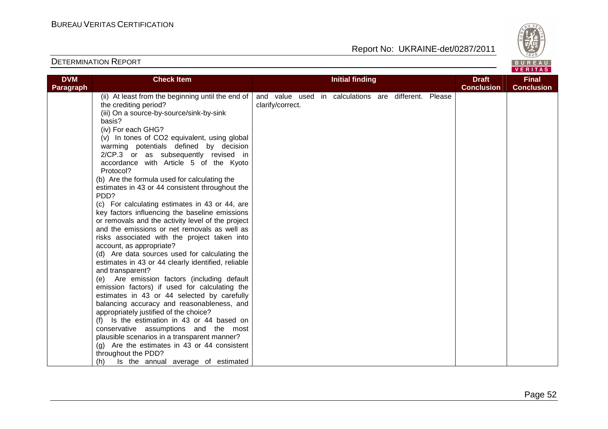

| <b>DVM</b> | <b>Check Item</b>                                  |                  |  | <b>Initial finding</b>                               |  | <b>Draft</b>      | <b>Final</b>      |
|------------|----------------------------------------------------|------------------|--|------------------------------------------------------|--|-------------------|-------------------|
| Paragraph  |                                                    |                  |  |                                                      |  | <b>Conclusion</b> | <b>Conclusion</b> |
|            | (ii) At least from the beginning until the end of  |                  |  | and value used in calculations are different. Please |  |                   |                   |
|            | the crediting period?                              | clarify/correct. |  |                                                      |  |                   |                   |
|            | (iii) On a source-by-source/sink-by-sink           |                  |  |                                                      |  |                   |                   |
|            | basis?                                             |                  |  |                                                      |  |                   |                   |
|            | (iv) For each GHG?                                 |                  |  |                                                      |  |                   |                   |
|            | (v) In tones of CO2 equivalent, using global       |                  |  |                                                      |  |                   |                   |
|            | warming potentials defined by decision             |                  |  |                                                      |  |                   |                   |
|            | 2/CP.3 or as subsequently revised in               |                  |  |                                                      |  |                   |                   |
|            | accordance with Article 5 of the Kyoto             |                  |  |                                                      |  |                   |                   |
|            | Protocol?                                          |                  |  |                                                      |  |                   |                   |
|            | (b) Are the formula used for calculating the       |                  |  |                                                      |  |                   |                   |
|            | estimates in 43 or 44 consistent throughout the    |                  |  |                                                      |  |                   |                   |
|            | PDD?                                               |                  |  |                                                      |  |                   |                   |
|            | (c) For calculating estimates in 43 or 44, are     |                  |  |                                                      |  |                   |                   |
|            | key factors influencing the baseline emissions     |                  |  |                                                      |  |                   |                   |
|            | or removals and the activity level of the project  |                  |  |                                                      |  |                   |                   |
|            | and the emissions or net removals as well as       |                  |  |                                                      |  |                   |                   |
|            | risks associated with the project taken into       |                  |  |                                                      |  |                   |                   |
|            | account, as appropriate?                           |                  |  |                                                      |  |                   |                   |
|            | (d) Are data sources used for calculating the      |                  |  |                                                      |  |                   |                   |
|            | estimates in 43 or 44 clearly identified, reliable |                  |  |                                                      |  |                   |                   |
|            | and transparent?                                   |                  |  |                                                      |  |                   |                   |
|            | (e) Are emission factors (including default        |                  |  |                                                      |  |                   |                   |
|            | emission factors) if used for calculating the      |                  |  |                                                      |  |                   |                   |
|            | estimates in 43 or 44 selected by carefully        |                  |  |                                                      |  |                   |                   |
|            | balancing accuracy and reasonableness, and         |                  |  |                                                      |  |                   |                   |
|            | appropriately justified of the choice?             |                  |  |                                                      |  |                   |                   |
|            | (f) Is the estimation in 43 or 44 based on         |                  |  |                                                      |  |                   |                   |
|            | conservative assumptions and the most              |                  |  |                                                      |  |                   |                   |
|            | plausible scenarios in a transparent manner?       |                  |  |                                                      |  |                   |                   |
|            | (g) Are the estimates in 43 or 44 consistent       |                  |  |                                                      |  |                   |                   |
|            | throughout the PDD?                                |                  |  |                                                      |  |                   |                   |
|            | Is the annual average of estimated<br>(h)          |                  |  |                                                      |  |                   |                   |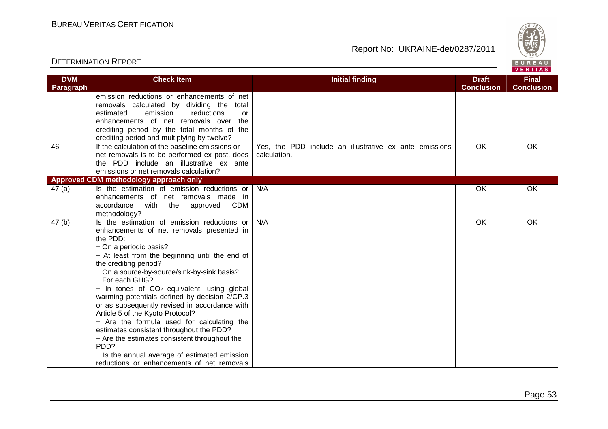

| <b>DVM</b> | <b>Check Item</b>                                                                                                                                                                                                                                                                                                                                                                                                                                                                                                                                                                                                                                                                                                             | <b>Initial finding</b>                                                 | <b>Draft</b>      | <b>Final</b>      |
|------------|-------------------------------------------------------------------------------------------------------------------------------------------------------------------------------------------------------------------------------------------------------------------------------------------------------------------------------------------------------------------------------------------------------------------------------------------------------------------------------------------------------------------------------------------------------------------------------------------------------------------------------------------------------------------------------------------------------------------------------|------------------------------------------------------------------------|-------------------|-------------------|
| Paragraph  |                                                                                                                                                                                                                                                                                                                                                                                                                                                                                                                                                                                                                                                                                                                               |                                                                        | <b>Conclusion</b> | <b>Conclusion</b> |
|            | emission reductions or enhancements of net<br>removals calculated by dividing the total<br>emission<br>reductions<br>estimated<br>or<br>enhancements of net removals over the<br>crediting period by the total months of the<br>crediting period and multiplying by twelve?                                                                                                                                                                                                                                                                                                                                                                                                                                                   |                                                                        |                   |                   |
| 46         | If the calculation of the baseline emissions or<br>net removals is to be performed ex post, does<br>the PDD include an illustrative ex ante<br>emissions or net removals calculation?                                                                                                                                                                                                                                                                                                                                                                                                                                                                                                                                         | Yes, the PDD include an illustrative ex ante emissions<br>calculation. | OK                | OK                |
|            | Approved CDM methodology approach only                                                                                                                                                                                                                                                                                                                                                                                                                                                                                                                                                                                                                                                                                        |                                                                        |                   |                   |
| 47(a)      | Is the estimation of emission reductions or<br>enhancements of net removals made in<br>approved CDM<br>accordance<br>with<br>the<br>methodology?                                                                                                                                                                                                                                                                                                                                                                                                                                                                                                                                                                              | N/A                                                                    | OK                | <b>OK</b>         |
| 47(b)      | Is the estimation of emission reductions or<br>enhancements of net removals presented in<br>the PDD:<br>- On a periodic basis?<br>- At least from the beginning until the end of<br>the crediting period?<br>- On a source-by-source/sink-by-sink basis?<br>- For each GHG?<br>- In tones of CO <sub>2</sub> equivalent, using global<br>warming potentials defined by decision 2/CP.3<br>or as subsequently revised in accordance with<br>Article 5 of the Kyoto Protocol?<br>- Are the formula used for calculating the<br>estimates consistent throughout the PDD?<br>- Are the estimates consistent throughout the<br>PDD?<br>- Is the annual average of estimated emission<br>reductions or enhancements of net removals | N/A                                                                    | OK                | OK                |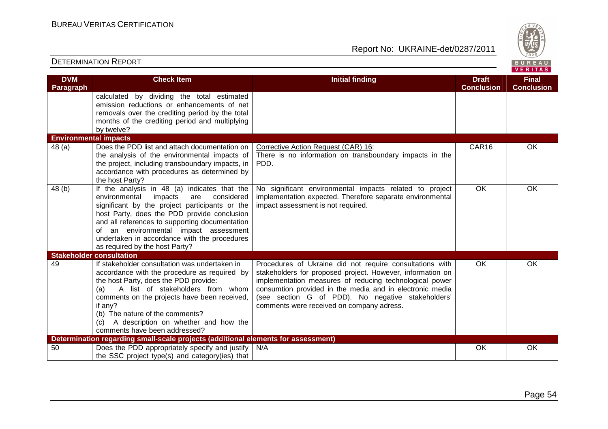Report No: UKRAINE-det/0287/2011



#### **VERITAS Check Item Initial finding Check Item Initial finding Check Item Initial finding Check Item Initial finding Check DVM Final Paragraph Conclusion Conclusion** calculated by dividing the total estimated emission reductions or enhancements of net removals over the crediting period by the total months of the crediting period and multiplying by twelve? **Environmental impacts**  48 (a) Does the PDD list and attach documentation on CAR16 OK Corrective Action Request (CAR) 16: the analysis of the environmental impacts of There is no information on transboundary impacts in the the project, including transboundary impacts, in PDD. accordance with procedures as determined by the host Party? No significant environmental impacts related to project OK OK 48 (b) If the analysis in 48 (a) indicates that the implementation expected. Therefore separate environmental environmental impacts are considered significant by the project participants or the impact assessment is not required. host Party, does the PDD provide conclusion and all references to supporting documentation of an environmental impact assessment undertaken in accordance with the procedures as required by the host Party? **Stakeholder consultation**  49 If stakeholder consultation was undertaken in Procedures of Ukraine did not require consultations with OK OK accordance with the procedure as required by stakeholders for proposed project. However, information on the host Party, does the PDD provide: implementation measures of reducing technological power (a) A list of stakeholders from whom consumtion provided in the media and in electronic media comments on the projects have been received, (see section G of PDD). No negative stakeholders' if any? comments were received on company adress. (b) The nature of the comments? (c) A description on whether and how the comments have been addressed? **Determination regarding small-scale projects (additional elements for assessment)** 50 Does the PDD appropriately specify and justify N/A N/A OK OK OK the SSC project type(s) and category(ies) that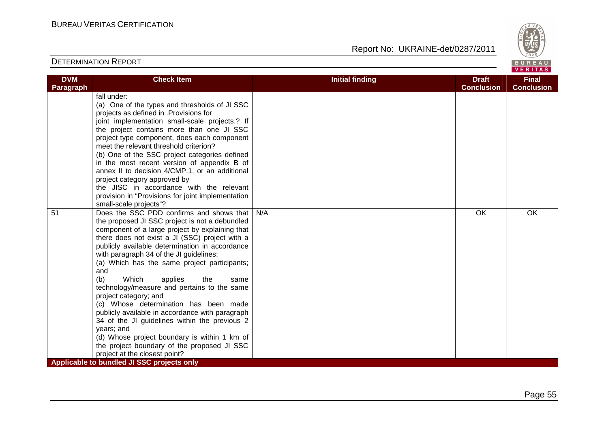

|                         |                                                                                                                                                                                                                                                                                                                                                                                                                                                                                                                                                                                                                                                                                                                                                                  |                        |                                   | $V = H + H - H$                   |
|-------------------------|------------------------------------------------------------------------------------------------------------------------------------------------------------------------------------------------------------------------------------------------------------------------------------------------------------------------------------------------------------------------------------------------------------------------------------------------------------------------------------------------------------------------------------------------------------------------------------------------------------------------------------------------------------------------------------------------------------------------------------------------------------------|------------------------|-----------------------------------|-----------------------------------|
| <b>DVM</b><br>Paragraph | <b>Check Item</b>                                                                                                                                                                                                                                                                                                                                                                                                                                                                                                                                                                                                                                                                                                                                                | <b>Initial finding</b> | <b>Draft</b><br><b>Conclusion</b> | <b>Final</b><br><b>Conclusion</b> |
|                         | fall under:<br>(a) One of the types and thresholds of JI SSC<br>projects as defined in .Provisions for<br>joint implementation small-scale projects.? If<br>the project contains more than one JI SSC<br>project type component, does each component<br>meet the relevant threshold criterion?<br>(b) One of the SSC project categories defined<br>in the most recent version of appendix B of<br>annex II to decision 4/CMP.1, or an additional<br>project category approved by<br>the JISC in accordance with the relevant<br>provision in "Provisions for joint implementation<br>small-scale projects"?                                                                                                                                                      |                        |                                   |                                   |
| 51                      | Does the SSC PDD confirms and shows that<br>the proposed JI SSC project is not a debundled<br>component of a large project by explaining that<br>there does not exist a JI (SSC) project with a<br>publicly available determination in accordance<br>with paragraph 34 of the JI guidelines:<br>(a) Which has the same project participants;<br>and<br>Which<br>(b)<br>applies<br>the<br>same<br>technology/measure and pertains to the same<br>project category; and<br>(c) Whose determination has been made<br>publicly available in accordance with paragraph<br>34 of the JI guidelines within the previous 2<br>years; and<br>(d) Whose project boundary is within 1 km of<br>the project boundary of the proposed JI SSC<br>project at the closest point? | N/A                    | OK                                | OK                                |
|                         | Applicable to bundled JI SSC projects only                                                                                                                                                                                                                                                                                                                                                                                                                                                                                                                                                                                                                                                                                                                       |                        |                                   |                                   |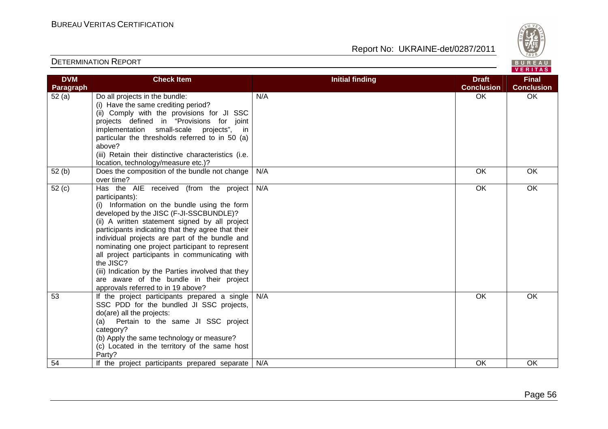

| <b>DVM</b> | <b>Check Item</b>                                                                                                                                                                                                                                                                                                                                                                                                                                                                                                                                                       | <b>Initial finding</b> | <b>Draft</b>      | <b>Final</b>      |
|------------|-------------------------------------------------------------------------------------------------------------------------------------------------------------------------------------------------------------------------------------------------------------------------------------------------------------------------------------------------------------------------------------------------------------------------------------------------------------------------------------------------------------------------------------------------------------------------|------------------------|-------------------|-------------------|
| Paragraph  |                                                                                                                                                                                                                                                                                                                                                                                                                                                                                                                                                                         |                        | <b>Conclusion</b> | <b>Conclusion</b> |
| 52(a)      | Do all projects in the bundle:<br>(i) Have the same crediting period?<br>(ii) Comply with the provisions for JI SSC<br>projects defined in "Provisions for joint<br>implementation small-scale projects", in<br>particular the thresholds referred to in 50 (a)<br>above?<br>(iii) Retain their distinctive characteristics (i.e.<br>location, technology/measure etc.)?                                                                                                                                                                                                | N/A                    | OK                | OK                |
| 52(b)      | Does the composition of the bundle not change<br>over time?                                                                                                                                                                                                                                                                                                                                                                                                                                                                                                             | N/A                    | OK                | <b>OK</b>         |
| 52(c)      | Has the AIE received (from the project<br>participants):<br>(i) Information on the bundle using the form<br>developed by the JISC (F-JI-SSCBUNDLE)?<br>(ii) A written statement signed by all project<br>participants indicating that they agree that their<br>individual projects are part of the bundle and<br>nominating one project participant to represent<br>all project participants in communicating with<br>the JISC?<br>(iii) Indication by the Parties involved that they<br>are aware of the bundle in their project<br>approvals referred to in 19 above? | N/A                    | <b>OK</b>         | OK                |
| 53         | If the project participants prepared a single<br>SSC PDD for the bundled JI SSC projects,<br>do(are) all the projects:<br>(a) Pertain to the same JI SSC project<br>category?<br>(b) Apply the same technology or measure?<br>(c) Located in the territory of the same host<br>Party?                                                                                                                                                                                                                                                                                   | N/A                    | OK                | <b>OK</b>         |
| 54         | If the project participants prepared separate                                                                                                                                                                                                                                                                                                                                                                                                                                                                                                                           | N/A                    | OK                | <b>OK</b>         |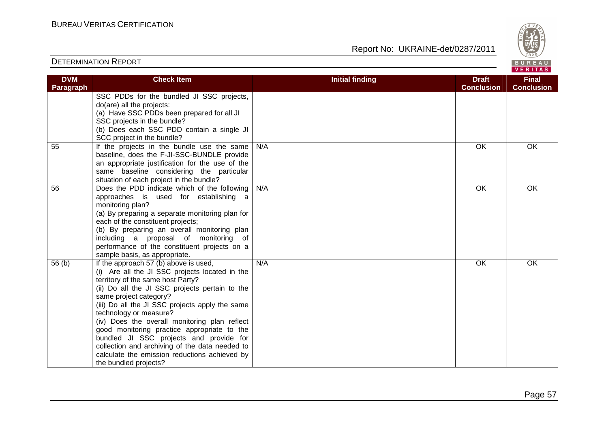

| <b>DVM</b>        | <b>Check Item</b>                               | <b>Initial finding</b> | <b>Draft</b>      | <b>Final</b>      |
|-------------------|-------------------------------------------------|------------------------|-------------------|-------------------|
| Paragraph         |                                                 |                        | <b>Conclusion</b> | <b>Conclusion</b> |
|                   | SSC PDDs for the bundled JI SSC projects,       |                        |                   |                   |
|                   | do(are) all the projects:                       |                        |                   |                   |
|                   | (a) Have SSC PDDs been prepared for all JI      |                        |                   |                   |
|                   | SSC projects in the bundle?                     |                        |                   |                   |
|                   | (b) Does each SSC PDD contain a single JI       |                        |                   |                   |
|                   | SCC project in the bundle?                      |                        |                   |                   |
| 55                | If the projects in the bundle use the same      | N/A                    | OK                | OK                |
|                   | baseline, does the F-JI-SSC-BUNDLE provide      |                        |                   |                   |
|                   | an appropriate justification for the use of the |                        |                   |                   |
|                   | same baseline considering the particular        |                        |                   |                   |
|                   | situation of each project in the bundle?        |                        |                   |                   |
| 56                | Does the PDD indicate which of the following    | N/A                    | OK                | <b>OK</b>         |
|                   | approaches is used for establishing a           |                        |                   |                   |
|                   | monitoring plan?                                |                        |                   |                   |
|                   | (a) By preparing a separate monitoring plan for |                        |                   |                   |
|                   | each of the constituent projects;               |                        |                   |                   |
|                   | (b) By preparing an overall monitoring plan     |                        |                   |                   |
|                   | including a proposal of monitoring of           |                        |                   |                   |
|                   | performance of the constituent projects on a    |                        |                   |                   |
|                   | sample basis, as appropriate.                   |                        |                   |                   |
| 56 <sub>(b)</sub> | If the approach 57 (b) above is used,           | N/A                    | OK                | OK                |
|                   | (i) Are all the JI SSC projects located in the  |                        |                   |                   |
|                   | territory of the same host Party?               |                        |                   |                   |
|                   | (ii) Do all the JI SSC projects pertain to the  |                        |                   |                   |
|                   | same project category?                          |                        |                   |                   |
|                   | (iii) Do all the JI SSC projects apply the same |                        |                   |                   |
|                   | technology or measure?                          |                        |                   |                   |
|                   | (iv) Does the overall monitoring plan reflect   |                        |                   |                   |
|                   | good monitoring practice appropriate to the     |                        |                   |                   |
|                   | bundled JI SSC projects and provide for         |                        |                   |                   |
|                   | collection and archiving of the data needed to  |                        |                   |                   |
|                   | calculate the emission reductions achieved by   |                        |                   |                   |
|                   | the bundled projects?                           |                        |                   |                   |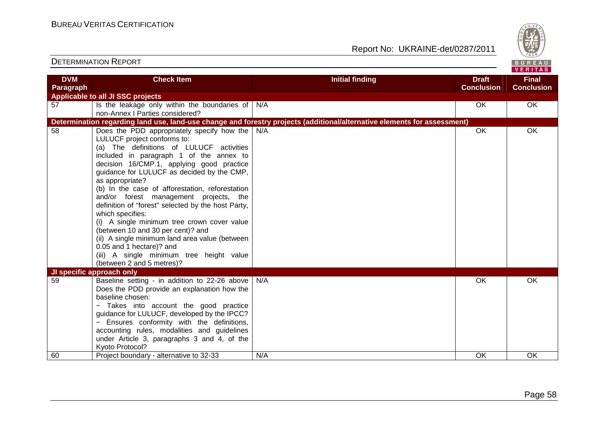

| <b>DVM</b> | <b>Check Item</b>                                                                            | <b>Initial finding</b>                                                                                                   | <b>Draft</b>      | <b>Final</b>      |
|------------|----------------------------------------------------------------------------------------------|--------------------------------------------------------------------------------------------------------------------------|-------------------|-------------------|
| Paragraph  |                                                                                              |                                                                                                                          | <b>Conclusion</b> | <b>Conclusion</b> |
|            | Applicable to all JI SSC projects                                                            |                                                                                                                          |                   |                   |
| 57         | Is the leakage only within the boundaries of $\big  N/A$                                     |                                                                                                                          | OK.               | OK                |
|            | non-Annex   Parties considered?                                                              |                                                                                                                          |                   |                   |
|            |                                                                                              | Determination regarding land use, land-use change and forestry projects (additional/alternative elements for assessment) |                   |                   |
| 58         | Does the PDD appropriately specify how the                                                   | N/A                                                                                                                      | OK                | OK                |
|            | LULUCF project conforms to:                                                                  |                                                                                                                          |                   |                   |
|            | (a) The definitions of LULUCF activities                                                     |                                                                                                                          |                   |                   |
|            | included in paragraph 1 of the annex to                                                      |                                                                                                                          |                   |                   |
|            | decision 16/CMP.1, applying good practice                                                    |                                                                                                                          |                   |                   |
|            | guidance for LULUCF as decided by the CMP,                                                   |                                                                                                                          |                   |                   |
|            | as appropriate?                                                                              |                                                                                                                          |                   |                   |
|            | (b) In the case of afforestation, reforestation                                              |                                                                                                                          |                   |                   |
|            | and/or forest management projects, the<br>definition of "forest" selected by the host Party, |                                                                                                                          |                   |                   |
|            | which specifies:                                                                             |                                                                                                                          |                   |                   |
|            | (i) A single minimum tree crown cover value                                                  |                                                                                                                          |                   |                   |
|            | (between 10 and 30 per cent)? and                                                            |                                                                                                                          |                   |                   |
|            | (ii) A single minimum land area value (between                                               |                                                                                                                          |                   |                   |
|            | 0.05 and 1 hectare)? and                                                                     |                                                                                                                          |                   |                   |
|            | (iii) A single minimum tree height value                                                     |                                                                                                                          |                   |                   |
|            | (between 2 and 5 metres)?                                                                    |                                                                                                                          |                   |                   |
|            | JI specific approach only                                                                    |                                                                                                                          |                   |                   |
| 59         | Baseline setting - in addition to 22-26 above                                                | N/A                                                                                                                      | OK                | OK                |
|            | Does the PDD provide an explanation how the                                                  |                                                                                                                          |                   |                   |
|            | baseline chosen:                                                                             |                                                                                                                          |                   |                   |
|            | - Takes into account the good practice                                                       |                                                                                                                          |                   |                   |
|            | guidance for LULUCF, developed by the IPCC?                                                  |                                                                                                                          |                   |                   |
|            | - Ensures conformity with the definitions,                                                   |                                                                                                                          |                   |                   |
|            | accounting rules, modalities and guidelines                                                  |                                                                                                                          |                   |                   |
|            | under Article 3, paragraphs 3 and 4, of the                                                  |                                                                                                                          |                   |                   |
|            | Kyoto Protocol?                                                                              |                                                                                                                          |                   |                   |
| 60         | Project boundary - alternative to 32-33                                                      | N/A                                                                                                                      | OK                | OK                |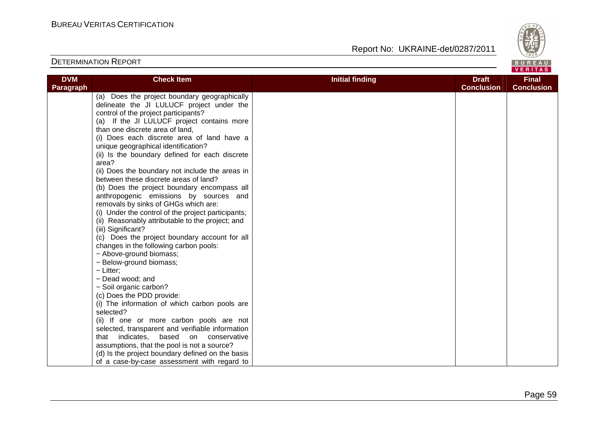

| <b>DVM</b> | <b>Check Item</b>                                  | <b>Initial finding</b> | <b>Draft</b>      | <b>Final</b>      |
|------------|----------------------------------------------------|------------------------|-------------------|-------------------|
| Paragraph  |                                                    |                        | <b>Conclusion</b> | <b>Conclusion</b> |
|            | (a) Does the project boundary geographically       |                        |                   |                   |
|            | delineate the JI LULUCF project under the          |                        |                   |                   |
|            | control of the project participants?               |                        |                   |                   |
|            | (a) If the JI LULUCF project contains more         |                        |                   |                   |
|            | than one discrete area of land,                    |                        |                   |                   |
|            | (i) Does each discrete area of land have a         |                        |                   |                   |
|            | unique geographical identification?                |                        |                   |                   |
|            | (ii) Is the boundary defined for each discrete     |                        |                   |                   |
|            | area?                                              |                        |                   |                   |
|            | (ii) Does the boundary not include the areas in    |                        |                   |                   |
|            | between these discrete areas of land?              |                        |                   |                   |
|            | (b) Does the project boundary encompass all        |                        |                   |                   |
|            | anthropogenic emissions by sources and             |                        |                   |                   |
|            | removals by sinks of GHGs which are:               |                        |                   |                   |
|            | (i) Under the control of the project participants; |                        |                   |                   |
|            | (ii) Reasonably attributable to the project; and   |                        |                   |                   |
|            | (iii) Significant?                                 |                        |                   |                   |
|            | (c) Does the project boundary account for all      |                        |                   |                   |
|            | changes in the following carbon pools:             |                        |                   |                   |
|            | - Above-ground biomass;                            |                        |                   |                   |
|            | - Below-ground biomass;<br>$-$ Litter;             |                        |                   |                   |
|            | - Dead wood; and                                   |                        |                   |                   |
|            | - Soil organic carbon?                             |                        |                   |                   |
|            | (c) Does the PDD provide:                          |                        |                   |                   |
|            | (i) The information of which carbon pools are      |                        |                   |                   |
|            | selected?                                          |                        |                   |                   |
|            | (ii) If one or more carbon pools are not           |                        |                   |                   |
|            | selected, transparent and verifiable information   |                        |                   |                   |
|            | that indicates, based<br>on conservative           |                        |                   |                   |
|            | assumptions, that the pool is not a source?        |                        |                   |                   |
|            | (d) Is the project boundary defined on the basis   |                        |                   |                   |
|            | of a case-by-case assessment with regard to        |                        |                   |                   |
|            |                                                    |                        |                   |                   |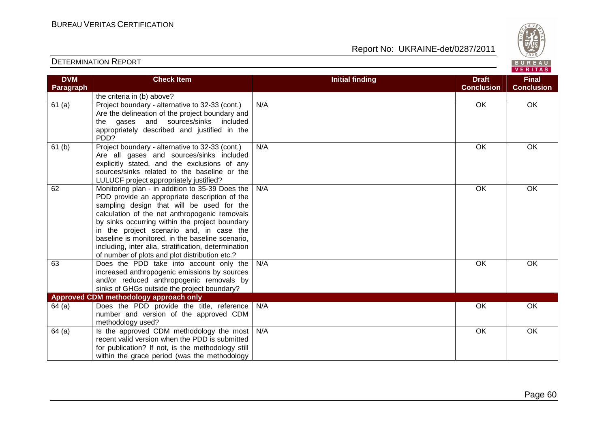Report No: UKRAINE-det/0287/2011



#### VERITAS **Check Item Initial finding Check Item Initial finding Check Item Initial finding Check Item Initial finding Check DVM Final Paragraph Conclusion Conclusion** the criteria in (b) above? 61 (a) Project boundary - alternative to 32-33 (cont.) N/A OK OK OK Are the delineation of the project boundary and the gases and sources/sinks included appropriately described and justified in the PDD? 61 (b) Project boundary - alternative to 32-33 (cont.) N/A OK OK OK Are all gases and sources/sinks included explicitly stated, and the exclusions of any sources/sinks related to the baseline or the LULUCF project appropriately justified? 62 Monitoring plan - in addition to 35-39 Does the N/A OK OK OK PDD provide an appropriate description of the sampling design that will be used for the calculation of the net anthropogenic removals by sinks occurring within the project boundary in the project scenario and, in case the baseline is monitored, in the baseline scenario, including, inter alia, stratification, determination of number of plots and plot distribution etc.? 63 Does the PDD take into account only the N/A OK OK OK increased anthropogenic emissions by sources and/or reduced anthropogenic removals by sinks of GHGs outside the project boundary? **Approved CDM methodology approach only**  64 (a) Does the PDD provide the title, reference N/A OK OK OK number and version of the approved CDM methodology used?  $64$  (a) | Is the approved CDM methodology the most N/A OK OK OK recent valid version when the PDD is submitted for publication? If not, is the methodology still within the grace period (was the methodology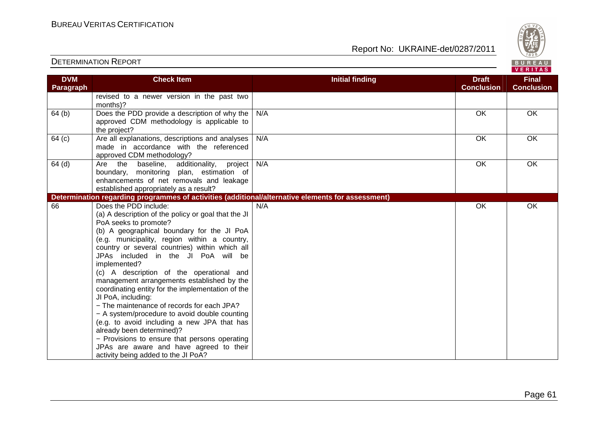BUREAU<br>VERITAS

| <b>DETERMINATION REPORT</b> |  |
|-----------------------------|--|
|-----------------------------|--|

| <b>DVM</b> | <b>Check Item</b>                                                                                 | <b>Initial finding</b> | <b>Draft</b>      | <b>Final</b>      |
|------------|---------------------------------------------------------------------------------------------------|------------------------|-------------------|-------------------|
| Paragraph  |                                                                                                   |                        | <b>Conclusion</b> | <b>Conclusion</b> |
|            | revised to a newer version in the past two                                                        |                        |                   |                   |
|            | months)?                                                                                          |                        |                   |                   |
| 64(b)      | Does the PDD provide a description of why the                                                     | N/A                    | OK                | OK                |
|            | approved CDM methodology is applicable to                                                         |                        |                   |                   |
|            | the project?                                                                                      |                        |                   |                   |
| 64 (c)     | Are all explanations, descriptions and analyses                                                   | N/A                    | $\overline{OK}$   | OK                |
|            | made in accordance with the referenced                                                            |                        |                   |                   |
|            | approved CDM methodology?                                                                         |                        |                   |                   |
| $64$ (d)   | Are the baseline, additionality, project                                                          | N/A                    | OK                | OK                |
|            | boundary, monitoring plan, estimation of                                                          |                        |                   |                   |
|            | enhancements of net removals and leakage                                                          |                        |                   |                   |
|            | established appropriately as a result?                                                            |                        |                   |                   |
|            | Determination regarding programmes of activities (additional/alternative elements for assessment) |                        |                   |                   |
| 66         | Does the PDD include:                                                                             | N/A                    | OK                | OK                |
|            | (a) A description of the policy or goal that the JI                                               |                        |                   |                   |
|            | PoA seeks to promote?                                                                             |                        |                   |                   |
|            | (b) A geographical boundary for the JI PoA                                                        |                        |                   |                   |
|            | (e.g. municipality, region within a country,<br>country or several countries) within which all    |                        |                   |                   |
|            | JPAs included in the JI PoA will be                                                               |                        |                   |                   |
|            | implemented?                                                                                      |                        |                   |                   |
|            | (c) A description of the operational and                                                          |                        |                   |                   |
|            | management arrangements established by the                                                        |                        |                   |                   |
|            | coordinating entity for the implementation of the                                                 |                        |                   |                   |
|            | JI PoA, including:                                                                                |                        |                   |                   |
|            | - The maintenance of records for each JPA?                                                        |                        |                   |                   |
|            | - A system/procedure to avoid double counting                                                     |                        |                   |                   |
|            | (e.g. to avoid including a new JPA that has                                                       |                        |                   |                   |
|            | already been determined)?                                                                         |                        |                   |                   |
|            | - Provisions to ensure that persons operating                                                     |                        |                   |                   |
|            | JPAs are aware and have agreed to their                                                           |                        |                   |                   |
|            | activity being added to the JI PoA?                                                               |                        |                   |                   |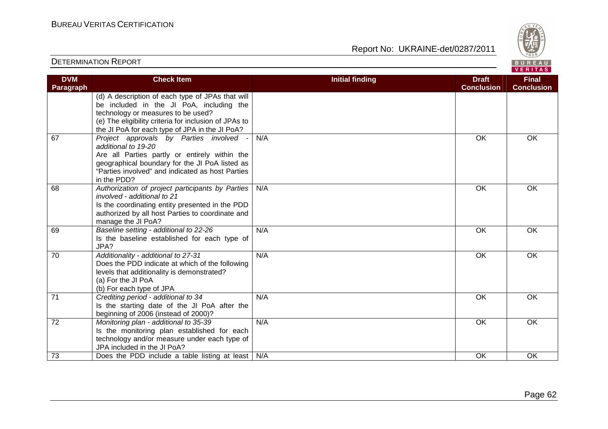72 Monitoring plan - additional to 35-39

Is the monitoring plan established for each technology and/or measure under each type of JPA included in the JI PoA?

## Report No: UKRAINE-det/0287/2011

N/A OK OK OK

|                                | <b>DETERMINATION REPORT</b>                                                                                                                                                                                                                   |                        |                                   | $\vee$ 829/<br>BUREAU<br>VERITAS  |
|--------------------------------|-----------------------------------------------------------------------------------------------------------------------------------------------------------------------------------------------------------------------------------------------|------------------------|-----------------------------------|-----------------------------------|
| <b>DVM</b><br><b>Paragraph</b> | <b>Check Item</b>                                                                                                                                                                                                                             | <b>Initial finding</b> | <b>Draft</b><br><b>Conclusion</b> | <b>Final</b><br><b>Conclusion</b> |
|                                | (d) A description of each type of JPAs that will<br>be included in the JI PoA, including the<br>technology or measures to be used?<br>(e) The eligibility criteria for inclusion of JPAs to<br>the JI PoA for each type of JPA in the JI PoA? |                        |                                   |                                   |
| 67                             | Project approvals by Parties involved<br>additional to 19-20<br>Are all Parties partly or entirely within the<br>geographical boundary for the JI PoA listed as<br>"Parties involved" and indicated as host Parties<br>in the PDD?            | N/A                    | OK                                | OK                                |
| 68                             | Authorization of project participants by Parties<br>involved - additional to 21<br>Is the coordinating entity presented in the PDD<br>authorized by all host Parties to coordinate and<br>manage the JI PoA?                                  | N/A                    | OK                                | OK                                |
| 69                             | Baseline setting - additional to 22-26<br>Is the baseline established for each type of<br>JPA?                                                                                                                                                | N/A                    | OK                                | <b>OK</b>                         |
| 70                             | Additionality - additional to 27-31<br>Does the PDD indicate at which of the following<br>levels that additionality is demonstrated?<br>(a) For the JI PoA<br>(b) For each type of JPA                                                        | N/A                    | OK                                | OK                                |
| 71                             | Crediting period - additional to 34<br>Is the starting date of the JI PoA after the<br>beginning of 2006 (instead of 2000)?                                                                                                                   | N/A                    | OK                                | OK                                |

The Transition of the PDD include a table listing at least N/A COK OK OK OK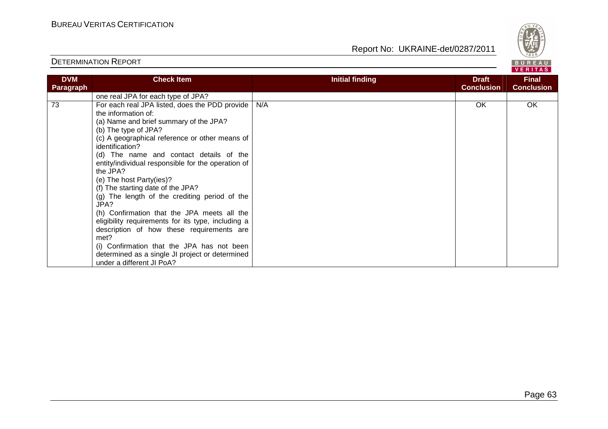

| <b>DVM</b><br>Paragraph | <b>Check Item</b>                                                 | <b>Initial finding</b> | <b>Draft</b><br><b>Conclusion</b> | <b>Final</b><br><b>Conclusion</b> |
|-------------------------|-------------------------------------------------------------------|------------------------|-----------------------------------|-----------------------------------|
|                         | one real JPA for each type of JPA?                                |                        |                                   |                                   |
| 73                      | For each real JPA listed, does the PDD provide                    | N/A                    | OK                                | OK                                |
|                         | the information of:                                               |                        |                                   |                                   |
|                         | (a) Name and brief summary of the JPA?                            |                        |                                   |                                   |
|                         | (b) The type of JPA?                                              |                        |                                   |                                   |
|                         | (c) A geographical reference or other means of<br>identification? |                        |                                   |                                   |
|                         | (d) The name and contact details of the                           |                        |                                   |                                   |
|                         | entity/individual responsible for the operation of                |                        |                                   |                                   |
|                         | the JPA?                                                          |                        |                                   |                                   |
|                         | (e) The host Party(ies)?                                          |                        |                                   |                                   |
|                         | (f) The starting date of the JPA?                                 |                        |                                   |                                   |
|                         | (g) The length of the crediting period of the<br>JPA?             |                        |                                   |                                   |
|                         | (h) Confirmation that the JPA meets all the                       |                        |                                   |                                   |
|                         | eligibility requirements for its type, including a                |                        |                                   |                                   |
|                         | description of how these requirements are                         |                        |                                   |                                   |
|                         | met?                                                              |                        |                                   |                                   |
|                         | (i) Confirmation that the JPA has not been                        |                        |                                   |                                   |
|                         | determined as a single JI project or determined                   |                        |                                   |                                   |
|                         | under a different JI PoA?                                         |                        |                                   |                                   |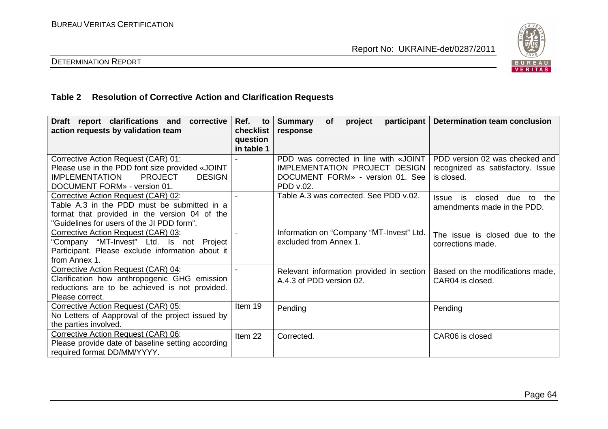

## DETERMINATION REPORT

## **Table 2 Resolution of Corrective Action and Clarification Requests**

| Draft report clarifications and<br>corrective<br>action requests by validation team                                                                                                | Ref.<br>to<br>checklist<br>question | participant<br><b>Summary</b><br>project<br><b>of</b><br>response                                                       | <b>Determination team conclusion</b>                                              |
|------------------------------------------------------------------------------------------------------------------------------------------------------------------------------------|-------------------------------------|-------------------------------------------------------------------------------------------------------------------------|-----------------------------------------------------------------------------------|
|                                                                                                                                                                                    | in table 1                          |                                                                                                                         |                                                                                   |
| Corrective Action Request (CAR) 01:<br>Please use in the PDD font size provided «JOINT<br><b>PROJECT</b><br><b>IMPLEMENTATION</b><br><b>DESIGN</b><br>DOCUMENT FORM» - version 01. |                                     | PDD was corrected in line with «JOINT<br>IMPLEMENTATION PROJECT DESIGN<br>DOCUMENT FORM» - version 01. See<br>PDD v.02. | PDD version 02 was checked and<br>recognized as satisfactory. Issue<br>is closed. |
| Corrective Action Request (CAR) 02:<br>Table A.3 in the PDD must be submitted in a<br>format that provided in the version 04 of the<br>"Guidelines for users of the JI PDD form".  |                                     | Table A.3 was corrected. See PDD v.02.                                                                                  | closed due<br>the<br>Issue<br>is<br>to<br>amendments made in the PDD.             |
| Corrective Action Request (CAR) 03:<br>"Company "MT-Invest" Ltd. Is not Project<br>Participant. Please exclude information about it<br>from Annex 1.                               |                                     | Information on "Company "MT-Invest" Ltd.<br>excluded from Annex 1.                                                      | The issue is closed due to the<br>corrections made.                               |
| Corrective Action Request (CAR) 04:<br>Clarification how anthropogenic GHG emission<br>reductions are to be achieved is not provided.<br>Please correct.                           |                                     | Relevant information provided in section<br>A.4.3 of PDD version 02.                                                    | Based on the modifications made,<br>CAR04 is closed.                              |
| Corrective Action Request (CAR) 05:<br>No Letters of Aapproval of the project issued by<br>the parties involved.                                                                   | Item 19                             | Pending                                                                                                                 | Pending                                                                           |
| Corrective Action Request (CAR) 06:<br>Please provide date of baseline setting according<br>required format DD/MM/YYYY.                                                            | Item 22                             | Corrected.                                                                                                              | CAR06 is closed                                                                   |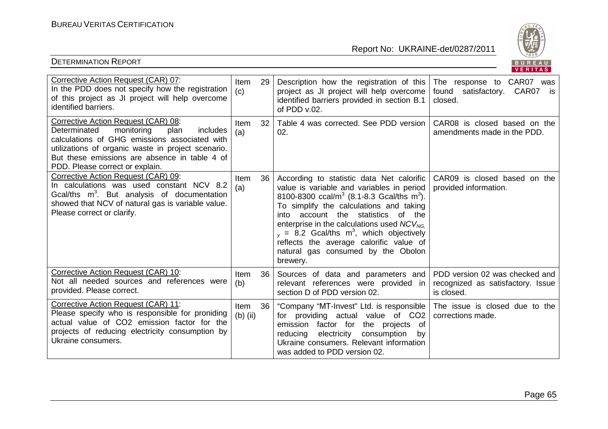

|                                                                                                                                                                                                                                                                                  |                    |                 |                                                                                                                                                                                                                                                                                                                                                                                                                                                          | VENIIAS                                                                           |
|----------------------------------------------------------------------------------------------------------------------------------------------------------------------------------------------------------------------------------------------------------------------------------|--------------------|-----------------|----------------------------------------------------------------------------------------------------------------------------------------------------------------------------------------------------------------------------------------------------------------------------------------------------------------------------------------------------------------------------------------------------------------------------------------------------------|-----------------------------------------------------------------------------------|
| Corrective Action Request (CAR) 07:<br>In the PDD does not specify how the registration<br>of this project as JI project will help overcome<br>identified barriers.                                                                                                              | Item<br>(c)        | 29              | Description how the registration of this<br>project as JI project will help overcome<br>identified barriers provided in section B.1<br>of $PDD v.02$ .                                                                                                                                                                                                                                                                                                   | The response to CAR07<br>was<br>found satisfactory. CAR07 is<br>closed.           |
| Corrective Action Request (CAR) 08:<br>monitoring<br>Determinated<br>plan<br>includes<br>calculations of GHG emissions associated with<br>utilizations of organic waste in project scenario.<br>But these emissions are absence in table 4 of<br>PDD. Please correct or explain. | Item<br>(a)        | 32              | Table 4 was corrected. See PDD version<br>02.                                                                                                                                                                                                                                                                                                                                                                                                            | CAR08 is closed based on the<br>amendments made in the PDD.                       |
| Corrective Action Request (CAR) 09:<br>In calculations was used constant NCV 8.2<br>Gcal/ths $m^3$ . But analysis of documentation<br>showed that NCV of natural gas is variable value.<br>Please correct or clarify.                                                            | Item<br>(a)        | 36 <sup>1</sup> | According to statistic data Net calorific<br>value is variable and variables in period<br>8100-8300 ccal/m <sup>3</sup> (8.1-8.3 Gcal/ths m <sup>3</sup> ).<br>To simplify the calculations and taking<br>into account the statistics of the<br>enterprise in the calculations used $NCV_{NG.}$<br>$_{v}$ = 8.2 Gcal/ths m <sup>3</sup> , which objectively<br>reflects the average calorific value of<br>natural gas consumed by the Obolon<br>brewery. | CAR09 is closed based on the<br>provided information.                             |
| Corrective Action Request (CAR) 10:<br>Not all needed sources and references were<br>provided. Please correct.                                                                                                                                                                   | Item<br>(b)        | 36 <sup>1</sup> | Sources of data and parameters and<br>relevant references were provided in<br>section D of PDD version 02.                                                                                                                                                                                                                                                                                                                                               | PDD version 02 was checked and<br>recognized as satisfactory. Issue<br>is closed. |
| Corrective Action Request (CAR) 11:<br>Please specify who is responsible for proniding<br>actual value of CO2 emission factor for the<br>projects of reducing electricity consumption by<br>Ukraine consumers.                                                                   | Item<br>$(b)$ (ii) | 36 <sup>1</sup> | "Company "MT-Invest" Ltd. is responsible  <br>for providing actual value of CO2<br>of<br>emission factor for<br>the projects<br>electricity<br>consumption<br>reducing<br>by<br>Ukraine consumers. Relevant information<br>was added to PDD version 02.                                                                                                                                                                                                  | The issue is closed due to the<br>corrections made.                               |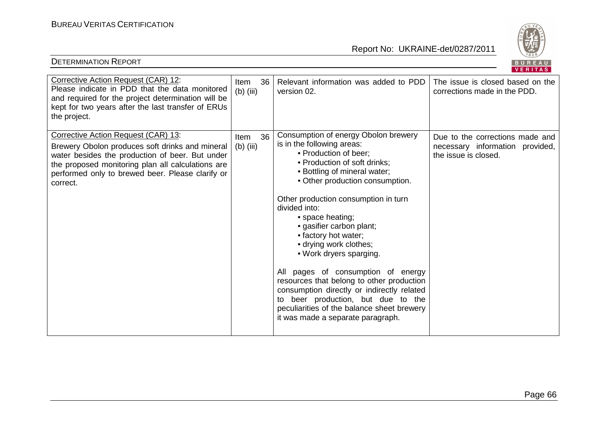

|                                                                                                                                                                                                                                                                |                           |                                                                                                                                                                                                                                                                                                                                                                                                                                                                                                                                                                                                                                                | . <u>.</u>                                                                                 |
|----------------------------------------------------------------------------------------------------------------------------------------------------------------------------------------------------------------------------------------------------------------|---------------------------|------------------------------------------------------------------------------------------------------------------------------------------------------------------------------------------------------------------------------------------------------------------------------------------------------------------------------------------------------------------------------------------------------------------------------------------------------------------------------------------------------------------------------------------------------------------------------------------------------------------------------------------------|--------------------------------------------------------------------------------------------|
| Corrective Action Request (CAR) 12:<br>Please indicate in PDD that the data monitored<br>and required for the project determination will be<br>kept for two years after the last transfer of ERUs<br>the project.                                              | 36<br>Item<br>$(b)$ (iii) | Relevant information was added to PDD<br>version 02.                                                                                                                                                                                                                                                                                                                                                                                                                                                                                                                                                                                           | The issue is closed based on the<br>corrections made in the PDD.                           |
| Corrective Action Request (CAR) 13:<br>Brewery Obolon produces soft drinks and mineral<br>water besides the production of beer. But under<br>the proposed monitoring plan all calculations are<br>performed only to brewed beer. Please clarify or<br>correct. | 36<br>Item<br>$(b)$ (iii) | Consumption of energy Obolon brewery<br>is in the following areas:<br>• Production of beer;<br>• Production of soft drinks;<br>• Bottling of mineral water;<br>• Other production consumption.<br>Other production consumption in turn<br>divided into:<br>• space heating;<br>• gasifier carbon plant;<br>• factory hot water;<br>• drying work clothes;<br>• Work dryers sparging.<br>All pages of consumption of energy<br>resources that belong to other production<br>consumption directly or indirectly related<br>to beer production, but due to the<br>peculiarities of the balance sheet brewery<br>it was made a separate paragraph. | Due to the corrections made and<br>necessary information provided,<br>the issue is closed. |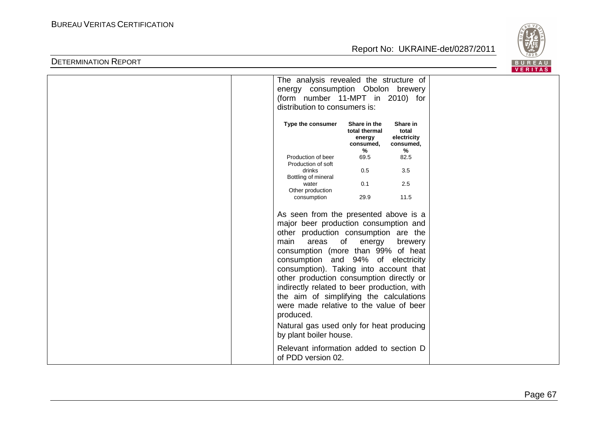

|                                             |                               |                   | <b>VERITAS</b> |  |
|---------------------------------------------|-------------------------------|-------------------|----------------|--|
| The analysis revealed the structure of      |                               |                   |                |  |
| energy consumption Obolon brewery           |                               |                   |                |  |
| (form number 11-MPT in 2010) for            |                               |                   |                |  |
| distribution to consumers is:               |                               |                   |                |  |
|                                             |                               |                   |                |  |
|                                             |                               |                   |                |  |
| Type the consumer                           | Share in the<br>total thermal | Share in<br>total |                |  |
|                                             | energy                        | electricity       |                |  |
|                                             | consumed,                     | consumed,         |                |  |
|                                             | %                             | %                 |                |  |
| Production of beer                          | 69.5                          | 82.5              |                |  |
| Production of soft                          |                               |                   |                |  |
| drinks<br>Bottling of mineral               | 0.5                           | 3.5               |                |  |
| water                                       | 0.1                           | 2.5               |                |  |
| Other production                            |                               |                   |                |  |
| consumption                                 | 29.9                          | 11.5              |                |  |
|                                             |                               |                   |                |  |
| As seen from the presented above is a       |                               |                   |                |  |
| major beer production consumption and       |                               |                   |                |  |
|                                             |                               |                   |                |  |
| other production consumption are the        |                               |                   |                |  |
| main<br>areas                               | of<br>energy                  | brewery           |                |  |
| consumption (more than 99% of heat          |                               |                   |                |  |
| consumption and 94% of electricity          |                               |                   |                |  |
| consumption). Taking into account that      |                               |                   |                |  |
|                                             |                               |                   |                |  |
| other production consumption directly or    |                               |                   |                |  |
| indirectly related to beer production, with |                               |                   |                |  |
| the aim of simplifying the calculations     |                               |                   |                |  |
| were made relative to the value of beer     |                               |                   |                |  |
| produced.                                   |                               |                   |                |  |
|                                             |                               |                   |                |  |
| Natural gas used only for heat producing    |                               |                   |                |  |
| by plant boiler house.                      |                               |                   |                |  |
|                                             |                               |                   |                |  |
| Relevant information added to section D     |                               |                   |                |  |
| of PDD version 02.                          |                               |                   |                |  |
|                                             |                               |                   |                |  |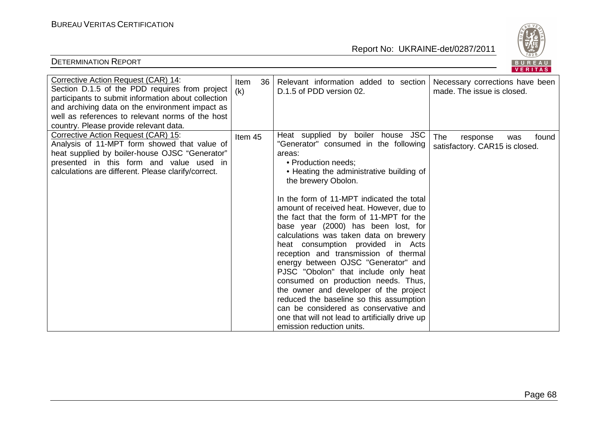

| Corrective Action Request (CAR) 14:<br>Section D.1.5 of the PDD requires from project<br>participants to submit information about collection<br>and archiving data on the environment impact as<br>well as references to relevant norms of the host<br>country. Please provide relevant data. | 36 <sup>1</sup><br>Item<br>(k) | Relevant information added to section<br>D.1.5 of PDD version 02.                                                                                                                                                                                                                                                                                                                                                                                                                                                                                                                                                                                                                                                                                                                                                      | Necessary corrections have been<br>made. The issue is closed.     |
|-----------------------------------------------------------------------------------------------------------------------------------------------------------------------------------------------------------------------------------------------------------------------------------------------|--------------------------------|------------------------------------------------------------------------------------------------------------------------------------------------------------------------------------------------------------------------------------------------------------------------------------------------------------------------------------------------------------------------------------------------------------------------------------------------------------------------------------------------------------------------------------------------------------------------------------------------------------------------------------------------------------------------------------------------------------------------------------------------------------------------------------------------------------------------|-------------------------------------------------------------------|
| Corrective Action Request (CAR) 15:<br>Analysis of 11-MPT form showed that value of<br>heat supplied by boiler-house OJSC "Generator"<br>presented in this form and value used in<br>calculations are different. Please clarify/correct.                                                      | Item 45                        | Heat supplied by boiler house JSC<br>"Generator" consumed in the following<br>areas:<br>• Production needs;<br>• Heating the administrative building of<br>the brewery Obolon.<br>In the form of 11-MPT indicated the total<br>amount of received heat. However, due to<br>the fact that the form of 11-MPT for the<br>base year (2000) has been lost, for<br>calculations was taken data on brewery<br>heat consumption provided in Acts<br>reception and transmission of thermal<br>energy between OJSC "Generator" and<br>PJSC "Obolon" that include only heat<br>consumed on production needs. Thus,<br>the owner and developer of the project<br>reduced the baseline so this assumption<br>can be considered as conservative and<br>one that will not lead to artificially drive up<br>emission reduction units. | The<br>found<br>response<br>was<br>satisfactory. CAR15 is closed. |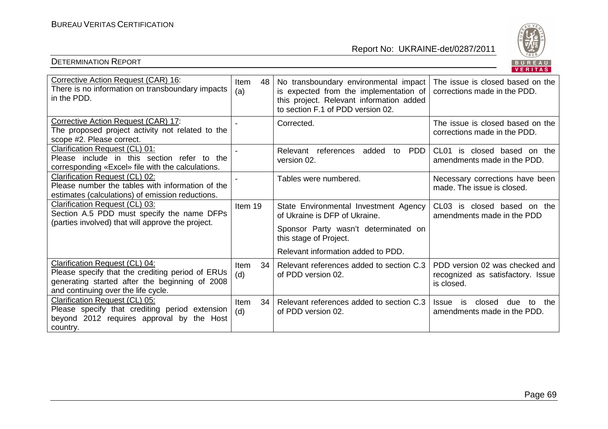

|                                                                                                                                                                             |                     |                                                                                                                                                                  | 1.111777                                                                          |
|-----------------------------------------------------------------------------------------------------------------------------------------------------------------------------|---------------------|------------------------------------------------------------------------------------------------------------------------------------------------------------------|-----------------------------------------------------------------------------------|
| Corrective Action Request (CAR) 16:<br>There is no information on transboundary impacts<br>in the PDD.                                                                      | 48 l<br>Item<br>(a) | No transboundary environmental impact<br>is expected from the implementation of<br>this project. Relevant information added<br>to section F.1 of PDD version 02. | The issue is closed based on the<br>corrections made in the PDD.                  |
| Corrective Action Request (CAR) 17:<br>The proposed project activity not related to the<br>scope #2. Please correct.                                                        |                     | Corrected.                                                                                                                                                       | The issue is closed based on the<br>corrections made in the PDD.                  |
| Clarification Request (CL) 01:<br>Please include in this section refer to the<br>corresponding «Excel» file with the calculations.                                          |                     | Relevant references<br><b>PDD</b><br>added<br>to<br>version 02.                                                                                                  | CL01 is closed based on the<br>amendments made in the PDD.                        |
| Clarification Request (CL) 02:<br>Please number the tables with information of the<br>estimates (calculations) of emission reductions.                                      |                     | Tables were numbered.                                                                                                                                            | Necessary corrections have been<br>made. The issue is closed.                     |
| Clarification Request (CL) 03:<br>Section A.5 PDD must specify the name DFPs<br>(parties involved) that will approve the project.                                           | Item 19             | State Environmental Investment Agency<br>of Ukraine is DFP of Ukraine.                                                                                           | CL03 is closed based on the<br>amendments made in the PDD                         |
|                                                                                                                                                                             |                     | Sponsor Party wasn't determinated on<br>this stage of Project.                                                                                                   |                                                                                   |
|                                                                                                                                                                             |                     | Relevant information added to PDD.                                                                                                                               |                                                                                   |
| Clarification Request (CL) 04:<br>Please specify that the crediting period of ERUs<br>generating started after the beginning of 2008<br>and continuing over the life cycle. | 34 I<br>Item<br>(d) | Relevant references added to section C.3<br>of PDD version 02.                                                                                                   | PDD version 02 was checked and<br>recognized as satisfactory. Issue<br>is closed. |
| Clarification Request (CL) 05:<br>Please specify that crediting period extension<br>beyond 2012 requires approval by<br>the Host<br>country.                                | 34<br>Item<br>(d)   | Relevant references added to section C.3<br>of PDD version 02.                                                                                                   | closed<br>the<br>is<br>due<br>Issue<br>to<br>amendments made in the PDD.          |